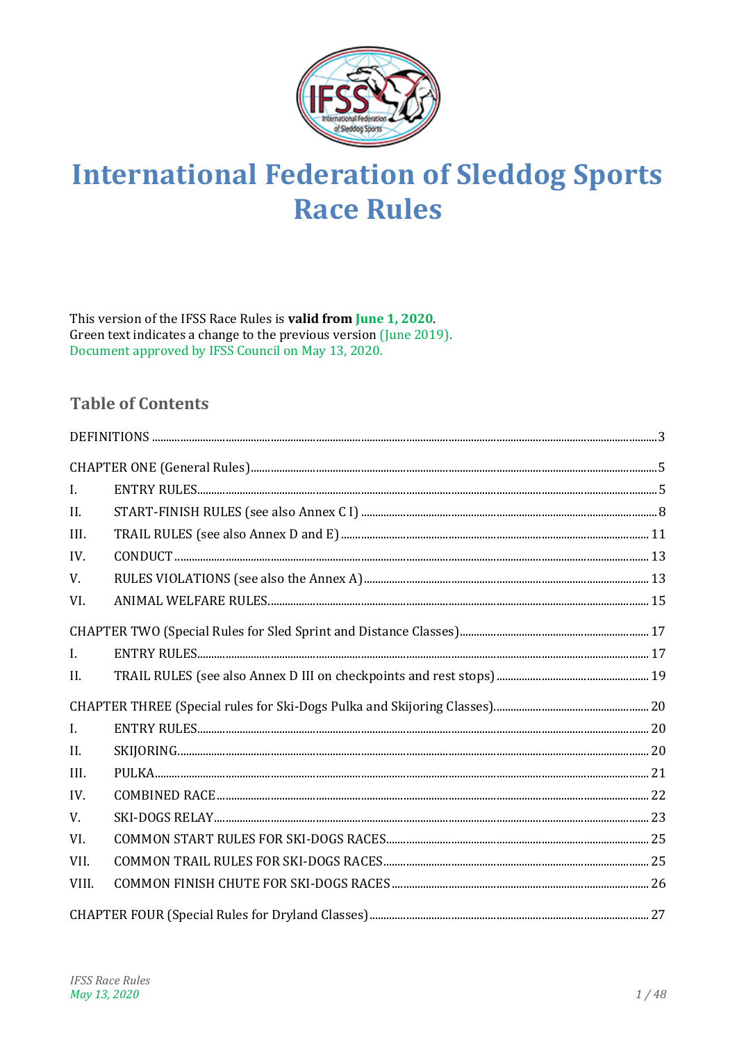

# **International Federation of Sleddog Sports Race Rules**

This version of the IFSS Race Rules is **valid from June 1, 2020**. Green text indicates a change to the previous version (June 2019). Document approved by IFSS Council on May 13, 2020.

# **Table of Contents**

| $\mathbf{I}$ . |  |
|----------------|--|
| II.            |  |
| III.           |  |
| IV.            |  |
| V.             |  |
| VI.            |  |
|                |  |
| $\mathbf{I}$ . |  |
| II.            |  |
|                |  |
| $\mathbf{I}$ . |  |
| II.            |  |
| III.           |  |
| IV.            |  |
| V.             |  |
| VI.            |  |
| VII.           |  |
| VIII.          |  |
|                |  |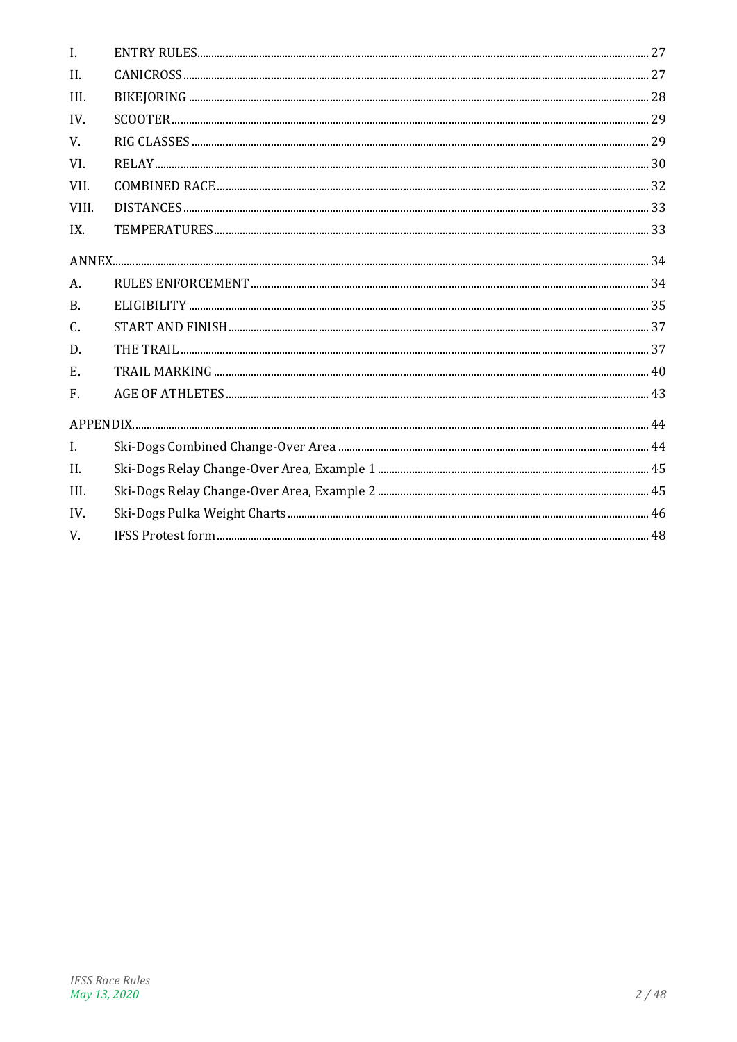| $\mathbf{I}$ . |  |
|----------------|--|
| II.            |  |
| III.           |  |
| IV.            |  |
| V.             |  |
| VI.            |  |
| VII.           |  |
| VIII.          |  |
| IX.            |  |
|                |  |
| A.             |  |
| $\mathbf{B}$ . |  |
| C.             |  |
| D.             |  |
| E.             |  |
| F.             |  |
|                |  |
| $\mathbf{I}$ . |  |
| II.            |  |
| III.           |  |
| IV.            |  |
| V.             |  |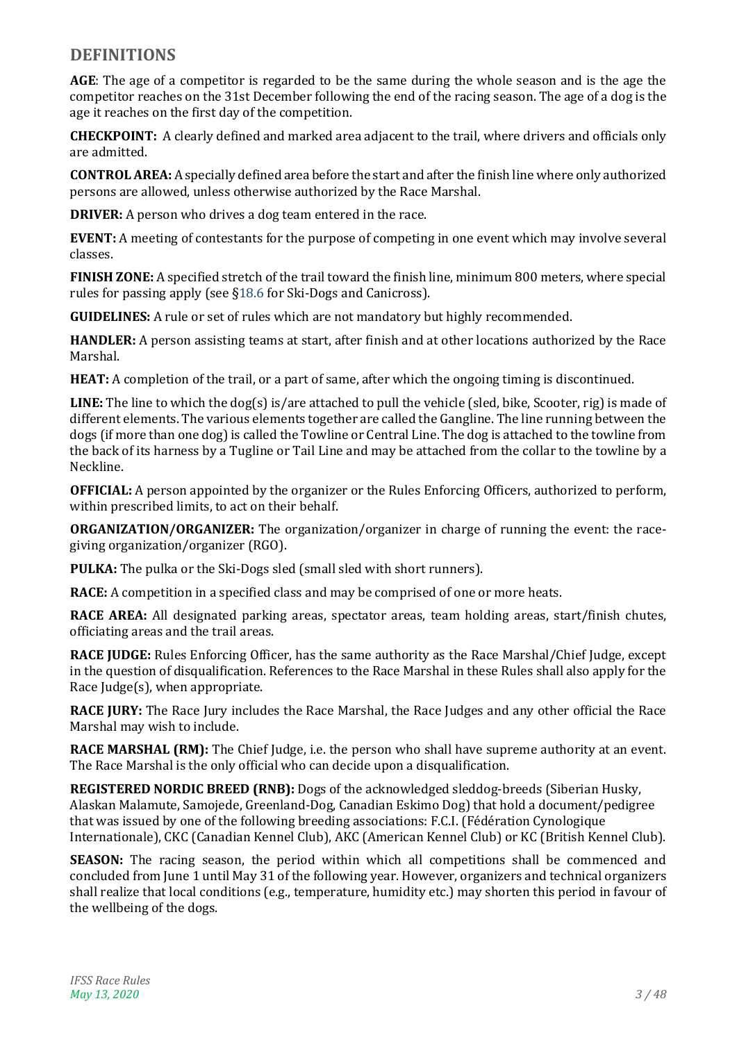# <span id="page-2-0"></span>**DEFINITIONS**

**AGE**: The age of a competitor is regarded to be the same during the whole season and is the age the competitor reaches on the 31st December following the end of the racing season. The age of a dog is the age it reaches on the first day of the competition.

**CHECKPOINT:** A clearly defined and marked area adjacent to the trail, where drivers and officials only are admitted.

**CONTROL AREA:** A specially defined area before the start and after the finish line where only authorized persons are allowed, unless otherwise authorized by the Race Marshal.

**DRIVER:** A person who drives a dog team entered in the race.

**EVENT:** A meeting of contestants for the purpose of competing in one event which may involve several classes.

**FINISH ZONE:** A specified stretch of the trail toward the finish line, minimum 800 meters, where special rules for passing apply (see [§18.6](#page-10-1) for Ski-Dogs and Canicross).

**GUIDELINES:** A rule or set of rules which are not mandatory but highly recommended.

**HANDLER:** A person assisting teams at start, after finish and at other locations authorized by the Race Marshal.

**HEAT:** A completion of the trail, or a part of same, after which the ongoing timing is discontinued.

LINE: The line to which the dog(s) is/are attached to pull the vehicle (sled, bike, Scooter, rig) is made of different elements. The various elements together are called the Gangline. The line running between the dogs (if more than one dog) is called the Towline or Central Line. The dog is attached to the towline from the back of its harness by a Tugline or Tail Line and may be attached from the collar to the towline by a Neckline.

**OFFICIAL:** A person appointed by the organizer or the Rules Enforcing Officers, authorized to perform, within prescribed limits, to act on their behalf.

**ORGANIZATION/ORGANIZER:** The organization/organizer in charge of running the event: the racegiving organization/organizer (RGO).

**PULKA:** The pulka or the Ski-Dogs sled (small sled with short runners).

**RACE:** A competition in a specified class and may be comprised of one or more heats.

**RACE AREA:** All designated parking areas, spectator areas, team holding areas, start/finish chutes, officiating areas and the trail areas.

**RACE JUDGE:** Rules Enforcing Officer, has the same authority as the Race Marshal/Chief Judge, except in the question of disqualification. References to the Race Marshal in these Rules shall also apply for the Race Judge(s), when appropriate.

**RACE JURY:** The Race Jury includes the Race Marshal, the Race Judges and any other official the Race Marshal may wish to include.

**RACE MARSHAL (RM):** The Chief Judge, i.e. the person who shall have supreme authority at an event. The Race Marshal is the only official who can decide upon a disqualification.

**REGISTERED NORDIC BREED (RNB):** Dogs of the acknowledged sleddog-breeds (Siberian Husky, Alaskan Malamute, Samojede, Greenland-Dog, Canadian Eskimo Dog) that hold a document/pedigree that was issued by one of the following breeding associations: F.C.I. (Fédération Cynologique Internationale), CKC (Canadian Kennel Club), AKC (American Kennel Club) or KC (British Kennel Club).

**SEASON:** The racing season, the period within which all competitions shall be commenced and concluded from June 1 until May 31 of the following year. However, organizers and technical organizers shall realize that local conditions (e.g., temperature, humidity etc.) may shorten this period in favour of the wellbeing of the dogs.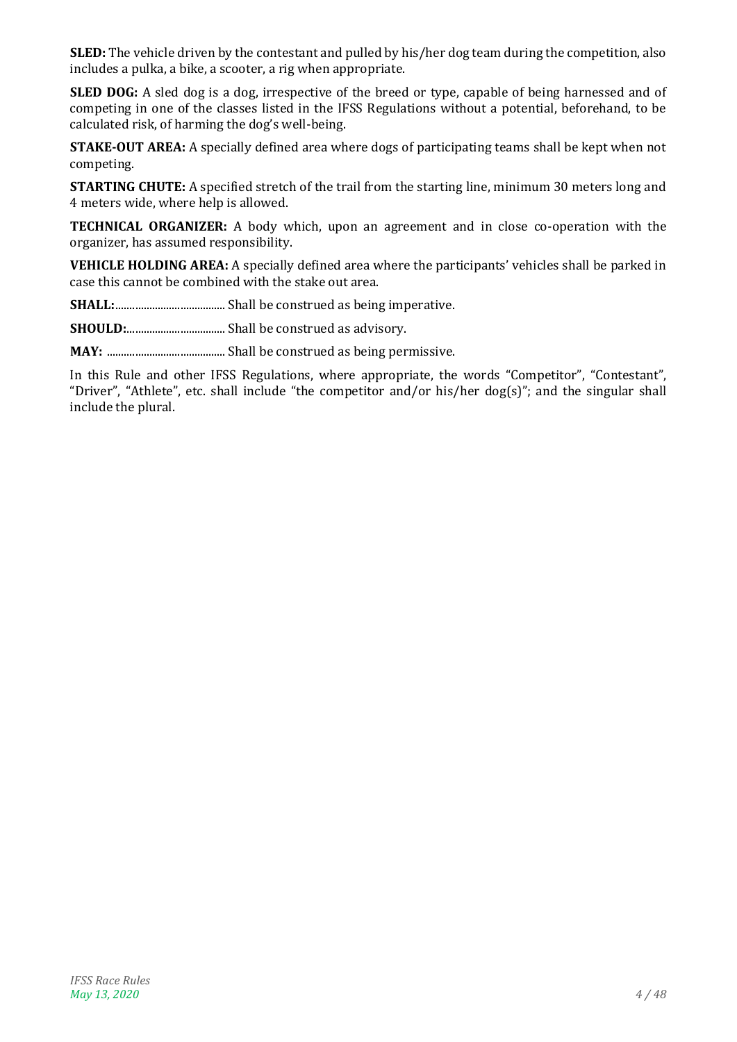**SLED:** The vehicle driven by the contestant and pulled by his/her dog team during the competition, also includes a pulka, a bike, a scooter, a rig when appropriate.

**SLED DOG:** A sled dog is a dog, irrespective of the breed or type, capable of being harnessed and of competing in one of the classes listed in the IFSS Regulations without a potential, beforehand, to be calculated risk, of harming the dog's well-being.

**STAKE-OUT AREA:** A specially defined area where dogs of participating teams shall be kept when not competing.

**STARTING CHUTE:** A specified stretch of the trail from the starting line, minimum 30 meters long and 4 meters wide, where help is allowed.

**TECHNICAL ORGANIZER:** A body which, upon an agreement and in close co-operation with the organizer, has assumed responsibility.

**VEHICLE HOLDING AREA:** A specially defined area where the participants' vehicles shall be parked in case this cannot be combined with the stake out area.

**SHALL:**....................................... Shall be construed as being imperative.

**SHOULD:**................................... Shall be construed as advisory.

**MAY:** .......................................... Shall be construed as being permissive.

In this Rule and other IFSS Regulations, where appropriate, the words "Competitor", "Contestant", "Driver", "Athlete", etc. shall include "the competitor and/or his/her dog(s)"; and the singular shall include the plural.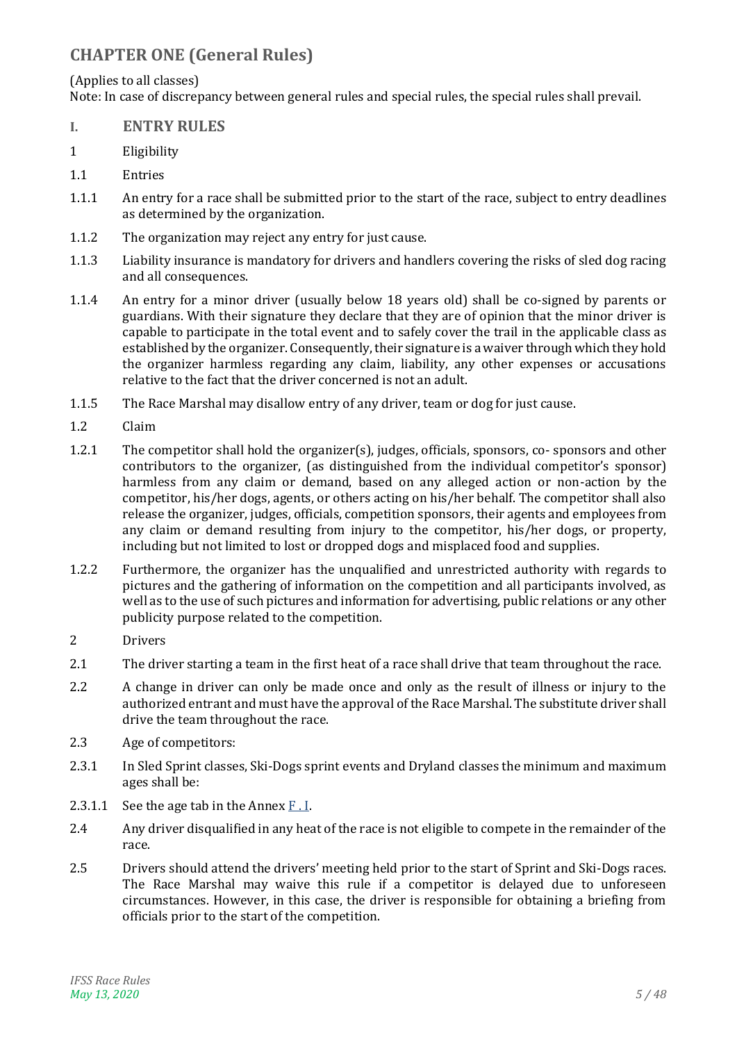# <span id="page-4-0"></span>**CHAPTER ONE (General Rules)**

#### (Applies to all classes)

Note: In case of discrepancy between general rules and special rules, the special rules shall prevail.

- <span id="page-4-1"></span>**I. ENTRY RULES**
- 1 Eligibility
- 1.1 Entries
- 1.1.1 An entry for a race shall be submitted prior to the start of the race, subject to entry deadlines as determined by the organization.
- 1.1.2 The organization may reject any entry for just cause.
- 1.1.3 Liability insurance is mandatory for drivers and handlers covering the risks of sled dog racing and all consequences.
- <span id="page-4-3"></span>1.1.4 An entry for a minor driver (usually below 18 years old) shall be co-signed by parents or guardians. With their signature they declare that they are of opinion that the minor driver is capable to participate in the total event and to safely cover the trail in the applicable class as established by the organizer. Consequently, their signature is a waiver through which they hold the organizer harmless regarding any claim, liability, any other expenses or accusations relative to the fact that the driver concerned is not an adult.
- 1.1.5 The Race Marshal may disallow entry of any driver, team or dog for just cause.
- 1.2 Claim
- 1.2.1 The competitor shall hold the organizer(s), judges, officials, sponsors, co- sponsors and other contributors to the organizer, (as distinguished from the individual competitor's sponsor) harmless from any claim or demand, based on any alleged action or non-action by the competitor, his/her dogs, agents, or others acting on his/her behalf. The competitor shall also release the organizer, judges, officials, competition sponsors, their agents and employees from any claim or demand resulting from injury to the competitor, his/her dogs, or property, including but not limited to lost or dropped dogs and misplaced food and supplies.
- 1.2.2 Furthermore, the organizer has the unqualified and unrestricted authority with regards to pictures and the gathering of information on the competition and all participants involved, as well as to the use of such pictures and information for advertising, public relations or any other publicity purpose related to the competition.
- 2 Drivers
- 2.1 The driver starting a team in the first heat of a race shall drive that team throughout the race.
- 2.2 A change in driver can only be made once and only as the result of illness or injury to the authorized entrant and must have the approval of the Race Marshal. The substitute driver shall drive the team throughout the race.
- 2.3 Age of competitors:
- 2.3.1 In Sled Sprint classes, Ski-Dogs sprint events and Dryland classes the minimum and maximum ages shall be:
- <span id="page-4-2"></span>2.3.1.1 See the age tab in the Annex  $F \cdot I$ .
- 2.4 Any driver disqualified in any heat of the race is not eligible to compete in the remainder of the race.
- 2.5 Drivers should attend the drivers' meeting held prior to the start of Sprint and Ski-Dogs races. The Race Marshal may waive this rule if a competitor is delayed due to unforeseen circumstances. However, in this case, the driver is responsible for obtaining a briefing from officials prior to the start of the competition.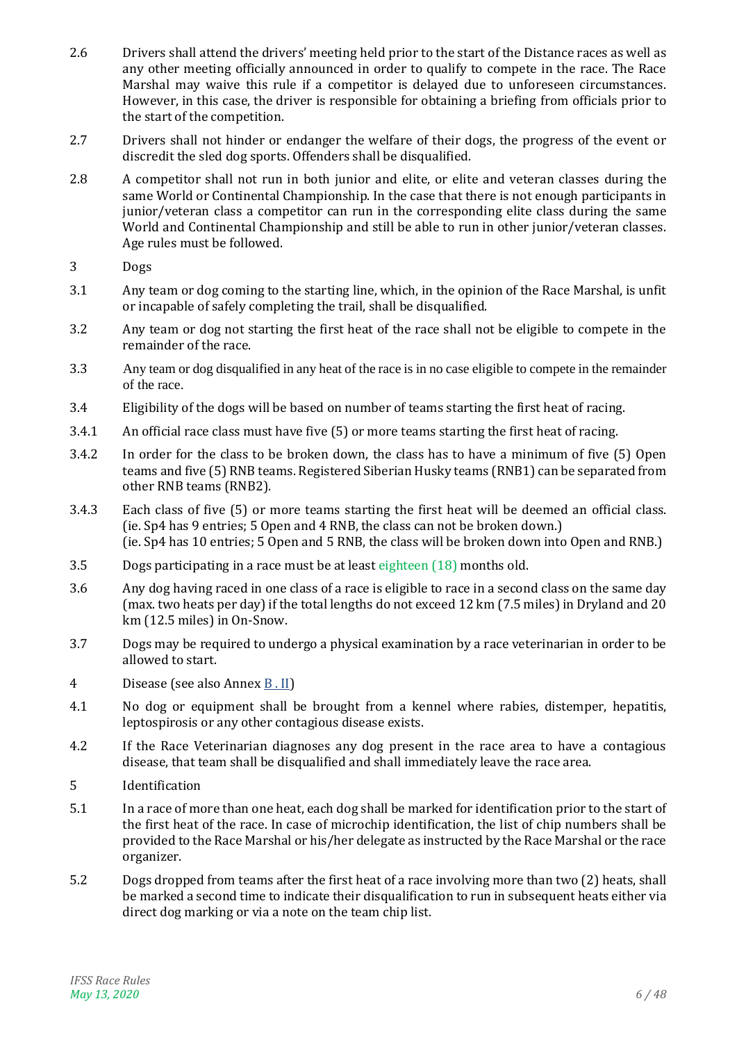- 2.6 Drivers shall attend the drivers' meeting held prior to the start of the Distance races as well as any other meeting officially announced in order to qualify to compete in the race. The Race Marshal may waive this rule if a competitor is delayed due to unforeseen circumstances. However, in this case, the driver is responsible for obtaining a briefing from officials prior to the start of the competition.
- <span id="page-5-0"></span>2.7 Drivers shall not hinder or endanger the welfare of their dogs, the progress of the event or discredit the sled dog sports. Offenders shall be disqualified.
- 2.8 A competitor shall not run in both junior and elite, or elite and veteran classes during the same World or Continental Championship. In the case that there is not enough participants in iunior/veteran class a competitor can run in the corresponding elite class during the same World and Continental Championship and still be able to run in other junior/veteran classes. Age rules must be followed.
- 3 Dogs
- 3.1 Any team or dog coming to the starting line, which, in the opinion of the Race Marshal, is unfit or incapable of safely completing the trail, shall be disqualified.
- 3.2 Any team or dog not starting the first heat of the race shall not be eligible to compete in the remainder of the race.
- 3.3 Any team or dog disqualified in any heat of the race is in no case eligible to compete in the remainder of the race.
- 3.4 Eligibility of the dogs will be based on number of teams starting the first heat of racing.
- 3.4.1 An official race class must have five (5) or more teams starting the first heat of racing.
- 3.4.2 In order for the class to be broken down, the class has to have a minimum of five (5) Open teams and five (5) RNB teams. Registered Siberian Husky teams (RNB1) can be separated from other RNB teams (RNB2).
- 3.4.3 Each class of five (5) or more teams starting the first heat will be deemed an official class. (ie. Sp4 has 9 entries; 5 Open and 4 RNB, the class can not be broken down.) (ie. Sp4 has 10 entries; 5 Open and 5 RNB, the class will be broken down into Open and RNB.)
- 3.5 Dogs participating in a race must be at least eighteen (18) months old.
- 3.6 Any dog having raced in one class of a race is eligible to race in a second class on the same day (max. two heats per day) if the total lengths do not exceed 12 km (7.5 miles) in Dryland and 20 km (12.5 miles) in On-Snow.
- 3.7 Dogs may be required to undergo a physical examination by a race veterinarian in order to be allowed to start.
- 4 Disease (see also Annex [B . II\)](#page-35-0)
- 4.1 No dog or equipment shall be brought from a kennel where rabies, distemper, hepatitis, leptospirosis or any other contagious disease exists.
- 4.2 If the Race Veterinarian diagnoses any dog present in the race area to have a contagious disease, that team shall be disqualified and shall immediately leave the race area.
- 5 Identification
- 5.1 In a race of more than one heat, each dog shall be marked for identification prior to the start of the first heat of the race. In case of microchip identification, the list of chip numbers shall be provided to the Race Marshal or his/her delegate as instructed by the Race Marshal or the race organizer.
- 5.2 Dogs dropped from teams after the first heat of a race involving more than two (2) heats, shall be marked a second time to indicate their disqualification to run in subsequent heats either via direct dog marking or via a note on the team chip list.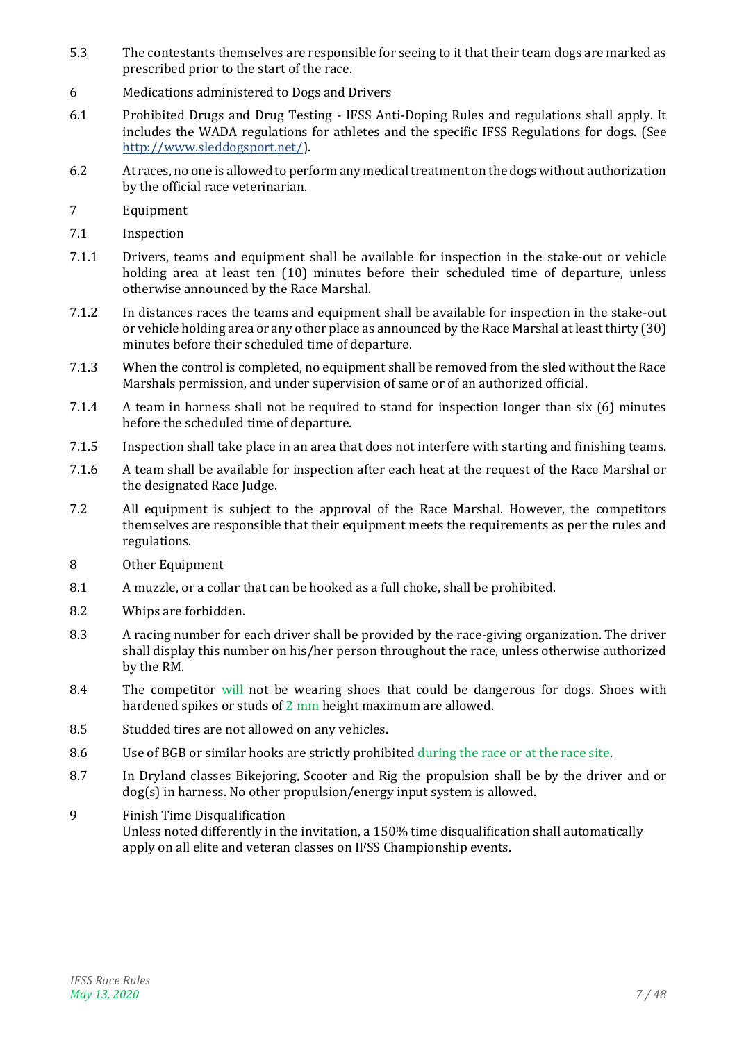- 5.3 The contestants themselves are responsible for seeing to it that their team dogs are marked as prescribed prior to the start of the race.
- 6 Medications administered to Dogs and Drivers
- 6.1 Prohibited Drugs and Drug Testing IFSS Anti-Doping Rules and regulations shall apply. It includes the WADA regulations for athletes and the specific IFSS Regulations for dogs. (See [http://www.sleddogsport.net/\)](http://www.sleddogsport.net/).
- 6.2 At races, no one is allowed to perform any medical treatment on the dogs without authorization by the official race veterinarian.
- 7 Equipment
- 7.1 Inspection
- 7.1.1 Drivers, teams and equipment shall be available for inspection in the stake-out or vehicle holding area at least ten (10) minutes before their scheduled time of departure, unless otherwise announced by the Race Marshal.
- 7.1.2 In distances races the teams and equipment shall be available for inspection in the stake-out or vehicle holding area or any other place as announced by the Race Marshal at least thirty (30) minutes before their scheduled time of departure.
- 7.1.3 When the control is completed, no equipment shall be removed from the sled without the Race Marshals permission, and under supervision of same or of an authorized official.
- 7.1.4 A team in harness shall not be required to stand for inspection longer than six (6) minutes before the scheduled time of departure.
- 7.1.5 Inspection shall take place in an area that does not interfere with starting and finishing teams.
- 7.1.6 A team shall be available for inspection after each heat at the request of the Race Marshal or the designated Race Judge.
- <span id="page-6-0"></span>7.2 All equipment is subject to the approval of the Race Marshal. However, the competitors themselves are responsible that their equipment meets the requirements as per the rules and regulations.
- 8 Other Equipment
- 8.1 A muzzle, or a collar that can be hooked as a full choke, shall be prohibited.
- 8.2 Whips are forbidden.
- 8.3 A racing number for each driver shall be provided by the race-giving organization. The driver shall display this number on his/her person throughout the race, unless otherwise authorized by the RM.
- 8.4 The competitor will not be wearing shoes that could be dangerous for dogs. Shoes with hardened spikes or studs of 2 mm height maximum are allowed.
- 8.5 Studded tires are not allowed on any vehicles.
- 8.6 Use of BGB or similar hooks are strictly prohibited during the race or at the race site.
- 8.7 In Dryland classes Bikejoring, Scooter and Rig the propulsion shall be by the driver and or dog(s) in harness. No other propulsion/energy input system is allowed.
- 9 Finish Time Disqualification Unless noted differently in the invitation, a 150% time disqualification shall automatically apply on all elite and veteran classes on IFSS Championship events.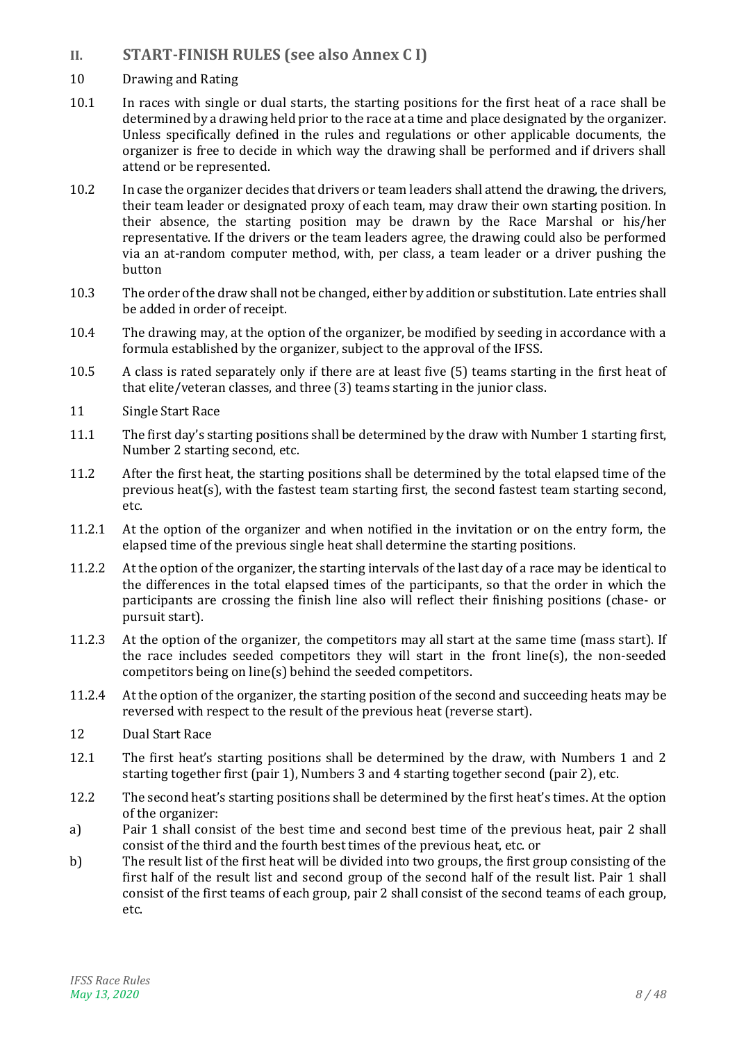- <span id="page-7-0"></span>**II. START-FINISH RULES (see also Annex C I)**
- 10 Drawing and Rating
- 10.1 In races with single or dual starts, the starting positions for the first heat of a race shall be determined by a drawing held prior to the race at a time and place designated by the organizer. Unless specifically defined in the rules and regulations or other applicable documents, the organizer is free to decide in which way the drawing shall be performed and if drivers shall attend or be represented.
- 10.2 In case the organizer decides that drivers or team leaders shall attend the drawing, the drivers, their team leader or designated proxy of each team, may draw their own starting position. In their absence, the starting position may be drawn by the Race Marshal or his/her representative. If the drivers or the team leaders agree, the drawing could also be performed via an at-random computer method, with, per class, a team leader or a driver pushing the button
- 10.3 The order of the draw shall not be changed, either by addition or substitution. Late entries shall be added in order of receipt.
- 10.4 The drawing may, at the option of the organizer, be modified by seeding in accordance with a formula established by the organizer, subject to the approval of the IFSS.
- 10.5 A class is rated separately only if there are at least five (5) teams starting in the first heat of that elite/veteran classes, and three (3) teams starting in the junior class.
- 11 Single Start Race
- 11.1 The first day's starting positions shall be determined by the draw with Number 1 starting first, Number 2 starting second, etc.
- 11.2 After the first heat, the starting positions shall be determined by the total elapsed time of the previous heat(s), with the fastest team starting first, the second fastest team starting second, etc.
- 11.2.1 At the option of the organizer and when notified in the invitation or on the entry form, the elapsed time of the previous single heat shall determine the starting positions.
- 11.2.2 At the option of the organizer, the starting intervals of the last day of a race may be identical to the differences in the total elapsed times of the participants, so that the order in which the participants are crossing the finish line also will reflect their finishing positions (chase- or pursuit start).
- 11.2.3 At the option of the organizer, the competitors may all start at the same time (mass start). If the race includes seeded competitors they will start in the front line(s), the non-seeded competitors being on line(s) behind the seeded competitors.
- 11.2.4 At the option of the organizer, the starting position of the second and succeeding heats may be reversed with respect to the result of the previous heat (reverse start).
- 12 Dual Start Race
- 12.1 The first heat's starting positions shall be determined by the draw, with Numbers 1 and 2 starting together first (pair 1), Numbers 3 and 4 starting together second (pair 2), etc.
- <span id="page-7-1"></span>12.2 The second heat's starting positions shall be determined by the first heat's times. At the option of the organizer:
- a) Pair 1 shall consist of the best time and second best time of the previous heat, pair 2 shall consist of the third and the fourth best times of the previous heat, etc. or
- b) The result list of the first heat will be divided into two groups, the first group consisting of the first half of the result list and second group of the second half of the result list. Pair 1 shall consist of the first teams of each group, pair 2 shall consist of the second teams of each group, etc.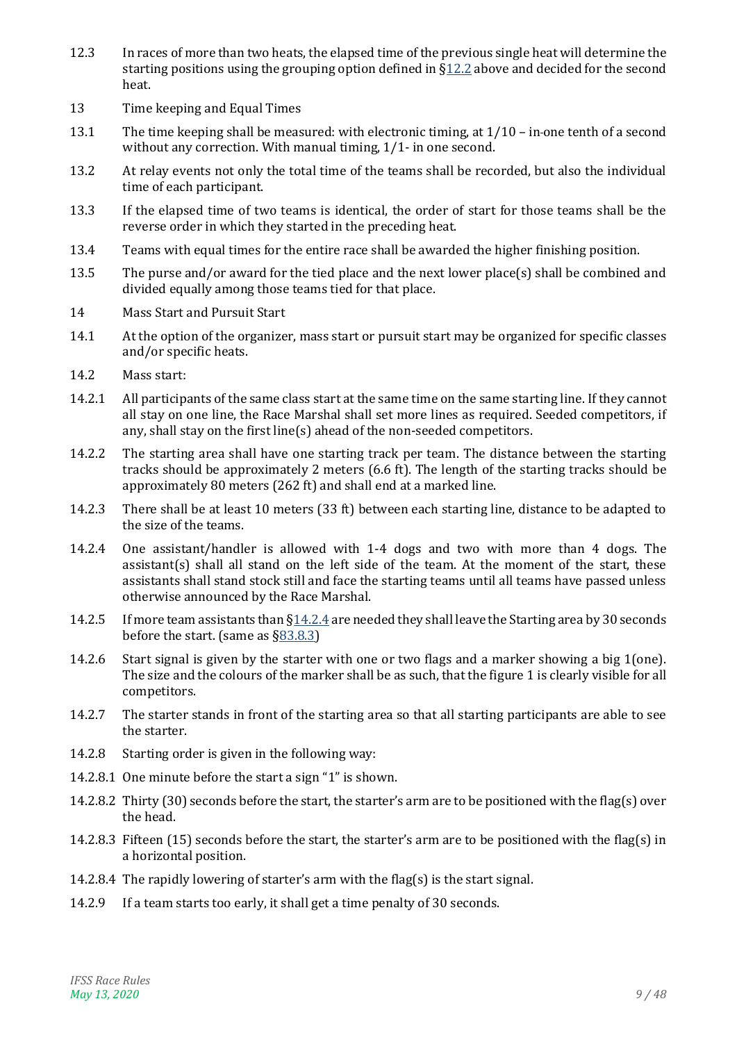- 12.3 In races of more than two heats, the elapsed time of the previous single heat will determine the starting positions using the grouping option defined in [§12.2](#page-7-1) above and decided for the second heat.
- 13 Time keeping and Equal Times
- 13.1 The time keeping shall be measured: with electronic timing, at 1/10 in one tenth of a second without any correction. With manual timing, 1/1- in one second.
- 13.2 At relay events not only the total time of the teams shall be recorded, but also the individual time of each participant.
- 13.3 If the elapsed time of two teams is identical, the order of start for those teams shall be the reverse order in which they started in the preceding heat.
- <span id="page-8-1"></span>13.4 Teams with equal times for the entire race shall be awarded the higher finishing position.
- 13.5 The purse and/or award for the tied place and the next lower place(s) shall be combined and divided equally among those teams tied for that place.
- 14 Mass Start and Pursuit Start
- 14.1 At the option of the organizer, mass start or pursuit start may be organized for specific classes and/or specific heats.
- <span id="page-8-2"></span>14.2 Mass start:
- 14.2.1 All participants of the same class start at the same time on the same starting line. If they cannot all stay on one line, the Race Marshal shall set more lines as required. Seeded competitors, if any, shall stay on the first line(s) ahead of the non-seeded competitors.
- 14.2.2 The starting area shall have one starting track per team. The distance between the starting tracks should be approximately 2 meters (6.6 ft). The length of the starting tracks should be approximately 80 meters (262 ft) and shall end at a marked line.
- 14.2.3 There shall be at least 10 meters (33 ft) between each starting line, distance to be adapted to the size of the teams.
- <span id="page-8-0"></span>14.2.4 One assistant/handler is allowed with 1-4 dogs and two with more than 4 dogs. The assistant(s) shall all stand on the left side of the team. At the moment of the start, these assistants shall stand stock still and face the starting teams until all teams have passed unless otherwise announced by the Race Marshal.
- 14.2.5 If more team assistants than  $\S14.2.4$  are needed they shall leave the Starting area by 30 seconds before the start. (same as [§83.8.3\)](#page-30-0)
- 14.2.6 Start signal is given by the starter with one or two flags and a marker showing a big 1(one). The size and the colours of the marker shall be as such, that the figure 1 is clearly visible for all competitors.
- 14.2.7 The starter stands in front of the starting area so that all starting participants are able to see the starter.
- <span id="page-8-3"></span>14.2.8 Starting order is given in the following way:
- 14.2.8.1 One minute before the start a sign "1" is shown.
- 14.2.8.2 Thirty (30) seconds before the start, the starter's arm are to be positioned with the flag(s) over the head.
- 14.2.8.3 Fifteen (15) seconds before the start, the starter's arm are to be positioned with the flag(s) in a horizontal position.
- 14.2.8.4 The rapidly lowering of starter's arm with the flag(s) is the start signal.
- <span id="page-8-4"></span>14.2.9 If a team starts too early, it shall get a time penalty of 30 seconds.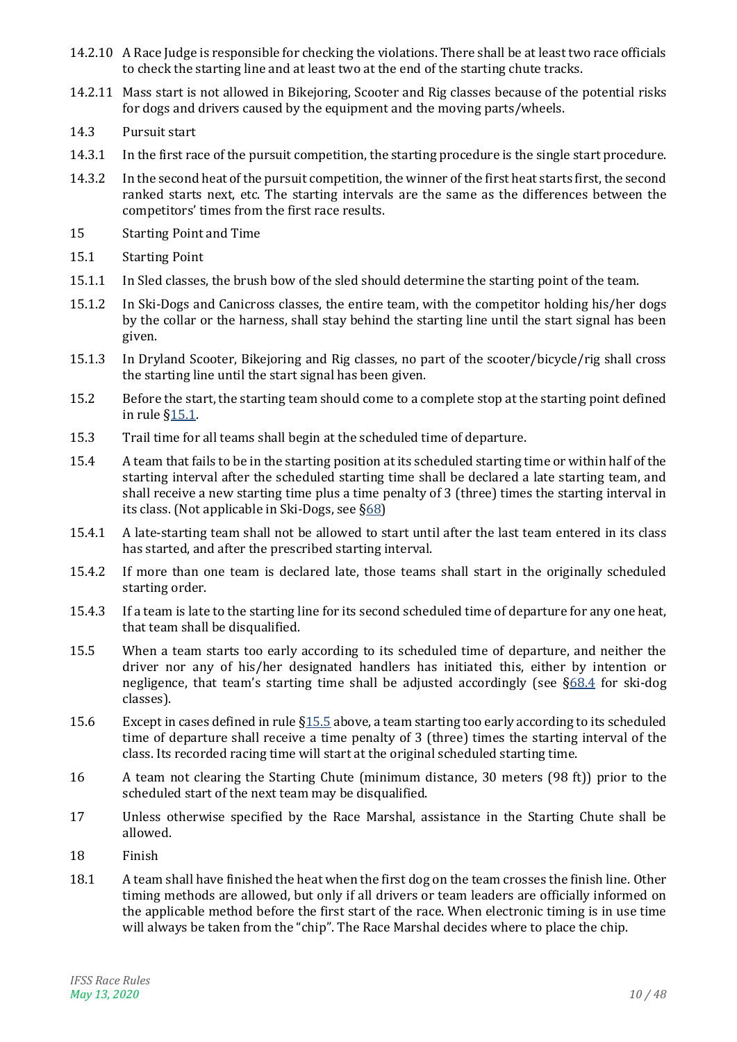- <span id="page-9-5"></span>14.2.10 A Race Judge is responsible for checking the violations. There shall be at least two race officials to check the starting line and at least two at the end of the starting chute tracks.
- 14.2.11 Mass start is not allowed in Bikejoring, Scooter and Rig classes because of the potential risks for dogs and drivers caused by the equipment and the moving parts/wheels.
- <span id="page-9-3"></span>14.3 Pursuit start
- 14.3.1 In the first race of the pursuit competition, the starting procedure is the single start procedure.
- <span id="page-9-2"></span>14.3.2 In the second heat of the pursuit competition, the winner of the first heat starts first, the second ranked starts next, etc. The starting intervals are the same as the differences between the competitors' times from the first race results.
- 15 Starting Point and Time
- <span id="page-9-0"></span>15.1 Starting Point
- 15.1.1 In Sled classes, the brush bow of the sled should determine the starting point of the team.
- 15.1.2 In Ski-Dogs and Canicross classes, the entire team, with the competitor holding his/her dogs by the collar or the harness, shall stay behind the starting line until the start signal has been given.
- 15.1.3 In Dryland Scooter, Bikejoring and Rig classes, no part of the scooter/bicycle/rig shall cross the starting line until the start signal has been given.
- 15.2 Before the start, the starting team should come to a complete stop at the starting point defined in rule [§15.1.](#page-9-0)
- 15.3 Trail time for all teams shall begin at the scheduled time of departure.
- 15.4 A team that fails to be in the starting position at its scheduled starting time or within half of the starting interval after the scheduled starting time shall be declared a late starting team, and shall receive a new starting time plus a time penalty of 3 (three) times the starting interval in its class. (Not applicable in Ski-Dogs, see [§68\)](#page-24-2)
- 15.4.1 A late-starting team shall not be allowed to start until after the last team entered in its class has started, and after the prescribed starting interval.
- 15.4.2 If more than one team is declared late, those teams shall start in the originally scheduled starting order.
- 15.4.3 If a team is late to the starting line for its second scheduled time of departure for any one heat, that team shall be disqualified.
- <span id="page-9-1"></span>15.5 When a team starts too early according to its scheduled time of departure, and neither the driver nor any of his/her designated handlers has initiated this, either by intention or negligence, that team's starting time shall be adjusted accordingly (see  $\S68.4$  for ski-dog classes).
- 15.6 Except in cases defined in rule [§15.5](#page-9-1) above, a team starting too early according to its scheduled time of departure shall receive a time penalty of 3 (three) times the starting interval of the class. Its recorded racing time will start at the original scheduled starting time.
- 16 A team not clearing the Starting Chute (minimum distance, 30 meters (98 ft)) prior to the scheduled start of the next team may be disqualified.
- 17 Unless otherwise specified by the Race Marshal, assistance in the Starting Chute shall be allowed.
- <span id="page-9-4"></span>18 Finish
- 18.1 A team shall have finished the heat when the first dog on the team crosses the finish line. Other timing methods are allowed, but only if all drivers or team leaders are officially informed on the applicable method before the first start of the race. When electronic timing is in use time will always be taken from the "chip". The Race Marshal decides where to place the chip.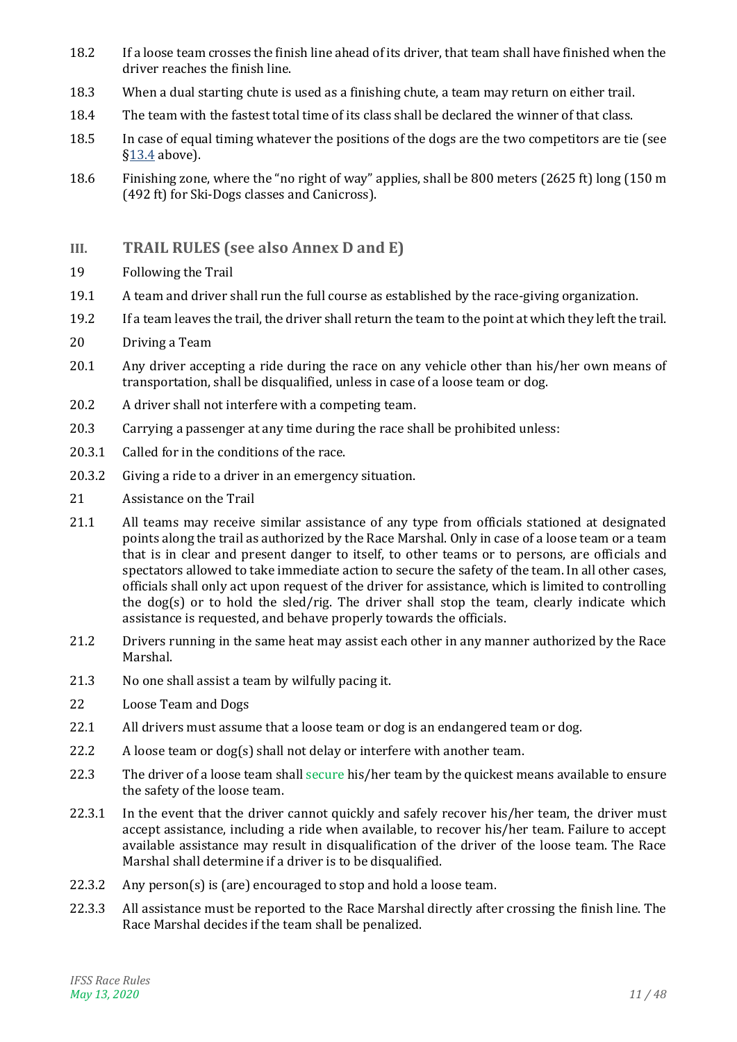- 18.2 If a loose team crosses the finish line ahead of its driver, that team shall have finished when the driver reaches the finish line.
- 18.3 When a dual starting chute is used as a finishing chute, a team may return on either trail.
- 18.4 The team with the fastest total time of its class shall be declared the winner of that class.
- 18.5 In case of equal timing whatever the positions of the dogs are the two competitors are tie (see [§13.4](#page-8-1) above).
- <span id="page-10-1"></span>18.6 Finishing zone, where the "no right of way" applies, shall be 800 meters (2625 ft) long (150 m (492 ft) for Ski-Dogs classes and Canicross).
- <span id="page-10-0"></span>**III. TRAIL RULES (see also Annex D and E)**
- 19 Following the Trail
- 19.1 A team and driver shall run the full course as established by the race-giving organization.
- 19.2 If a team leaves the trail, the driver shall return the team to the point at which they left the trail.
- 20 Driving a Team
- 20.1 Any driver accepting a ride during the race on any vehicle other than his/her own means of transportation, shall be disqualified, unless in case of a loose team or dog.
- 20.2 A driver shall not interfere with a competing team.
- 20.3 Carrying a passenger at any time during the race shall be prohibited unless:
- 20.3.1 Called for in the conditions of the race.
- 20.3.2 Giving a ride to a driver in an emergency situation.
- 21 Assistance on the Trail
- 21.1 All teams may receive similar assistance of any type from officials stationed at designated points along the trail as authorized by the Race Marshal. Only in case of a loose team or a team that is in clear and present danger to itself, to other teams or to persons, are officials and spectators allowed to take immediate action to secure the safety of the team. In all other cases, officials shall only act upon request of the driver for assistance, which is limited to controlling the dog(s) or to hold the sled/rig. The driver shall stop the team, clearly indicate which assistance is requested, and behave properly towards the officials.
- 21.2 Drivers running in the same heat may assist each other in any manner authorized by the Race Marshal.
- 21.3 No one shall assist a team by wilfully pacing it.
- 22 Loose Team and Dogs
- 22.1 All drivers must assume that a loose team or dog is an endangered team or dog.
- 22.2 A loose team or dog(s) shall not delay or interfere with another team.
- 22.3 The driver of a loose team shall secure his/her team by the quickest means available to ensure the safety of the loose team.
- 22.3.1 In the event that the driver cannot quickly and safely recover his/her team, the driver must accept assistance, including a ride when available, to recover his/her team. Failure to accept available assistance may result in disqualification of the driver of the loose team. The Race Marshal shall determine if a driver is to be disqualified.
- 22.3.2 Any person(s) is (are) encouraged to stop and hold a loose team.
- 22.3.3 All assistance must be reported to the Race Marshal directly after crossing the finish line. The Race Marshal decides if the team shall be penalized.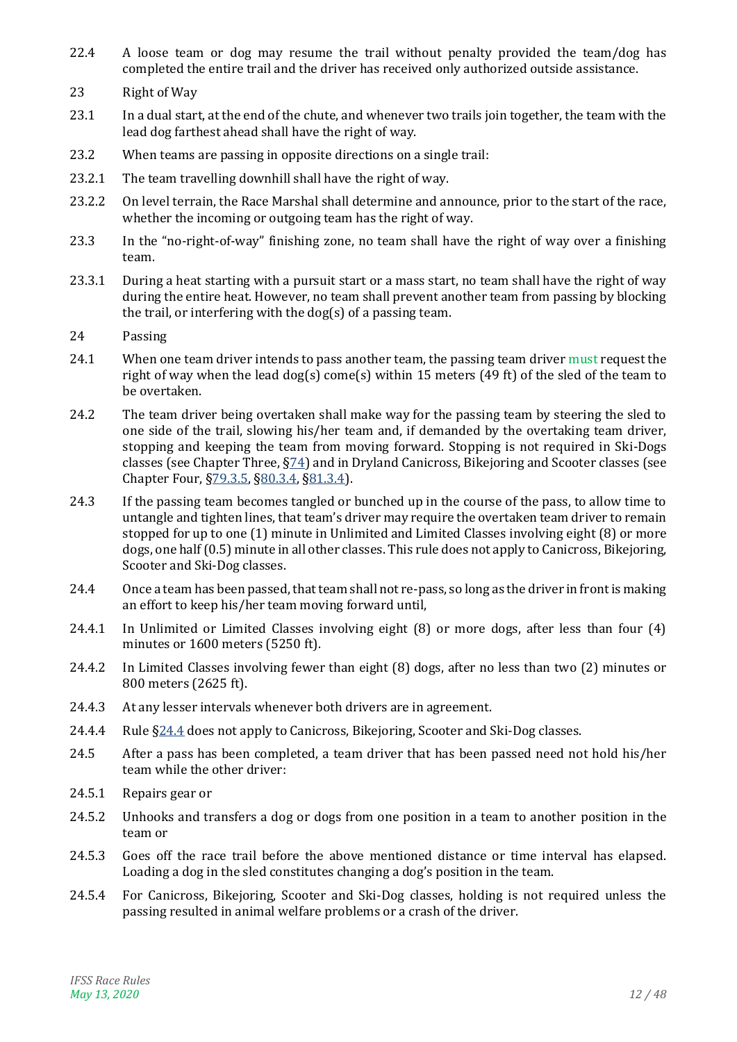- 22.4 A loose team or dog may resume the trail without penalty provided the team/dog has completed the entire trail and the driver has received only authorized outside assistance.
- 23 Right of Way
- 23.1 In a dual start, at the end of the chute, and whenever two trails join together, the team with the lead dog farthest ahead shall have the right of way.
- 23.2 When teams are passing in opposite directions on a single trail:
- 23.2.1 The team travelling downhill shall have the right of way.
- 23.2.2 On level terrain, the Race Marshal shall determine and announce, prior to the start of the race, whether the incoming or outgoing team has the right of way.
- 23.3 In the "no-right-of-way" finishing zone, no team shall have the right of way over a finishing team.
- 23.3.1 During a heat starting with a pursuit start or a mass start, no team shall have the right of way during the entire heat. However, no team shall prevent another team from passing by blocking the trail, or interfering with the dog(s) of a passing team.

#### 24 Passing

- 24.1 When one team driver intends to pass another team, the passing team driver must request the right of way when the lead dog(s) come(s) within 15 meters (49 ft) of the sled of the team to be overtaken.
- 24.2 The team driver being overtaken shall make way for the passing team by steering the sled to one side of the trail, slowing his/her team and, if demanded by the overtaking team driver, stopping and keeping the team from moving forward. Stopping is not required in Ski-Dogs classes (see Chapter Three, [§74\)](#page-24-4) and in Dryland Canicross, Bikejoring and Scooter classes (see Chapter Four, [§79.3.5,](#page-27-1) [§80.3.4,](#page-27-2) [§81.3.4\)](#page-28-2).
- 24.3 If the passing team becomes tangled or bunched up in the course of the pass, to allow time to untangle and tighten lines, that team's driver may require the overtaken team driver to remain stopped for up to one (1) minute in Unlimited and Limited Classes involving eight (8) or more dogs, one half (0.5) minute in all other classes. This rule does not apply to Canicross, Bikejoring, Scooter and Ski-Dog classes.
- <span id="page-11-0"></span>24.4 Once a team has been passed, that team shall not re-pass, so long as the driver in front is making an effort to keep his/her team moving forward until,
- 24.4.1 In Unlimited or Limited Classes involving eight (8) or more dogs, after less than four (4) minutes or 1600 meters (5250 ft).
- 24.4.2 In Limited Classes involving fewer than eight (8) dogs, after no less than two (2) minutes or 800 meters (2625 ft).
- 24.4.3 At any lesser intervals whenever both drivers are in agreement.
- 24.4.4 Rule  $\S24.4$  does not apply to Canicross, Bikejoring, Scooter and Ski-Dog classes.
- 24.5 After a pass has been completed, a team driver that has been passed need not hold his/her team while the other driver:
- 24.5.1 Repairs gear or
- 24.5.2 Unhooks and transfers a dog or dogs from one position in a team to another position in the team or
- 24.5.3 Goes off the race trail before the above mentioned distance or time interval has elapsed. Loading a dog in the sled constitutes changing a dog's position in the team.
- 24.5.4 For Canicross, Bikejoring, Scooter and Ski-Dog classes, holding is not required unless the passing resulted in animal welfare problems or a crash of the driver.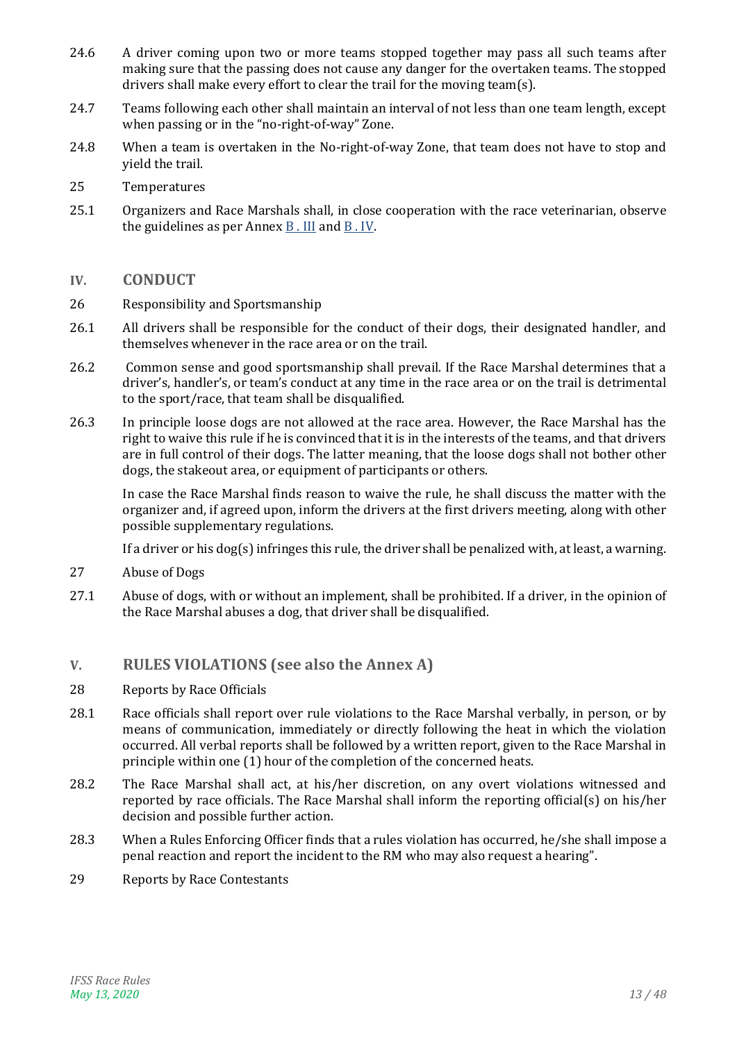- 24.6 A driver coming upon two or more teams stopped together may pass all such teams after making sure that the passing does not cause any danger for the overtaken teams. The stopped drivers shall make every effort to clear the trail for the moving team(s).
- 24.7 Teams following each other shall maintain an interval of not less than one team length, except when passing or in the "no-right-of-way" Zone.
- 24.8 When a team is overtaken in the No-right-of-way Zone, that team does not have to stop and yield the trail.
- 25 Temperatures
- 25.1 Organizers and Race Marshals shall, in close cooperation with the race veterinarian, observe the guidelines as per Annex [B . III](#page-35-1) and [B . IV.](#page-35-2)

#### <span id="page-12-0"></span>**IV. CONDUCT**

- 26 Responsibility and Sportsmanship
- 26.1 All drivers shall be responsible for the conduct of their dogs, their designated handler, and themselves whenever in the race area or on the trail.
- 26.2 Common sense and good sportsmanship shall prevail. If the Race Marshal determines that a driver's, handler's, or team's conduct at any time in the race area or on the trail is detrimental to the sport/race, that team shall be disqualified.
- 26.3 In principle loose dogs are not allowed at the race area. However, the Race Marshal has the right to waive this rule if he is convinced that it is in the interests of the teams, and that drivers are in full control of their dogs. The latter meaning, that the loose dogs shall not bother other dogs, the stakeout area, or equipment of participants or others.

In case the Race Marshal finds reason to waive the rule, he shall discuss the matter with the organizer and, if agreed upon, inform the drivers at the first drivers meeting, along with other possible supplementary regulations.

If a driver or his dog(s) infringes this rule, the driver shall be penalized with, at least, a warning.

- 27 Abuse of Dogs
- <span id="page-12-2"></span>27.1 Abuse of dogs, with or without an implement, shall be prohibited. If a driver, in the opinion of the Race Marshal abuses a dog, that driver shall be disqualified.

# <span id="page-12-1"></span>**V. RULES VIOLATIONS (see also the Annex A)**

- <span id="page-12-3"></span>28 Reports by Race Officials
- 28.1 Race officials shall report over rule violations to the Race Marshal verbally, in person, or by means of communication, immediately or directly following the heat in which the violation occurred. All verbal reports shall be followed by a written report, given to the Race Marshal in principle within one (1) hour of the completion of the concerned heats.
- 28.2 The Race Marshal shall act, at his/her discretion, on any overt violations witnessed and reported by race officials. The Race Marshal shall inform the reporting official(s) on his/her decision and possible further action.
- 28.3 When a Rules Enforcing Officer finds that a rules violation has occurred, he/she shall impose a penal reaction and report the incident to the RM who may also request a hearing".
- 29 Reports by Race Contestants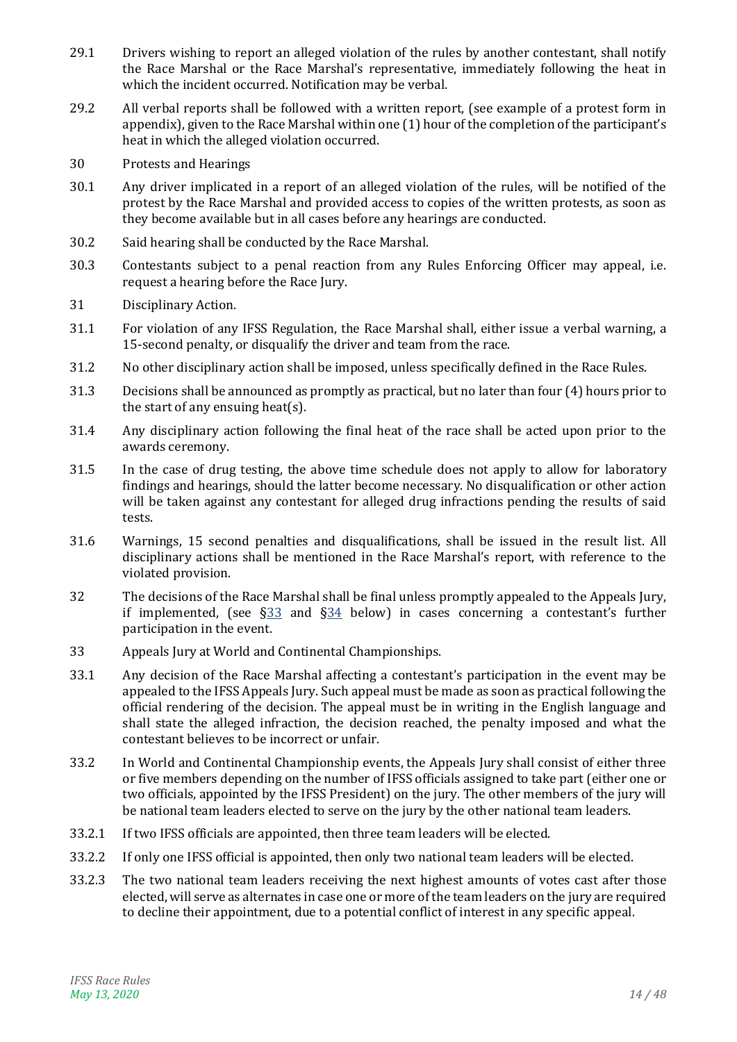- 29.1 Drivers wishing to report an alleged violation of the rules by another contestant, shall notify the Race Marshal or the Race Marshal's representative, immediately following the heat in which the incident occurred. Notification may be verbal.
- 29.2 All verbal reports shall be followed with a written report, (see example of a protest form in appendix), given to the Race Marshal within one (1) hour of the completion of the participant's heat in which the alleged violation occurred.
- 30 Protests and Hearings
- 30.1 Any driver implicated in a report of an alleged violation of the rules, will be notified of the protest by the Race Marshal and provided access to copies of the written protests, as soon as they become available but in all cases before any hearings are conducted.
- 30.2 Said hearing shall be conducted by the Race Marshal.
- 30.3 Contestants subject to a penal reaction from any Rules Enforcing Officer may appeal, i.e. request a hearing before the Race Jury.
- 31 Disciplinary Action.
- 31.1 For violation of any IFSS Regulation, the Race Marshal shall, either issue a verbal warning, a 15-second penalty, or disqualify the driver and team from the race.
- 31.2 No other disciplinary action shall be imposed, unless specifically defined in the Race Rules.
- 31.3 Decisions shall be announced as promptly as practical, but no later than four (4) hours prior to the start of any ensuing heat(s).
- 31.4 Any disciplinary action following the final heat of the race shall be acted upon prior to the awards ceremony.
- 31.5 In the case of drug testing, the above time schedule does not apply to allow for laboratory findings and hearings, should the latter become necessary. No disqualification or other action will be taken against any contestant for alleged drug infractions pending the results of said tests.
- 31.6 Warnings, 15 second penalties and disqualifications, shall be issued in the result list. All disciplinary actions shall be mentioned in the Race Marshal's report, with reference to the violated provision.
- 32 The decisions of the Race Marshal shall be final unless promptly appealed to the Appeals Jury, if implemented, (see  $\S 33$  and  $\S 34$  below) in cases concerning a contestant's further participation in the event.
- <span id="page-13-0"></span>33 Appeals Jury at World and Continental Championships.
- 33.1 Any decision of the Race Marshal affecting a contestant's participation in the event may be appealed to the IFSS Appeals Jury. Such appeal must be made as soon as practical following the official rendering of the decision. The appeal must be in writing in the English language and shall state the alleged infraction, the decision reached, the penalty imposed and what the contestant believes to be incorrect or unfair.
- 33.2 In World and Continental Championship events, the Appeals Jury shall consist of either three or five members depending on the number of IFSS officials assigned to take part (either one or two officials, appointed by the IFSS President) on the jury. The other members of the jury will be national team leaders elected to serve on the jury by the other national team leaders.
- 33.2.1 If two IFSS officials are appointed, then three team leaders will be elected.
- 33.2.2 If only one IFSS official is appointed, then only two national team leaders will be elected.
- 33.2.3 The two national team leaders receiving the next highest amounts of votes cast after those elected, will serve as alternates in case one or more of the team leaders on the jury are required to decline their appointment, due to a potential conflict of interest in any specific appeal.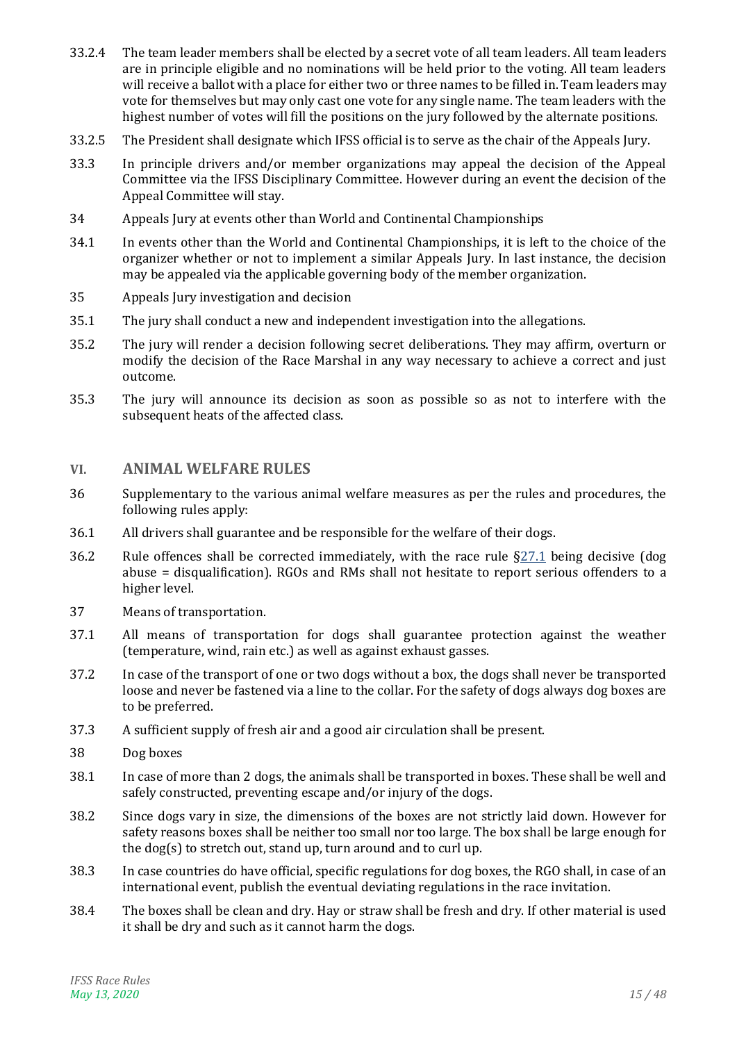- 33.2.4 The team leader members shall be elected by a secret vote of all team leaders. All team leaders are in principle eligible and no nominations will be held prior to the voting. All team leaders will receive a ballot with a place for either two or three names to be filled in. Team leaders may vote for themselves but may only cast one vote for any single name. The team leaders with the highest number of votes will fill the positions on the jury followed by the alternate positions.
- 33.2.5 The President shall designate which IFSS official is to serve as the chair of the Appeals Jury.
- 33.3 In principle drivers and/or member organizations may appeal the decision of the Appeal Committee via the IFSS Disciplinary Committee. However during an event the decision of the Appeal Committee will stay.
- <span id="page-14-1"></span>34 Appeals Jury at events other than World and Continental Championships
- 34.1 In events other than the World and Continental Championships, it is left to the choice of the organizer whether or not to implement a similar Appeals Jury. In last instance, the decision may be appealed via the applicable governing body of the member organization.
- <span id="page-14-2"></span>35 Appeals Jury investigation and decision
- 35.1 The jury shall conduct a new and independent investigation into the allegations.
- 35.2 The jury will render a decision following secret deliberations. They may affirm, overturn or modify the decision of the Race Marshal in any way necessary to achieve a correct and just outcome.
- 35.3 The jury will announce its decision as soon as possible so as not to interfere with the subsequent heats of the affected class.

#### <span id="page-14-0"></span>**VI. ANIMAL WELFARE RULES**

- 36 Supplementary to the various animal welfare measures as per the rules and procedures, the following rules apply:
- 36.1 All drivers shall guarantee and be responsible for the welfare of their dogs.
- 36.2 Rule offences shall be corrected immediately, with the race rule  $\S27.1$  being decisive (dog abuse = disqualification). RGOs and RMs shall not hesitate to report serious offenders to a higher level.
- 37 Means of transportation.
- 37.1 All means of transportation for dogs shall guarantee protection against the weather (temperature, wind, rain etc.) as well as against exhaust gasses.
- 37.2 In case of the transport of one or two dogs without a box, the dogs shall never be transported loose and never be fastened via a line to the collar. For the safety of dogs always dog boxes are to be preferred.
- 37.3 A sufficient supply of fresh air and a good air circulation shall be present.
- 38 Dog boxes
- 38.1 In case of more than 2 dogs, the animals shall be transported in boxes. These shall be well and safely constructed, preventing escape and/or injury of the dogs.
- 38.2 Since dogs vary in size, the dimensions of the boxes are not strictly laid down. However for safety reasons boxes shall be neither too small nor too large. The box shall be large enough for the dog(s) to stretch out, stand up, turn around and to curl up.
- 38.3 In case countries do have official, specific regulations for dog boxes, the RGO shall, in case of an international event, publish the eventual deviating regulations in the race invitation.
- 38.4 The boxes shall be clean and dry. Hay or straw shall be fresh and dry. If other material is used it shall be dry and such as it cannot harm the dogs.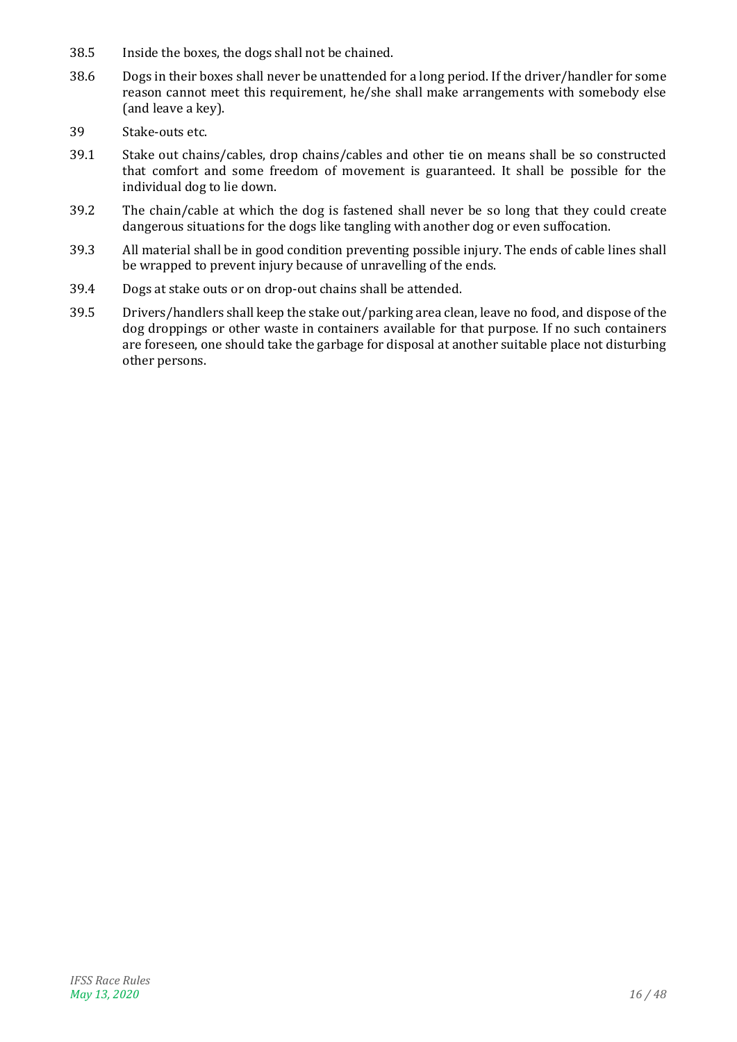- 38.5 Inside the boxes, the dogs shall not be chained.
- 38.6 Dogs in their boxes shall never be unattended for a long period. If the driver/handler for some reason cannot meet this requirement, he/she shall make arrangements with somebody else (and leave a key).
- 39 Stake-outs etc.
- 39.1 Stake out chains/cables, drop chains/cables and other tie on means shall be so constructed that comfort and some freedom of movement is guaranteed. It shall be possible for the individual dog to lie down.
- 39.2 The chain/cable at which the dog is fastened shall never be so long that they could create dangerous situations for the dogs like tangling with another dog or even suffocation.
- 39.3 All material shall be in good condition preventing possible injury. The ends of cable lines shall be wrapped to prevent injury because of unravelling of the ends.
- 39.4 Dogs at stake outs or on drop-out chains shall be attended.
- 39.5 Drivers/handlers shall keep the stake out/parking area clean, leave no food, and dispose of the dog droppings or other waste in containers available for that purpose. If no such containers are foreseen, one should take the garbage for disposal at another suitable place not disturbing other persons.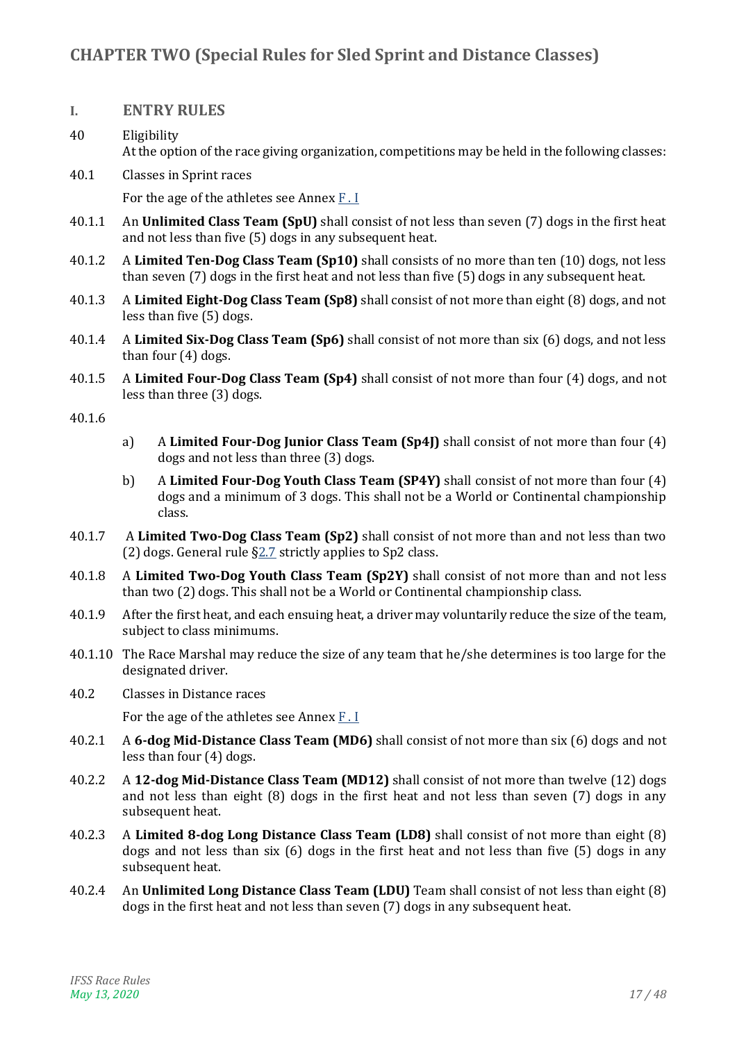# <span id="page-16-1"></span><span id="page-16-0"></span>**I. ENTRY RULES**

- 40 Eligibility At the option of the race giving organization, competitions may be held in the following classes:
- 40.1 Classes in Sprint races For the age of the athletes see Annex [F . I](#page-42-1)
- 40.1.1 An **Unlimited Class Team (SpU)** shall consist of not less than seven (7) dogs in the first heat and not less than five (5) dogs in any subsequent heat.
- 40.1.2 A **Limited Ten-Dog Class Team (Sp10)** shall consists of no more than ten (10) dogs, not less than seven (7) dogs in the first heat and not less than five (5) dogs in any subsequent heat.
- 40.1.3 A **Limited Eight-Dog Class Team (Sp8)** shall consist of not more than eight (8) dogs, and not less than five (5) dogs.
- 40.1.4 A **Limited Six-Dog Class Team (Sp6)** shall consist of not more than six (6) dogs, and not less than four (4) dogs.
- 40.1.5 A **Limited Four-Dog Class Team (Sp4)** shall consist of not more than four (4) dogs, and not less than three (3) dogs.

#### 40.1.6

- a) A **Limited Four-Dog Junior Class Team (Sp4J)** shall consist of not more than four (4) dogs and not less than three (3) dogs.
- b) A **Limited Four-Dog Youth Class Team (SP4Y)** shall consist of not more than four (4) dogs and a minimum of 3 dogs. This shall not be a World or Continental championship class.
- 40.1.7 A **Limited Two-Dog Class Team (Sp2)** shall consist of not more than and not less than two (2) dogs. General rule [§2.7](#page-5-0) strictly applies to Sp2 class.
- 40.1.8 A **Limited Two-Dog Youth Class Team (Sp2Y)** shall consist of not more than and not less than two (2) dogs. This shall not be a World or Continental championship class.
- 40.1.9 After the first heat, and each ensuing heat, a driver may voluntarily reduce the size of the team, subject to class minimums.
- 40.1.10 The Race Marshal may reduce the size of any team that he/she determines is too large for the designated driver.
- 40.2 Classes in Distance races

For the age of the athletes see Annex  $\underline{F}$ . I

- 40.2.1 A **6-dog Mid-Distance Class Team (MD6)** shall consist of not more than six (6) dogs and not less than four (4) dogs.
- 40.2.2 A **12-dog Mid-Distance Class Team (MD12)** shall consist of not more than twelve (12) dogs and not less than eight (8) dogs in the first heat and not less than seven (7) dogs in any subsequent heat.
- 40.2.3 A **Limited 8-dog Long Distance Class Team (LD8)** shall consist of not more than eight (8) dogs and not less than six (6) dogs in the first heat and not less than five (5) dogs in any subsequent heat.
- 40.2.4 An **Unlimited Long Distance Class Team (LDU)** Team shall consist of not less than eight (8) dogs in the first heat and not less than seven (7) dogs in any subsequent heat.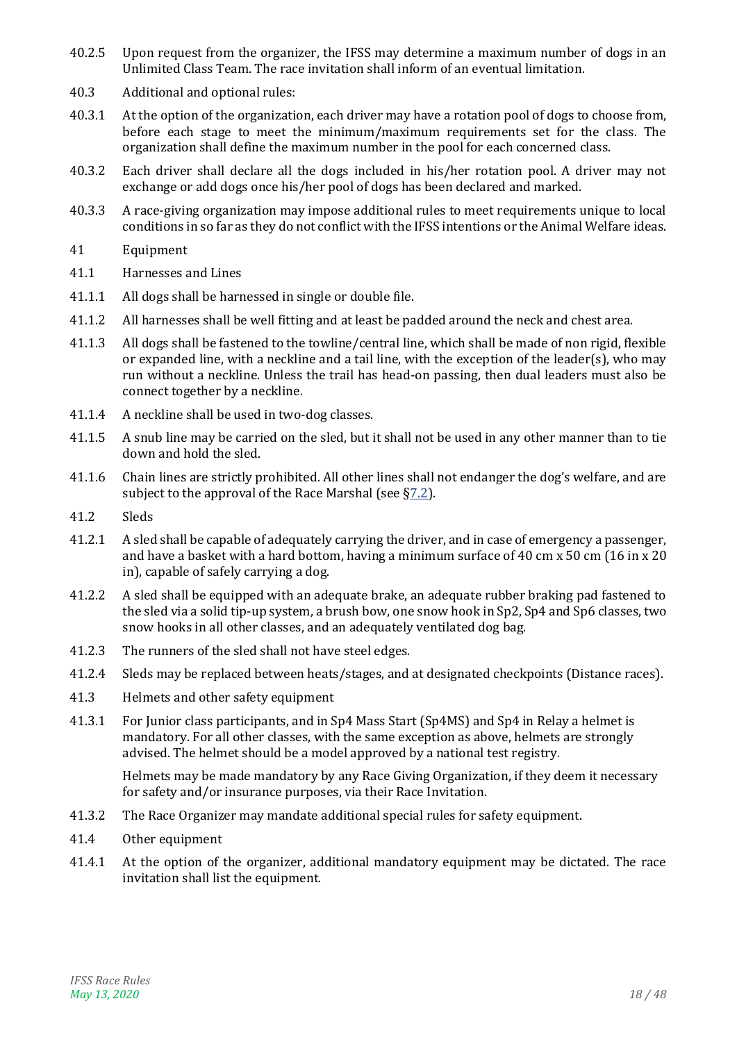- 40.2.5 Upon request from the organizer, the IFSS may determine a maximum number of dogs in an Unlimited Class Team. The race invitation shall inform of an eventual limitation.
- 40.3 Additional and optional rules:
- 40.3.1 At the option of the organization, each driver may have a rotation pool of dogs to choose from, before each stage to meet the minimum/maximum requirements set for the class. The organization shall define the maximum number in the pool for each concerned class.
- 40.3.2 Each driver shall declare all the dogs included in his/her rotation pool. A driver may not exchange or add dogs once his/her pool of dogs has been declared and marked.
- 40.3.3 A race-giving organization may impose additional rules to meet requirements unique to local conditions in so far as they do not conflict with the IFSS intentions or the Animal Welfare ideas.
- 41 Equipment
- 41.1 Harnesses and Lines
- 41.1.1 All dogs shall be harnessed in single or double file.
- 41.1.2 All harnesses shall be well fitting and at least be padded around the neck and chest area.
- 41.1.3 All dogs shall be fastened to the towline/central line, which shall be made of non rigid, flexible or expanded line, with a neckline and a tail line, with the exception of the leader(s), who may run without a neckline. Unless the trail has head-on passing, then dual leaders must also be connect together by a neckline.
- 41.1.4 A neckline shall be used in two-dog classes.
- 41.1.5 A snub line may be carried on the sled, but it shall not be used in any other manner than to tie down and hold the sled.
- 41.1.6 Chain lines are strictly prohibited. All other lines shall not endanger the dog's welfare, and are subject to the approval of the Race Marshal (see [§7.2\)](#page-6-0).
- 41.2 Sleds
- 41.2.1 A sled shall be capable of adequately carrying the driver, and in case of emergency a passenger, and have a basket with a hard bottom, having a minimum surface of 40 cm  $x$  50 cm (16 in  $x$  20 in), capable of safely carrying a dog.
- 41.2.2 A sled shall be equipped with an adequate brake, an adequate rubber braking pad fastened to the sled via a solid tip-up system, a brush bow, one snow hook in Sp2, Sp4 and Sp6 classes, two snow hooks in all other classes, and an adequately ventilated dog bag.
- 41.2.3 The runners of the sled shall not have steel edges.
- 41.2.4 Sleds may be replaced between heats/stages, and at designated checkpoints (Distance races).
- 41.3 Helmets and other safety equipment
- 41.3.1 For Junior class participants, and in Sp4 Mass Start (Sp4MS) and Sp4 in Relay a helmet is mandatory. For all other classes, with the same exception as above, helmets are strongly advised. The helmet should be a model approved by a national test registry.

Helmets may be made mandatory by any Race Giving Organization, if they deem it necessary for safety and/or insurance purposes, via their Race Invitation.

- 41.3.2 The Race Organizer may mandate additional special rules for safety equipment.
- 41.4 Other equipment
- 41.4.1 At the option of the organizer, additional mandatory equipment may be dictated. The race invitation shall list the equipment.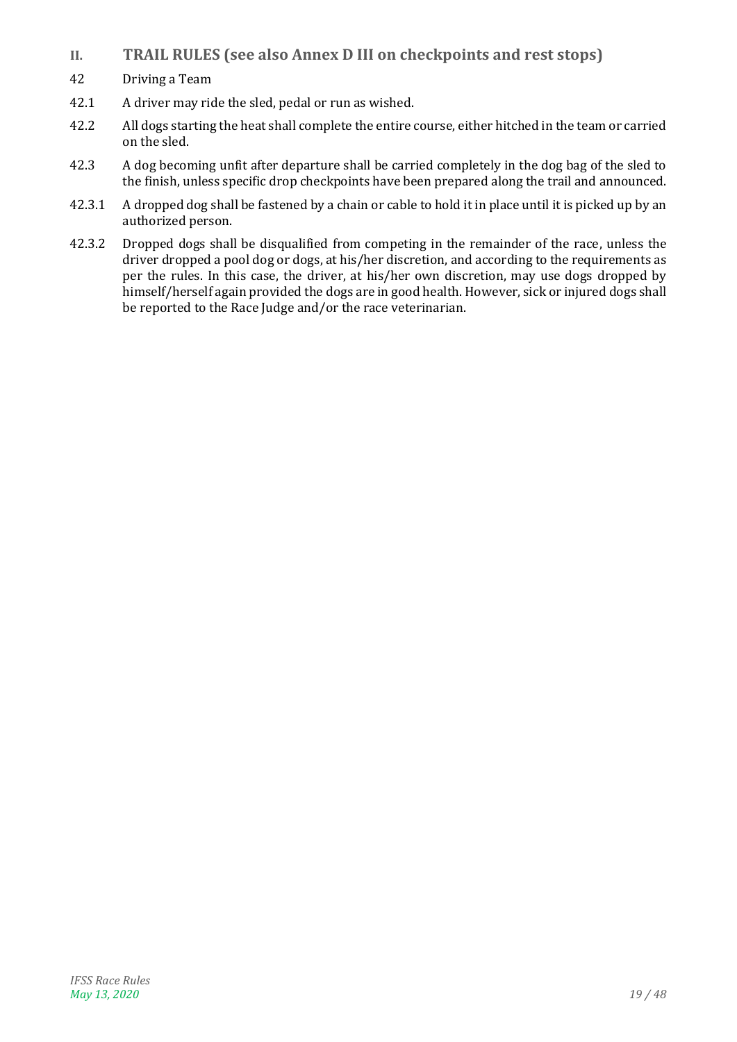- <span id="page-18-0"></span>**II. TRAIL RULES (see also Annex D III on checkpoints and rest stops)**
- 42 Driving a Team
- 42.1 A driver may ride the sled, pedal or run as wished.
- 42.2 All dogs starting the heat shall complete the entire course, either hitched in the team or carried on the sled.
- 42.3 A dog becoming unfit after departure shall be carried completely in the dog bag of the sled to the finish, unless specific drop checkpoints have been prepared along the trail and announced.
- 42.3.1 A dropped dog shall be fastened by a chain or cable to hold it in place until it is picked up by an authorized person.
- 42.3.2 Dropped dogs shall be disqualified from competing in the remainder of the race, unless the driver dropped a pool dog or dogs, at his/her discretion, and according to the requirements as per the rules. In this case, the driver, at his/her own discretion, may use dogs dropped by himself/herself again provided the dogs are in good health. However, sick or injured dogs shall be reported to the Race Judge and/or the race veterinarian.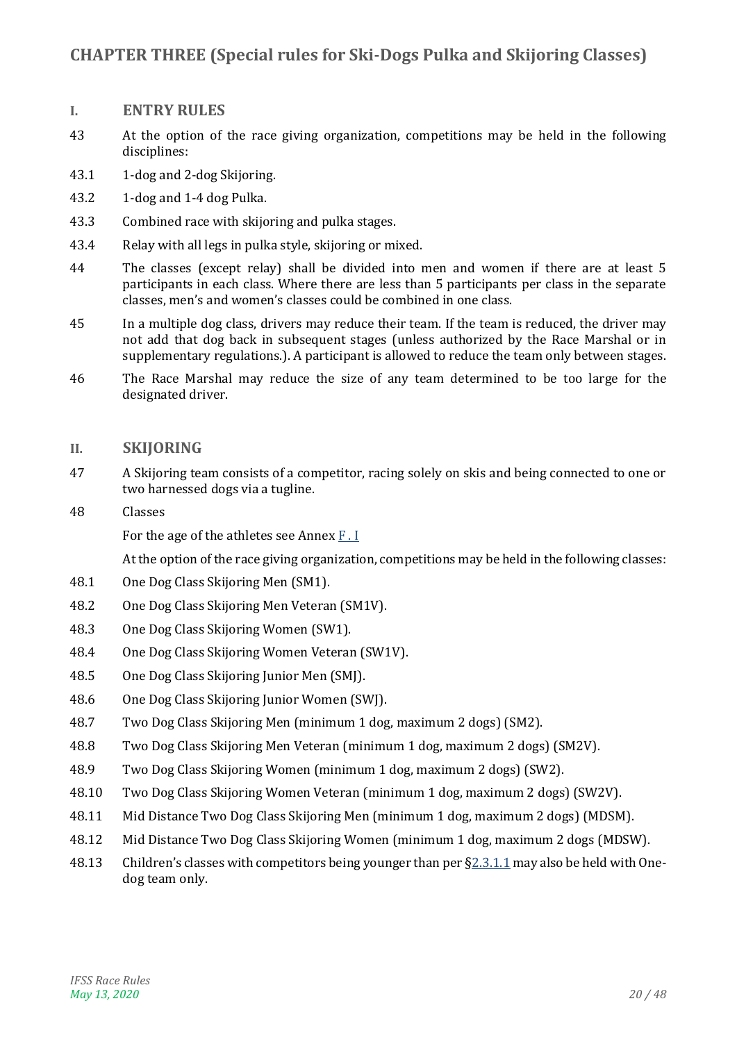# <span id="page-19-1"></span><span id="page-19-0"></span>**I. ENTRY RULES**

- 43 At the option of the race giving organization, competitions may be held in the following disciplines:
- 43.1 1-dog and 2-dog Skijoring.
- 43.2 1-dog and 1-4 dog Pulka.
- 43.3 Combined race with skijoring and pulka stages.
- 43.4 Relay with all legs in pulka style, skijoring or mixed.
- 44 The classes (except relay) shall be divided into men and women if there are at least 5 participants in each class. Where there are less than 5 participants per class in the separate classes, men's and women's classes could be combined in one class.
- 45 In a multiple dog class, drivers may reduce their team. If the team is reduced, the driver may not add that dog back in subsequent stages (unless authorized by the Race Marshal or in supplementary regulations.). A participant is allowed to reduce the team only between stages.
- 46 The Race Marshal may reduce the size of any team determined to be too large for the designated driver.

# <span id="page-19-2"></span>**II. SKIJORING**

- 47 A Skijoring team consists of a competitor, racing solely on skis and being connected to one or two harnessed dogs via a tugline.
- 48 Classes

For the age of the athletes see Annex [F . I](#page-42-1)

- 48.1 One Dog Class Skijoring Men (SM1).
- 48.2 One Dog Class Skijoring Men Veteran (SM1V).
- 48.3 One Dog Class Skijoring Women (SW1).
- 48.4 One Dog Class Skijoring Women Veteran (SW1V).
- 48.5 One Dog Class Skijoring Junior Men (SMJ).
- 48.6 One Dog Class Skijoring Junior Women (SWJ).
- 48.7 Two Dog Class Skijoring Men (minimum 1 dog, maximum 2 dogs) (SM2).
- 48.8 Two Dog Class Skijoring Men Veteran (minimum 1 dog, maximum 2 dogs) (SM2V).
- 48.9 Two Dog Class Skijoring Women (minimum 1 dog, maximum 2 dogs) (SW2).
- 48.10 Two Dog Class Skijoring Women Veteran (minimum 1 dog, maximum 2 dogs) (SW2V).
- 48.11 Mid Distance Two Dog Class Skijoring Men (minimum 1 dog, maximum 2 dogs) (MDSM).
- 48.12 Mid Distance Two Dog Class Skijoring Women (minimum 1 dog, maximum 2 dogs (MDSW).
- 48.13 Children's classes with competitors being younger than per §[2.3.1.1](#page-4-2) may also be held with Onedog team only.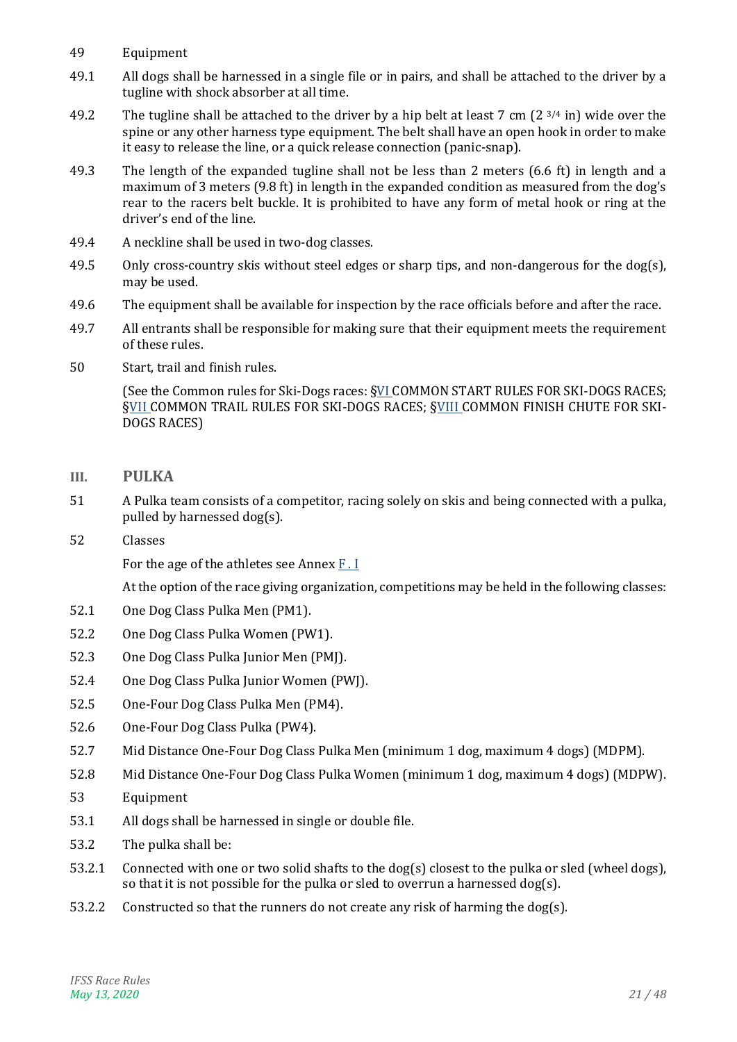- <span id="page-20-1"></span>49 Equipment
- 49.1 All dogs shall be harnessed in a single file or in pairs, and shall be attached to the driver by a tugline with shock absorber at all time.
- 49.2 The tugline shall be attached to the driver by a hip belt at least 7 cm  $(2^{3/4} \text{ in})$  wide over the spine or any other harness type equipment. The belt shall have an open hook in order to make it easy to release the line, or a quick release connection (panic-snap).
- 49.3 The length of the expanded tugline shall not be less than 2 meters (6.6 ft) in length and a maximum of 3 meters (9.8 ft) in length in the expanded condition as measured from the dog's rear to the racers belt buckle. It is prohibited to have any form of metal hook or ring at the driver's end of the line.
- 49.4 A neckline shall be used in two-dog classes.
- 49.5 Only cross-country skis without steel edges or sharp tips, and non-dangerous for the dog(s), may be used.
- 49.6 The equipment shall be available for inspection by the race officials before and after the race.
- 49.7 All entrants shall be responsible for making sure that their equipment meets the requirement of these rules.
- 50 Start, trail and finish rules.

(See the Common rules for Ski-Dogs races: [§VI](#page-24-0) [COMMON START RULES FOR SKI-DOGS RACES;](#page-24-0) [§VII](#page-24-1) [COMMON TRAIL RULES FOR SKI-DOGS RACES;](#page-24-1) [§VIII](#page-25-0) [COMMON FINISH CHUTE FOR SKI-](#page-25-0)[DOGS RACES\)](#page-25-0)

- <span id="page-20-0"></span>**III. PULKA**
- 51 A Pulka team consists of a competitor, racing solely on skis and being connected with a pulka, pulled by harnessed dog(s).
- 52 Classes

For the age of the athletes see Annex [F . I](#page-42-1)

- 52.1 One Dog Class Pulka Men (PM1).
- 52.2 One Dog Class Pulka Women (PW1).
- 52.3 One Dog Class Pulka Junior Men (PMJ).
- 52.4 One Dog Class Pulka Junior Women (PWJ).
- 52.5 One-Four Dog Class Pulka Men (PM4).
- 52.6 One-Four Dog Class Pulka (PW4).
- 52.7 Mid Distance One-Four Dog Class Pulka Men (minimum 1 dog, maximum 4 dogs) (MDPM).
- 52.8 Mid Distance One-Four Dog Class Pulka Women (minimum 1 dog, maximum 4 dogs) (MDPW).
- <span id="page-20-2"></span>53 Equipment
- 53.1 All dogs shall be harnessed in single or double file.
- 53.2 The pulka shall be:
- 53.2.1 Connected with one or two solid shafts to the dog(s) closest to the pulka or sled (wheel dogs), so that it is not possible for the pulka or sled to overrun a harnessed dog(s).
- 53.2.2 Constructed so that the runners do not create any risk of harming the dog(s).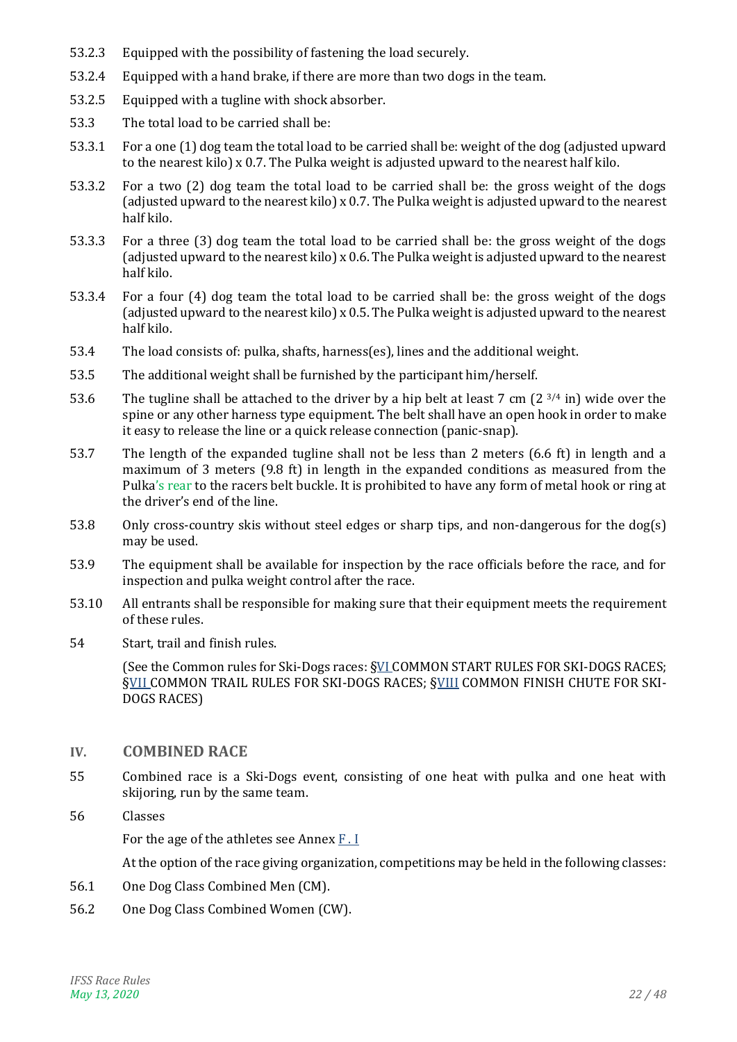- 53.2.3 Equipped with the possibility of fastening the load securely.
- 53.2.4 Equipped with a hand brake, if there are more than two dogs in the team.
- 53.2.5 Equipped with a tugline with shock absorber.
- 53.3 The total load to be carried shall be:
- 53.3.1 For a one (1) dog team the total load to be carried shall be: weight of the dog (adjusted upward to the nearest kilo)  $x$  0.7. The Pulka weight is adjusted upward to the nearest half kilo.
- 53.3.2 For a two (2) dog team the total load to be carried shall be: the gross weight of the dogs (adjusted upward to the nearest kilo) x 0.7. The Pulka weight is adjusted upward to the nearest half kilo.
- 53.3.3 For a three (3) dog team the total load to be carried shall be: the gross weight of the dogs (adjusted upward to the nearest kilo) x 0.6. The Pulka weight is adjusted upward to the nearest half kilo.
- 53.3.4 For a four (4) dog team the total load to be carried shall be: the gross weight of the dogs (adjusted upward to the nearest kilo) x 0.5. The Pulka weight is adjusted upward to the nearest half kilo.
- 53.4 The load consists of: pulka, shafts, harness(es), lines and the additional weight.
- 53.5 The additional weight shall be furnished by the participant him/herself.
- 53.6 The tugline shall be attached to the driver by a hip belt at least 7 cm (2  $^{3/4}$  in) wide over the spine or any other harness type equipment. The belt shall have an open hook in order to make it easy to release the line or a quick release connection (panic-snap).
- 53.7 The length of the expanded tugline shall not be less than 2 meters (6.6 ft) in length and a maximum of 3 meters (9.8 ft) in length in the expanded conditions as measured from the Pulka's rear to the racers belt buckle. It is prohibited to have any form of metal hook or ring at the driver's end of the line.
- 53.8 Only cross-country skis without steel edges or sharp tips, and non-dangerous for the dog(s) may be used.
- 53.9 The equipment shall be available for inspection by the race officials before the race, and for inspection and pulka weight control after the race.
- 53.10 All entrants shall be responsible for making sure that their equipment meets the requirement of these rules.
- 54 Start, trail and finish rules.

(See the Common rules for Ski-Dogs races: [§VI](#page-24-0) [COMMON START RULES FOR SKI-DOGS RACES;](#page-24-0) **[§VII](#page-24-1) [COMMON TRAIL RULES FOR SKI-DOGS RACES;](#page-24-1) [§VIII](#page-25-0) [COMMON FINISH CHUTE FOR SKI-](#page-25-0)**[DOGS RACES\)](#page-25-0)

#### <span id="page-21-0"></span>**IV. COMBINED RACE**

- 55 Combined race is a Ski-Dogs event, consisting of one heat with pulka and one heat with skijoring, run by the same team.
- 56 Classes

For the age of the athletes see Annex [F . I](#page-42-1)

- 56.1 One Dog Class Combined Men (CM).
- 56.2 One Dog Class Combined Women (CW).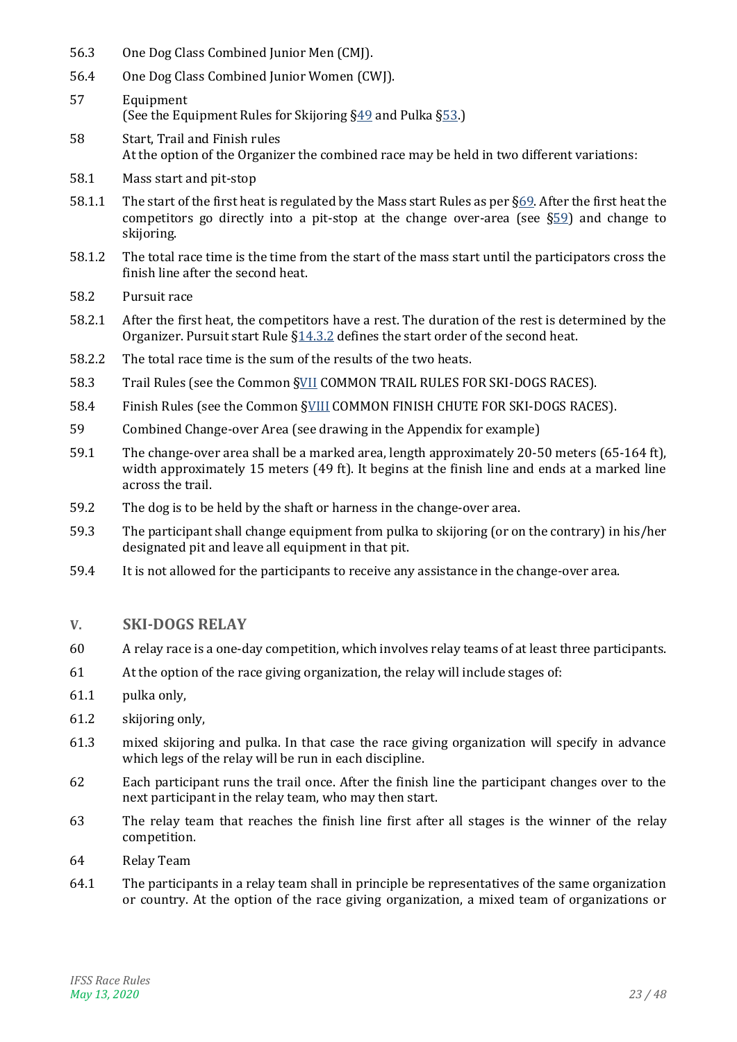- 56.3 One Dog Class Combined Junior Men (CMJ).
- 56.4 One Dog Class Combined Junior Women (CWJ).
- 57 Equipment (See the Equipment Rules for Skijoring  $\S49$  and Pulka  $\S53$ .)
- 58 Start, Trail and Finish rules At the option of the Organizer the combined race may be held in two different variations:
- 58.1 Mass start and pit-stop
- 58.1.1 The start of the first heat is regulated by the Mass start Rules as per [§69.](#page-24-5) After the first heat the competitors go directly into a pit-stop at the change over-area (see  $\S59$ ) and change to skijoring.
- 58.1.2 The total race time is the time from the start of the mass start until the participators cross the finish line after the second heat.
- 58.2 Pursuit race
- 58.2.1 After the first heat, the competitors have a rest. The duration of the rest is determined by the Organizer. Pursuit start Rule [§14.3.2](#page-9-2) defines the start order of the second heat.
- 58.2.2 The total race time is the sum of the results of the two heats.
- 58.3 Trail Rules (see the Common [§VII](#page-24-1) [COMMON TRAIL RULES FOR SKI-DOGS RACES\)](#page-24-1).
- 58.4 Finish Rules (see the Common [§VIII](#page-25-0) [COMMON FINISH CHUTE FOR SKI-DOGS RACES\)](#page-25-0).
- <span id="page-22-1"></span>59 Combined Change-over Area (see drawing in the Appendix for example)
- 59.1 The change-over area shall be a marked area, length approximately 20-50 meters (65-164 ft), width approximately 15 meters (49 ft). It begins at the finish line and ends at a marked line across the trail.
- 59.2 The dog is to be held by the shaft or harness in the change-over area.
- 59.3 The participant shall change equipment from pulka to skijoring (or on the contrary) in his/her designated pit and leave all equipment in that pit.
- 59.4 It is not allowed for the participants to receive any assistance in the change-over area.

# <span id="page-22-0"></span>**V. SKI-DOGS RELAY**

- 60 A relay race is a one-day competition, which involves relay teams of at least three participants.
- 61 At the option of the race giving organization, the relay will include stages of:
- 61.1 pulka only,
- 61.2 skijoring only,
- 61.3 mixed skijoring and pulka. In that case the race giving organization will specify in advance which legs of the relay will be run in each discipline.
- 62 Each participant runs the trail once. After the finish line the participant changes over to the next participant in the relay team, who may then start.
- 63 The relay team that reaches the finish line first after all stages is the winner of the relay competition.
- 64 Relay Team
- 64.1 The participants in a relay team shall in principle be representatives of the same organization or country. At the option of the race giving organization, a mixed team of organizations or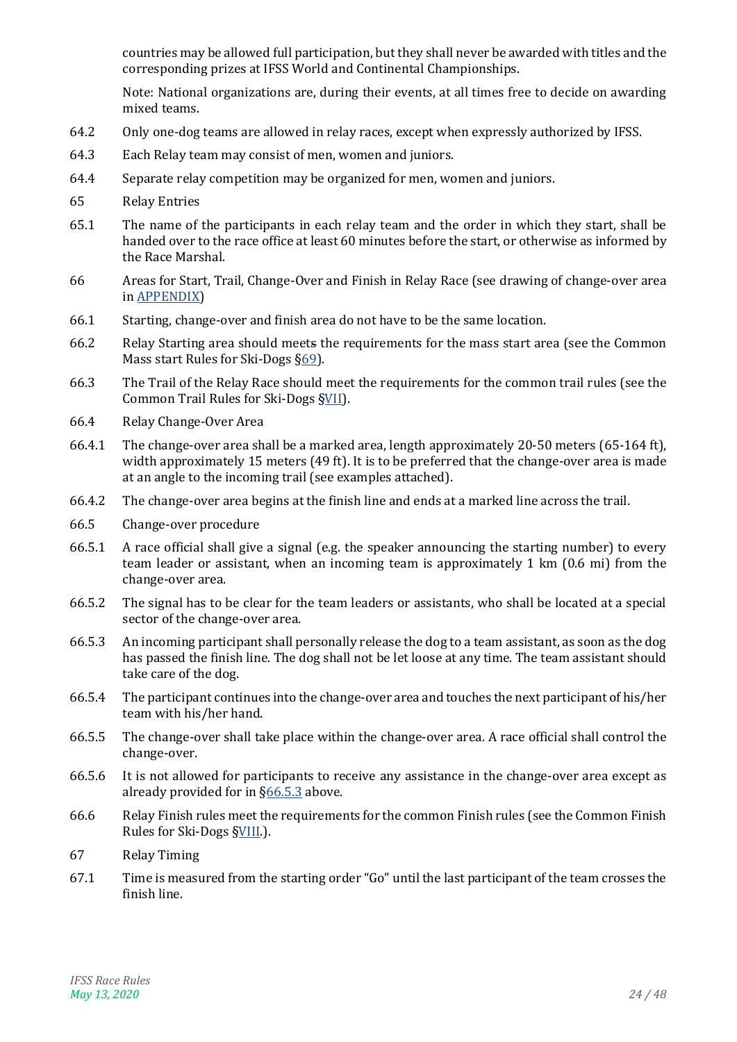countries may be allowed full participation, but they shall never be awarded with titles and the corresponding prizes at IFSS World and Continental Championships.

Note: National organizations are, during their events, at all times free to decide on awarding mixed teams.

- 64.2 Only one-dog teams are allowed in relay races, except when expressly authorized by IFSS.
- 64.3 Each Relay team may consist of men, women and juniors.
- 64.4 Separate relay competition may be organized for men, women and juniors.
- 65 Relay Entries
- 65.1 The name of the participants in each relay team and the order in which they start, shall be handed over to the race office at least 60 minutes before the start, or otherwise as informed by the Race Marshal.
- 66 Areas for Start, Trail, Change-Over and Finish in Relay Race (see drawing of change-over area in [APPENDIX\)](#page-43-0)
- 66.1 Starting, change-over and finish area do not have to be the same location.
- 66.2 Relay Starting area should meets the requirements for the mass start area (see the Common Mass start Rules for Ski-Dogs [§69\)](#page-24-5).
- 66.3 The Trail of the Relay Race should meet the requirements for the common trail rules (see the Common Trail Rules for Ski-Dogs [§VII\)](#page-24-1).
- 66.4 Relay Change-Over Area
- 66.4.1 The change-over area shall be a marked area, length approximately 20-50 meters (65-164 ft), width approximately 15 meters (49 ft). It is to be preferred that the change-over area is made at an angle to the incoming trail (see examples attached).
- 66.4.2 The change-over area begins at the finish line and ends at a marked line across the trail.
- 66.5 Change-over procedure
- 66.5.1 A race official shall give a signal (e.g. the speaker announcing the starting number) to every team leader or assistant, when an incoming team is approximately 1 km (0.6 mi) from the change-over area.
- 66.5.2 The signal has to be clear for the team leaders or assistants, who shall be located at a special sector of the change-over area.
- <span id="page-23-0"></span>66.5.3 An incoming participant shall personally release the dog to a team assistant, as soon as the dog has passed the finish line. The dog shall not be let loose at any time. The team assistant should take care of the dog.
- 66.5.4 The participant continues into the change-over area and touches the next participant of his/her team with his/her hand.
- 66.5.5 The change-over shall take place within the change-over area. A race official shall control the change-over.
- 66.5.6 It is not allowed for participants to receive any assistance in the change-over area except as already provided for in [§66.5.3](#page-23-0) above.
- 66.6 Relay Finish rules meet the requirements for the common Finish rules (see the Common Finish Rules for Ski-Dogs [§VIII.\)](#page-25-0).
- 67 Relay Timing
- 67.1 Time is measured from the starting order "Go" until the last participant of the team crosses the finish line.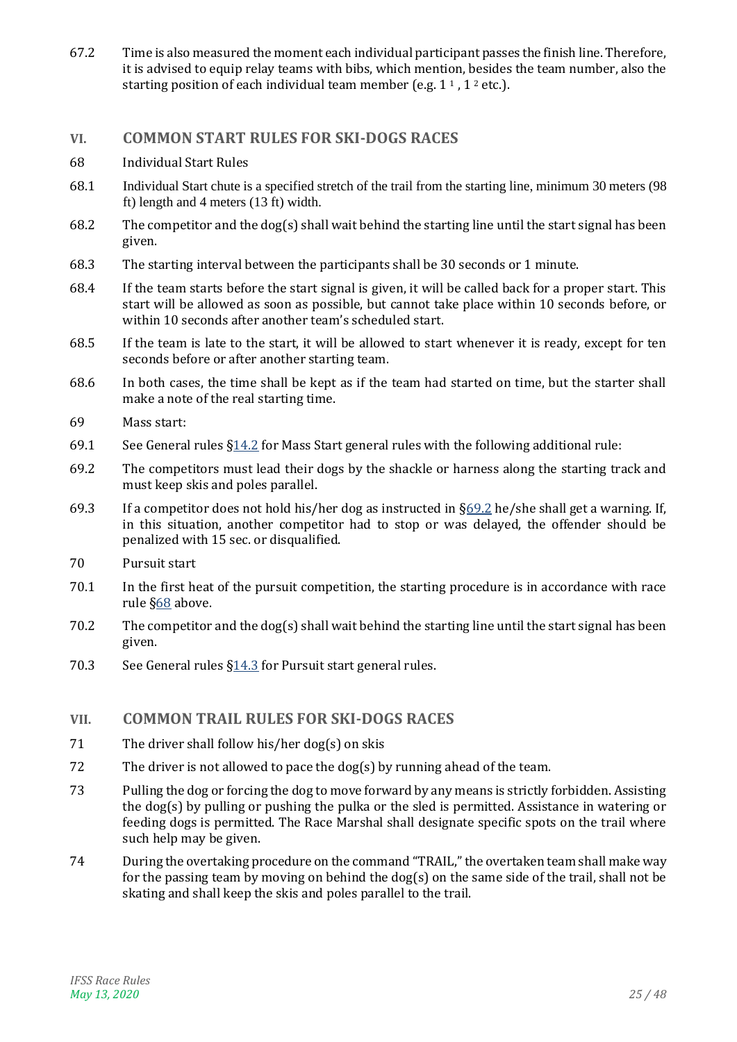67.2 Time is also measured the moment each individual participant passes the finish line. Therefore, it is advised to equip relay teams with bibs, which mention, besides the team number, also the starting position of each individual team member (e.g.  $1<sup>1</sup>$ ,  $1<sup>2</sup>$  etc.).

### <span id="page-24-0"></span>**VI. COMMON START RULES FOR SKI-DOGS RACES**

- <span id="page-24-2"></span>68 Individual Start Rules
- 68.1 Individual Start chute is a specified stretch of the trail from the starting line, minimum 30 meters (98 ft) length and 4 meters (13 ft) width.
- 68.2 The competitor and the dog(s) shall wait behind the starting line until the start signal has been given.
- 68.3 The starting interval between the participants shall be 30 seconds or 1 minute.
- <span id="page-24-3"></span>68.4 If the team starts before the start signal is given, it will be called back for a proper start. This start will be allowed as soon as possible, but cannot take place within 10 seconds before, or within 10 seconds after another team's scheduled start.
- 68.5 If the team is late to the start, it will be allowed to start whenever it is ready, except for ten seconds before or after another starting team.
- 68.6 In both cases, the time shall be kept as if the team had started on time, but the starter shall make a note of the real starting time.
- <span id="page-24-5"></span>69 Mass start:
- 69.1 See General rules [§14.2](#page-8-2) for Mass Start general rules with the following additional rule:
- <span id="page-24-6"></span>69.2 The competitors must lead their dogs by the shackle or harness along the starting track and must keep skis and poles parallel.
- 69.3 If a competitor does not hold his/her dog as instructed in [§69.2](#page-24-6) he/she shall get a warning. If, in this situation, another competitor had to stop or was delayed, the offender should be penalized with 15 sec. or disqualified.
- 70 Pursuit start
- 70.1 In the first heat of the pursuit competition, the starting procedure is in accordance with race rule [§68](#page-24-2) above.
- 70.2 The competitor and the dog(s) shall wait behind the starting line until the start signal has been given.
- 70.3 See General rules  $\S14.3$  for Pursuit start general rules.

#### <span id="page-24-1"></span>**VII. COMMON TRAIL RULES FOR SKI-DOGS RACES**

- 71 The driver shall follow his/her dog(s) on skis
- 72 The driver is not allowed to pace the dog(s) by running ahead of the team.
- 73 Pulling the dog or forcing the dog to move forward by any means is strictly forbidden. Assisting the dog(s) by pulling or pushing the pulka or the sled is permitted. Assistance in watering or feeding dogs is permitted. The Race Marshal shall designate specific spots on the trail where such help may be given.
- <span id="page-24-4"></span>74 During the overtaking procedure on the command "TRAIL," the overtaken team shall make way for the passing team by moving on behind the dog(s) on the same side of the trail, shall not be skating and shall keep the skis and poles parallel to the trail.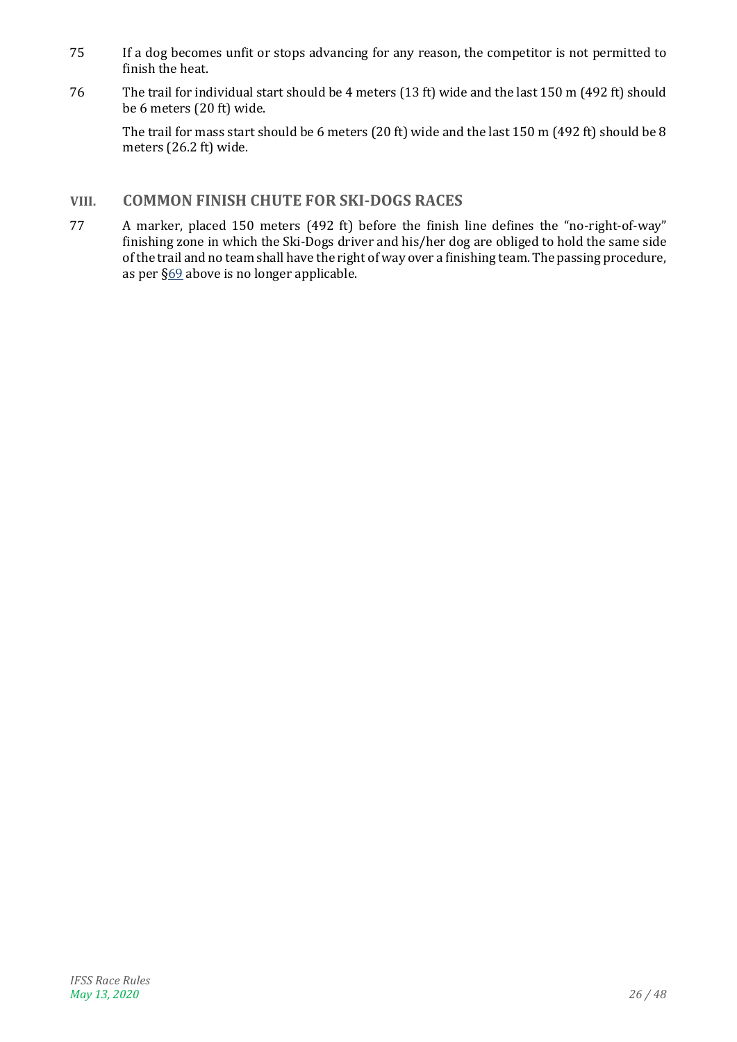- 75 If a dog becomes unfit or stops advancing for any reason, the competitor is not permitted to finish the heat.
- 76 The trail for individual start should be 4 meters (13 ft) wide and the last 150 m (492 ft) should be 6 meters (20 ft) wide.

The trail for mass start should be 6 meters (20 ft) wide and the last 150 m (492 ft) should be 8 meters (26.2 ft) wide.

# <span id="page-25-0"></span>**VIII. COMMON FINISH CHUTE FOR SKI-DOGS RACES**

77 A marker, placed 150 meters (492 ft) before the finish line defines the "no-right-of-way" finishing zone in which the Ski-Dogs driver and his/her dog are obliged to hold the same side of the trail and no team shall have the right of way over a finishing team. The passing procedure, as per [§69](#page-24-5) above is no longer applicable.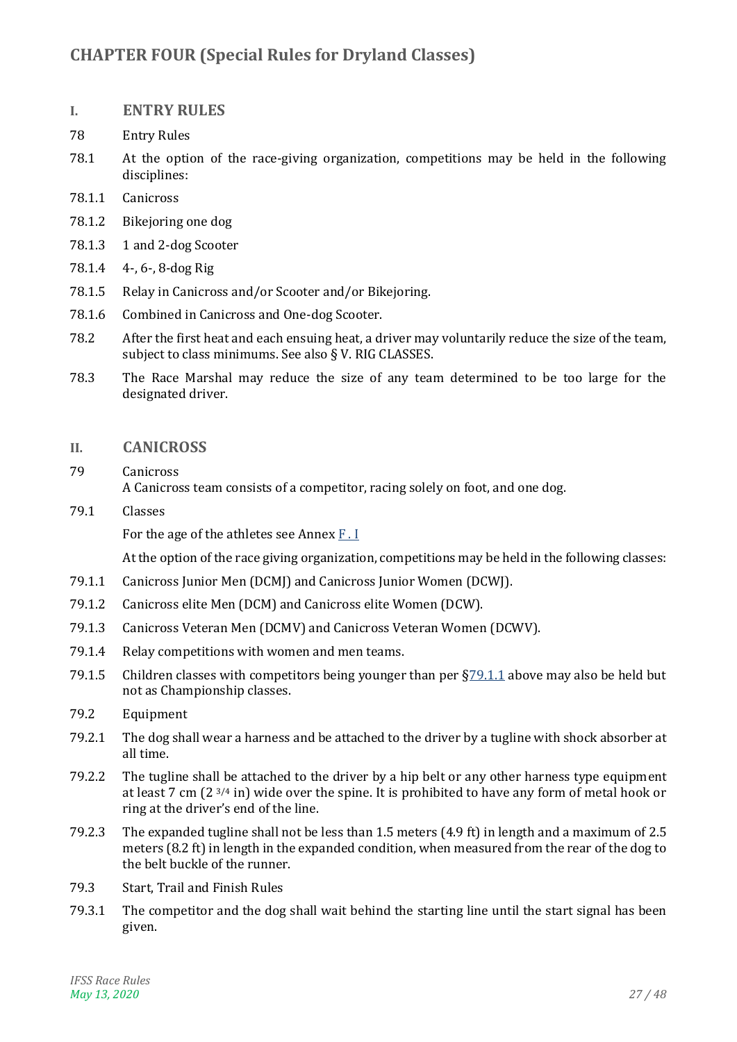# <span id="page-26-0"></span>**CHAPTER FOUR (Special Rules for Dryland Classes)**

### <span id="page-26-1"></span>**I. ENTRY RULES**

- 78 Entry Rules
- 78.1 At the option of the race-giving organization, competitions may be held in the following disciplines:
- 78.1.1 Canicross
- 78.1.2 Bikejoring one dog
- 78.1.3 1 and 2-dog Scooter
- 78.1.4 4-, 6-, 8-dog Rig
- 78.1.5 Relay in Canicross and/or Scooter and/or Bikejoring.
- 78.1.6 Combined in Canicross and One-dog Scooter.
- 78.2 After the first heat and each ensuing heat, a driver may voluntarily reduce the size of the team, subject to class minimums. See also [§ V. RIG CLASSES.](#page-28-1)
- 78.3 The Race Marshal may reduce the size of any team determined to be too large for the designated driver.

#### <span id="page-26-2"></span>**II. CANICROSS**

- <span id="page-26-5"></span>79 Canicross A Canicross team consists of a competitor, racing solely on foot, and one dog.
- 79.1 Classes

For the age of the athletes see Annex  $F \cdot I$ 

- <span id="page-26-3"></span>79.1.1 Canicross Junior Men (DCMJ) and Canicross Junior Women (DCWJ).
- 79.1.2 Canicross elite Men (DCM) and Canicross elite Women (DCW).
- 79.1.3 Canicross Veteran Men (DCMV) and Canicross Veteran Women (DCWV).
- 79.1.4 Relay competitions with women and men teams.
- 79.1.5 Children classes with competitors being younger than per [§79.1.1](#page-26-3) above may also be held but not as Championship classes.
- <span id="page-26-4"></span>79.2 Equipment
- 79.2.1 The dog shall wear a harness and be attached to the driver by a tugline with shock absorber at all time.
- 79.2.2 The tugline shall be attached to the driver by a hip belt or any other harness type equipment at least 7 cm (2 3/4 in) wide over the spine. It is prohibited to have any form of metal hook or ring at the driver's end of the line.
- 79.2.3 The expanded tugline shall not be less than 1.5 meters (4.9 ft) in length and a maximum of 2.5 meters (8.2 ft) in length in the expanded condition, when measured from the rear of the dog to the belt buckle of the runner.
- 79.3 Start, Trail and Finish Rules
- 79.3.1 The competitor and the dog shall wait behind the starting line until the start signal has been given.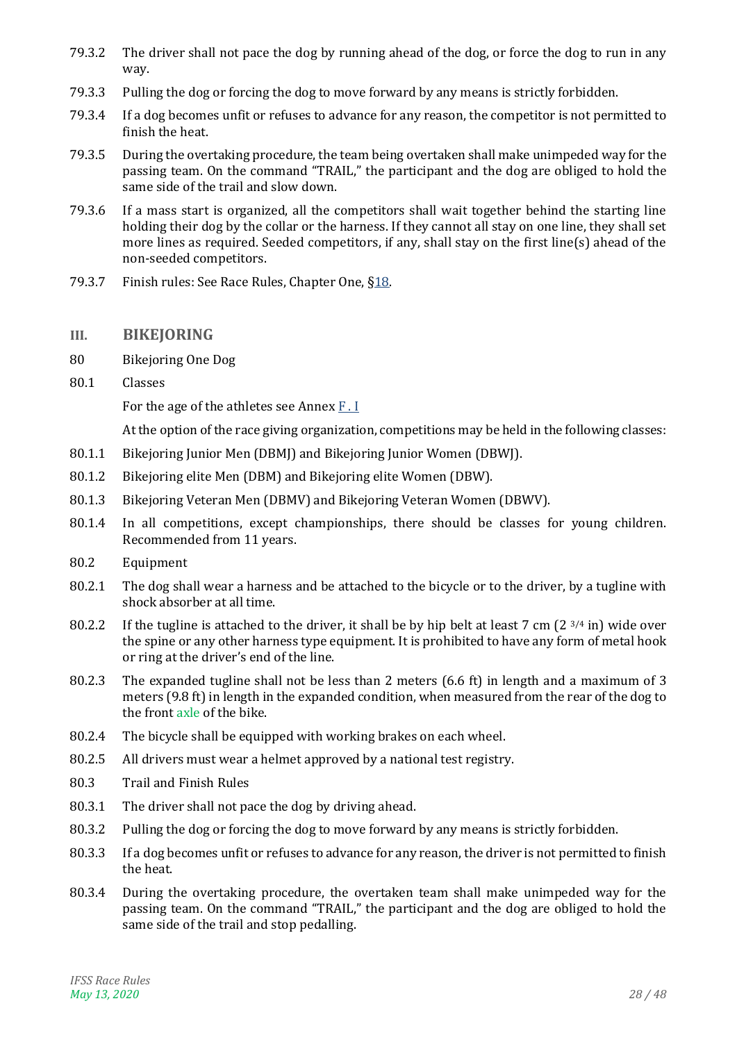- 79.3.2 The driver shall not pace the dog by running ahead of the dog, or force the dog to run in any way.
- 79.3.3 Pulling the dog or forcing the dog to move forward by any means is strictly forbidden.
- 79.3.4 If a dog becomes unfit or refuses to advance for any reason, the competitor is not permitted to finish the heat.
- <span id="page-27-1"></span>79.3.5 During the overtaking procedure, the team being overtaken shall make unimpeded way for the passing team. On the command "TRAIL," the participant and the dog are obliged to hold the same side of the trail and slow down.
- 79.3.6 If a mass start is organized, all the competitors shall wait together behind the starting line holding their dog by the collar or the harness. If they cannot all stay on one line, they shall set more lines as required. Seeded competitors, if any, shall stay on the first line(s) ahead of the non-seeded competitors.
- 79.3.7 Finish rules: See Race Rules, Chapter One, [§18.](#page-9-4)

### <span id="page-27-0"></span>**III. BIKEJORING**

- 80 Bikejoring One Dog
- 80.1 Classes

For the age of the athletes see Annex [F . I](#page-42-1)

- 80.1.1 Bikejoring Junior Men (DBMJ) and Bikejoring Junior Women (DBWJ).
- 80.1.2 Bikejoring elite Men (DBM) and Bikejoring elite Women (DBW).
- 80.1.3 Bikejoring Veteran Men (DBMV) and Bikejoring Veteran Women (DBWV).
- 80.1.4 In all competitions, except championships, there should be classes for young children. Recommended from 11 years.
- 80.2 Equipment
- 80.2.1 The dog shall wear a harness and be attached to the bicycle or to the driver, by a tugline with shock absorber at all time.
- 80.2.2 If the tugline is attached to the driver, it shall be by hip belt at least 7 cm  $(2^{3/4}$  in) wide over the spine or any other harness type equipment. It is prohibited to have any form of metal hook or ring at the driver's end of the line.
- 80.2.3 The expanded tugline shall not be less than 2 meters (6.6 ft) in length and a maximum of 3 meters (9.8 ft) in length in the expanded condition, when measured from the rear of the dog to the front axle of the bike.
- 80.2.4 The bicycle shall be equipped with working brakes on each wheel.
- 80.2.5 All drivers must wear a helmet approved by a national test registry.
- 80.3 Trail and Finish Rules
- 80.3.1 The driver shall not pace the dog by driving ahead.
- 80.3.2 Pulling the dog or forcing the dog to move forward by any means is strictly forbidden.
- 80.3.3 If a dog becomes unfit or refuses to advance for any reason, the driver is not permitted to finish the heat.
- <span id="page-27-2"></span>80.3.4 During the overtaking procedure, the overtaken team shall make unimpeded way for the passing team. On the command "TRAIL," the participant and the dog are obliged to hold the same side of the trail and stop pedalling.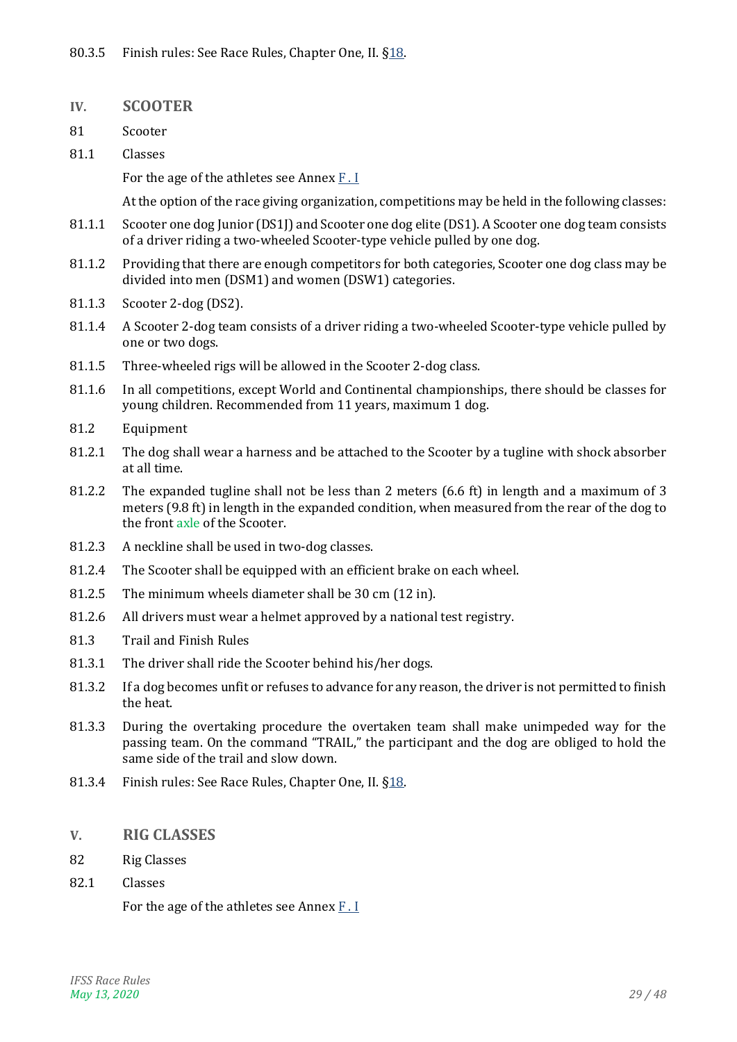- <span id="page-28-0"></span>**IV. SCOOTER**
- <span id="page-28-4"></span>81 Scooter
- 81.1 Classes

For the age of the athletes see Annex [F . I](#page-42-1)

At the option of the race giving organization, competitions may be held in the following classes:

- 81.1.1 Scooter one dog Junior (DS1J) and Scooter one dog elite (DS1). A Scooter one dog team consists of a driver riding a two-wheeled Scooter-type vehicle pulled by one dog.
- 81.1.2 Providing that there are enough competitors for both categories, Scooter one dog class may be divided into men (DSM1) and women (DSW1) categories.
- 81.1.3 Scooter 2-dog (DS2).
- 81.1.4 A Scooter 2-dog team consists of a driver riding a two-wheeled Scooter-type vehicle pulled by one or two dogs.
- 81.1.5 Three-wheeled rigs will be allowed in the Scooter 2-dog class.
- 81.1.6 In all competitions, except World and Continental championships, there should be classes for young children. Recommended from 11 years, maximum 1 dog.
- <span id="page-28-3"></span>81.2 Equipment
- 81.2.1 The dog shall wear a harness and be attached to the Scooter by a tugline with shock absorber at all time.
- 81.2.2 The expanded tugline shall not be less than 2 meters (6.6 ft) in length and a maximum of 3 meters (9.8 ft) in length in the expanded condition, when measured from the rear of the dog to the front axle of the Scooter.
- 81.2.3 A neckline shall be used in two-dog classes.
- 81.2.4 The Scooter shall be equipped with an efficient brake on each wheel.
- 81.2.5 The minimum wheels diameter shall be 30 cm (12 in).
- 81.2.6 All drivers must wear a helmet approved by a national test registry.
- 81.3 Trail and Finish Rules
- 81.3.1 The driver shall ride the Scooter behind his/her dogs.
- 81.3.2 If a dog becomes unfit or refuses to advance for any reason, the driver is not permitted to finish the heat.
- 81.3.3 During the overtaking procedure the overtaken team shall make unimpeded way for the passing team. On the command "TRAIL," the participant and the dog are obliged to hold the same side of the trail and slow down.
- <span id="page-28-2"></span>81.3.4 Finish rules: See Race Rules, Chapter One, II. [§18.](#page-9-4)
- <span id="page-28-1"></span>**V. RIG CLASSES**
- 82 Rig Classes
- 82.1 Classes

For the age of the athletes see Annex [F . I](#page-42-1)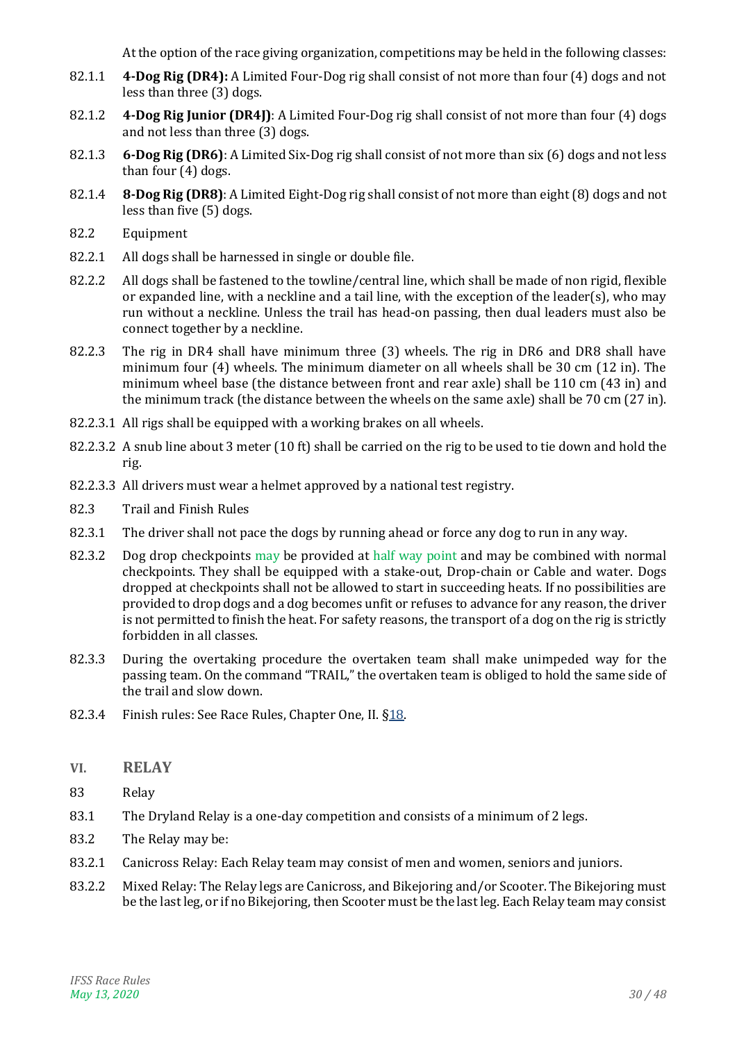- 82.1.1 **4-Dog Rig (DR4):** A Limited Four-Dog rig shall consist of not more than four (4) dogs and not less than three (3) dogs.
- 82.1.2 **4-Dog Rig Junior (DR4J)**: A Limited Four-Dog rig shall consist of not more than four (4) dogs and not less than three (3) dogs.
- 82.1.3 **6-Dog Rig (DR6)**: A Limited Six-Dog rig shall consist of not more than six (6) dogs and not less than four (4) dogs.
- 82.1.4 **8-Dog Rig (DR8)**: A Limited Eight-Dog rig shall consist of not more than eight (8) dogs and not less than five (5) dogs.
- 82.2 Equipment
- 82.2.1 All dogs shall be harnessed in single or double file.
- 82.2.2 All dogs shall be fastened to the towline/central line, which shall be made of non rigid, flexible or expanded line, with a neckline and a tail line, with the exception of the leader(s), who may run without a neckline. Unless the trail has head-on passing, then dual leaders must also be connect together by a neckline.
- 82.2.3 The rig in DR4 shall have minimum three (3) wheels. The rig in DR6 and DR8 shall have minimum four (4) wheels. The minimum diameter on all wheels shall be 30 cm (12 in). The minimum wheel base (the distance between front and rear axle) shall be 110 cm (43 in) and the minimum track (the distance between the wheels on the same axle) shall be 70 cm (27 in).
- 82.2.3.1 All rigs shall be equipped with a working brakes on all wheels.
- 82.2.3.2 A snub line about 3 meter (10 ft) shall be carried on the rig to be used to tie down and hold the rig.
- 82.2.3.3 All drivers must wear a helmet approved by a national test registry.
- 82.3 Trail and Finish Rules
- 82.3.1 The driver shall not pace the dogs by running ahead or force any dog to run in any way.
- 82.3.2 Dog drop checkpoints may be provided at half way point and may be combined with normal checkpoints. They shall be equipped with a stake-out, Drop-chain or Cable and water. Dogs dropped at checkpoints shall not be allowed to start in succeeding heats. If no possibilities are provided to drop dogs and a dog becomes unfit or refuses to advance for any reason, the driver is not permitted to finish the heat. For safety reasons, the transport of a dog on the rig is strictly forbidden in all classes.
- 82.3.3 During the overtaking procedure the overtaken team shall make unimpeded way for the passing team. On the command "TRAIL," the overtaken team is obliged to hold the same side of the trail and slow down.
- 82.3.4 Finish rules: See Race Rules, Chapter One, II. [§18.](#page-9-4)
- <span id="page-29-0"></span>**VI. RELAY**
- 83 Relay
- 83.1 The Dryland Relay is a one-day competition and consists of a minimum of 2 legs.
- 83.2 The Relay may be:
- 83.2.1 Canicross Relay: Each Relay team may consist of men and women, seniors and juniors.
- 83.2.2 Mixed Relay: The Relay legs are Canicross, and Bikejoring and/or Scooter. The Bikejoring must be the last leg, or if no Bikejoring, then Scooter must be the last leg. Each Relay team may consist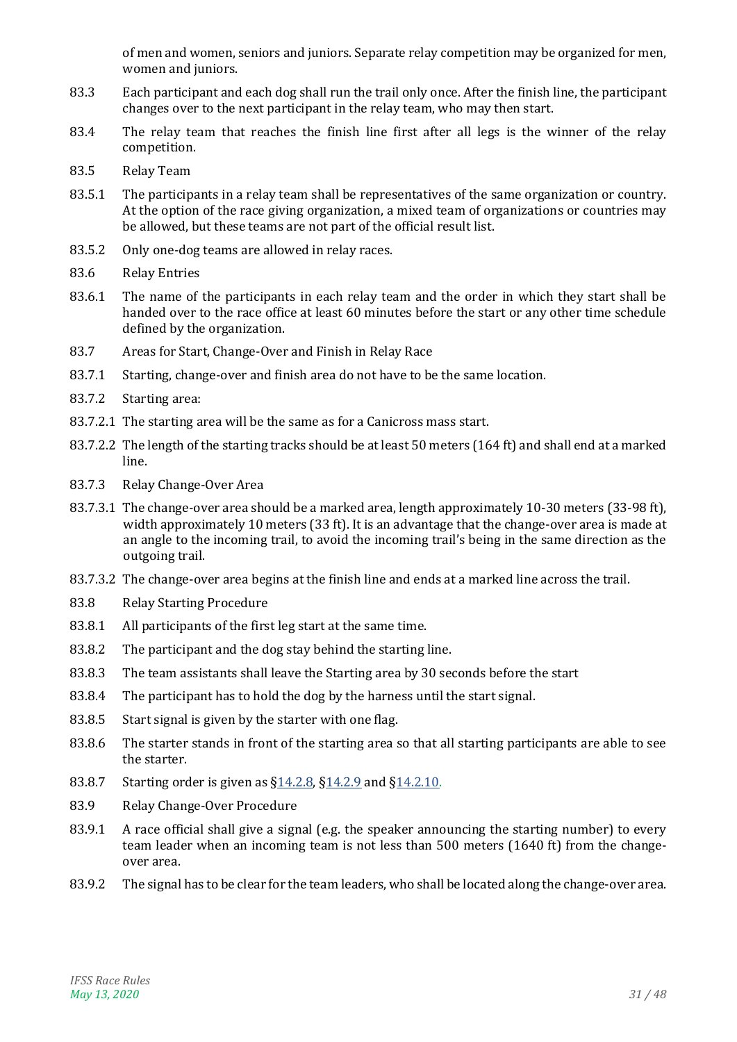of men and women, seniors and juniors. Separate relay competition may be organized for men, women and juniors.

- 83.3 Each participant and each dog shall run the trail only once. After the finish line, the participant changes over to the next participant in the relay team, who may then start.
- 83.4 The relay team that reaches the finish line first after all legs is the winner of the relay competition.
- 83.5 Relay Team
- 83.5.1 The participants in a relay team shall be representatives of the same organization or country. At the option of the race giving organization, a mixed team of organizations or countries may be allowed, but these teams are not part of the official result list.
- 83.5.2 Only one-dog teams are allowed in relay races.
- 83.6 Relay Entries
- 83.6.1 The name of the participants in each relay team and the order in which they start shall be handed over to the race office at least 60 minutes before the start or any other time schedule defined by the organization.
- 83.7 Areas for Start, Change-Over and Finish in Relay Race
- 83.7.1 Starting, change-over and finish area do not have to be the same location.
- 83.7.2 Starting area:
- 83.7.2.1 The starting area will be the same as for a Canicross mass start.
- 83.7.2.2 The length of the starting tracks should be at least 50 meters (164 ft) and shall end at a marked line.
- 83.7.3 Relay Change-Over Area
- 83.7.3.1 The change-over area should be a marked area, length approximately 10-30 meters (33-98 ft), width approximately 10 meters (33 ft). It is an advantage that the change-over area is made at an angle to the incoming trail, to avoid the incoming trail's being in the same direction as the outgoing trail.
- 83.7.3.2 The change-over area begins at the finish line and ends at a marked line across the trail.
- 83.8 Relay Starting Procedure
- 83.8.1 All participants of the first leg start at the same time.
- 83.8.2 The participant and the dog stay behind the starting line.
- <span id="page-30-0"></span>83.8.3 The team assistants shall leave the Starting area by 30 seconds before the start
- 83.8.4 The participant has to hold the dog by the harness until the start signal.
- 83.8.5 Start signal is given by the starter with one flag.
- 83.8.6 The starter stands in front of the starting area so that all starting participants are able to see the starter.
- 83.8.7 Starting order is given as [§14.2.8,](#page-8-3) [§14.2.9](#page-8-4) and [§14.2.10.](#page-9-5)
- 83.9 Relay Change-Over Procedure
- 83.9.1 A race official shall give a signal (e.g. the speaker announcing the starting number) to every team leader when an incoming team is not less than 500 meters (1640 ft) from the changeover area.
- 83.9.2 The signal has to be clear for the team leaders, who shall be located along the change-over area.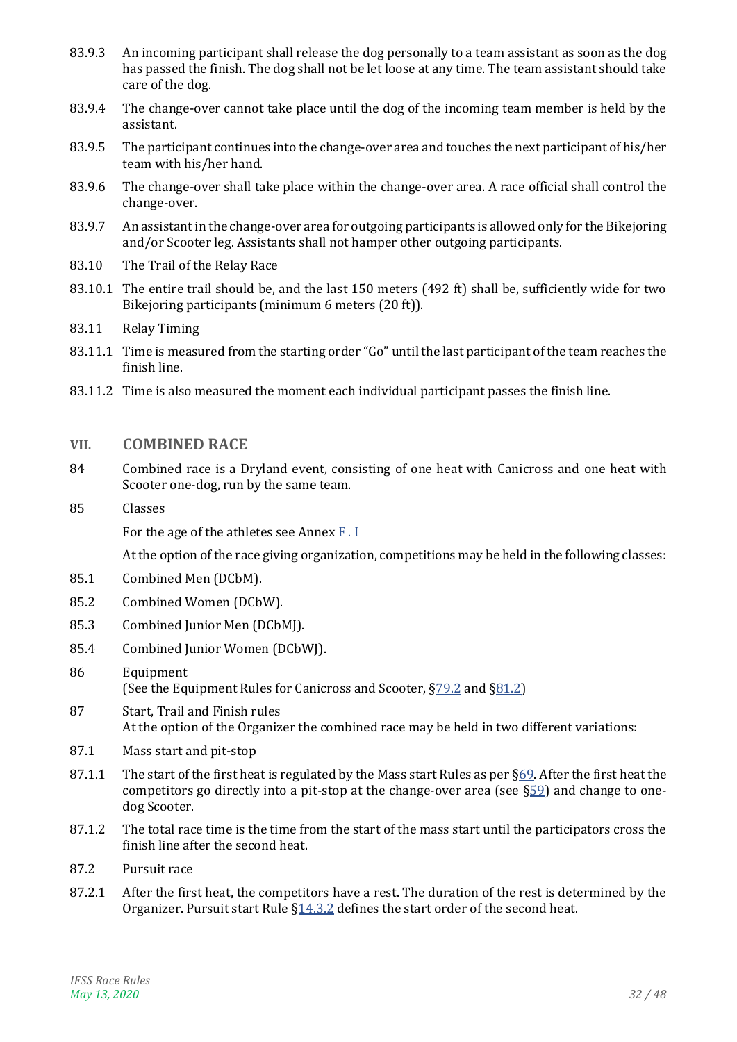- 83.9.3 An incoming participant shall release the dog personally to a team assistant as soon as the dog has passed the finish. The dog shall not be let loose at any time. The team assistant should take care of the dog.
- 83.9.4 The change-over cannot take place until the dog of the incoming team member is held by the assistant.
- 83.9.5 The participant continues into the change-over area and touches the next participant of his/her team with his/her hand.
- 83.9.6 The change-over shall take place within the change-over area. A race official shall control the change-over.
- 83.9.7 An assistant in the change-over area for outgoing participants is allowed only for the Bikejoring and/or Scooter leg. Assistants shall not hamper other outgoing participants.
- 83.10 The Trail of the Relay Race
- 83.10.1 The entire trail should be, and the last 150 meters (492 ft) shall be, sufficiently wide for two Bikejoring participants (minimum 6 meters (20 ft)).
- 83.11 Relay Timing
- 83.11.1 Time is measured from the starting order "Go" until the last participant of the team reaches the finish line.
- 83.11.2 Time is also measured the moment each individual participant passes the finish line.

### <span id="page-31-0"></span>**VII. COMBINED RACE**

- 84 Combined race is a Dryland event, consisting of one heat with Canicross and one heat with Scooter one-dog, run by the same team.
- 85 Classes

For the age of the athletes see Annex [F . I](#page-42-1)

- 85.1 Combined Men (DCbM).
- 85.2 Combined Women (DCbW).
- 85.3 Combined Junior Men (DCbMJ).
- 85.4 Combined Junior Women (DCbWJ).
- 86 Equipment (See the Equipment Rules for Canicross and Scooter,  $\S$ 79.2 and  $\S$ 81.2)
- 87 Start, Trail and Finish rules At the option of the Organizer the combined race may be held in two different variations:
- 87.1 Mass start and pit-stop
- 87.1.1 The start of the first heat is regulated by the Mass start Rules as per [§69.](#page-24-5) After the first heat the competitors go directly into a pit-stop at the change-over area (see  $\S59$ ) and change to onedog Scooter.
- 87.1.2 The total race time is the time from the start of the mass start until the participators cross the finish line after the second heat.
- 87.2 Pursuit race
- 87.2.1 After the first heat, the competitors have a rest. The duration of the rest is determined by the Organizer. Pursuit start Rule [§14.3.2](#page-9-2) defines the start order of the second heat.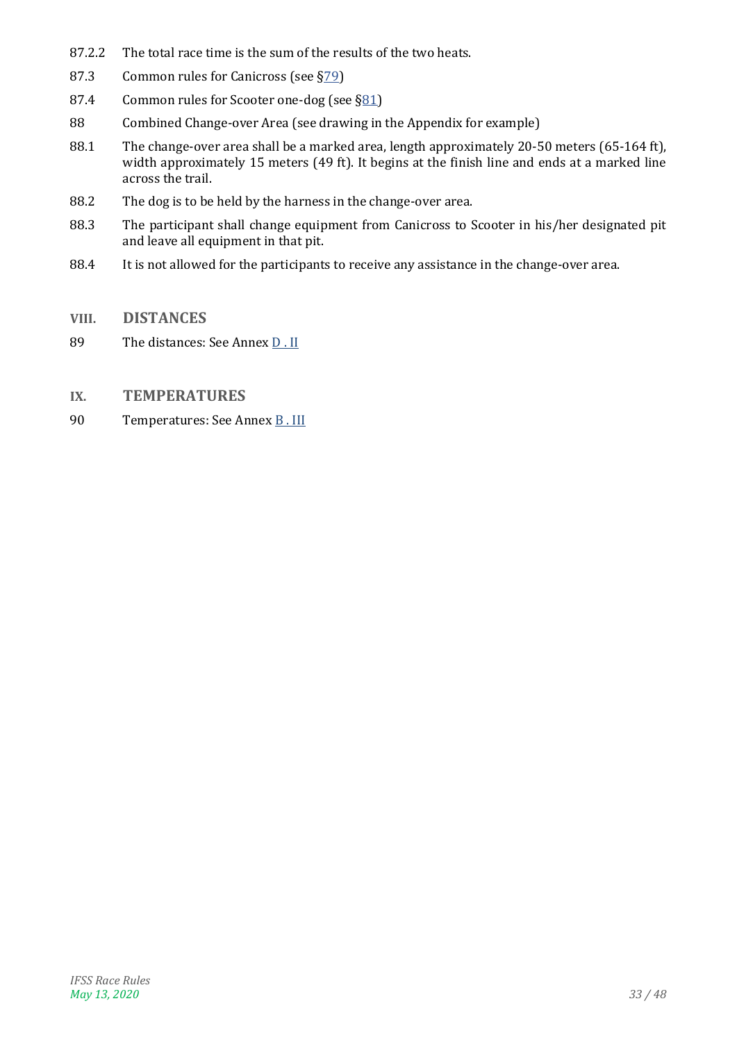- 87.2.2 The total race time is the sum of the results of the two heats.
- 87.3 Common rules for Canicross (see [§79\)](#page-26-5)
- 87.4 Common rules for Scooter one-dog (see [§81\)](#page-28-4)
- 88 Combined Change-over Area (see drawing in the Appendix for example)
- 88.1 The change-over area shall be a marked area, length approximately 20-50 meters (65-164 ft), width approximately 15 meters (49 ft). It begins at the finish line and ends at a marked line across the trail.
- 88.2 The dog is to be held by the harness in the change-over area.
- 88.3 The participant shall change equipment from Canicross to Scooter in his/her designated pit and leave all equipment in that pit.
- 88.4 It is not allowed for the participants to receive any assistance in the change-over area.
- <span id="page-32-0"></span>**VIII. DISTANCES**
- 89 The distances: See Annex D. II
- <span id="page-32-1"></span>**IX. TEMPERATURES**
- 90 Temperatures: See Annex B. III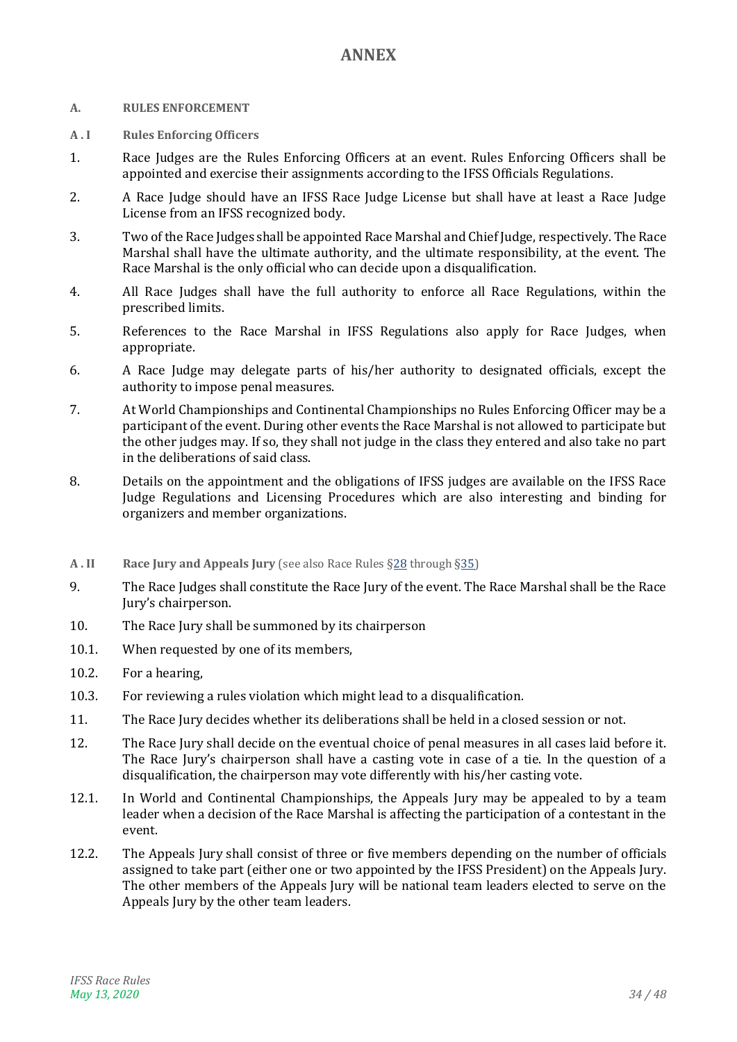# **ANNEX**

#### <span id="page-33-1"></span><span id="page-33-0"></span>**A. RULES ENFORCEMENT**

- **A . I Rules Enforcing Officers**
- 1. Race Judges are the Rules Enforcing Officers at an event. Rules Enforcing Officers shall be appointed and exercise their assignments according to the IFSS Officials Regulations.
- 2. A Race Judge should have an IFSS Race Judge License but shall have at least a Race Judge License from an IFSS recognized body.
- 3. Two of the Race Judges shall be appointed Race Marshal and Chief Judge, respectively. The Race Marshal shall have the ultimate authority, and the ultimate responsibility, at the event. The Race Marshal is the only official who can decide upon a disqualification.
- 4. All Race Judges shall have the full authority to enforce all Race Regulations, within the prescribed limits.
- 5. References to the Race Marshal in IFSS Regulations also apply for Race Judges, when appropriate.
- 6. A Race Judge may delegate parts of his/her authority to designated officials, except the authority to impose penal measures.
- 7. At World Championships and Continental Championships no Rules Enforcing Officer may be a participant of the event. During other events the Race Marshal is not allowed to participate but the other judges may. If so, they shall not judge in the class they entered and also take no part in the deliberations of said class.
- 8. Details on the appointment and the obligations of IFSS judges are available on the IFSS Race Judge Regulations and Licensing Procedures which are also interesting and binding for organizers and member organizations.
- **A . II Race Jury and Appeals Jury** (see also Race Rules [§28](#page-12-3) through [§35\)](#page-14-2)
- 9. The Race Judges shall constitute the Race Jury of the event. The Race Marshal shall be the Race Jury's chairperson.
- 10. The Race Jury shall be summoned by its chairperson
- 10.1. When requested by one of its members,
- 10.2. For a hearing,
- 10.3. For reviewing a rules violation which might lead to a disqualification.
- 11. The Race Jury decides whether its deliberations shall be held in a closed session or not.
- 12. The Race Jury shall decide on the eventual choice of penal measures in all cases laid before it. The Race Jury's chairperson shall have a casting vote in case of a tie. In the question of a disqualification, the chairperson may vote differently with his/her casting vote.
- 12.1. In World and Continental Championships, the Appeals Jury may be appealed to by a team leader when a decision of the Race Marshal is affecting the participation of a contestant in the event.
- 12.2. The Appeals Jury shall consist of three or five members depending on the number of officials assigned to take part (either one or two appointed by the IFSS President) on the Appeals Jury. The other members of the Appeals Jury will be national team leaders elected to serve on the Appeals Jury by the other team leaders.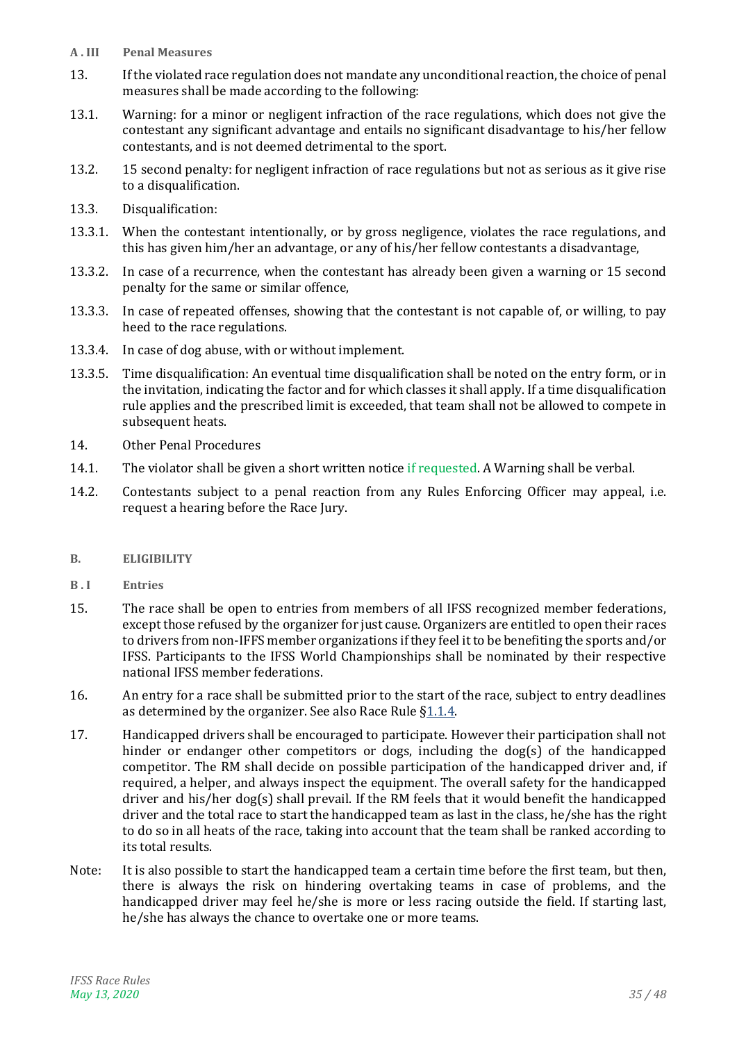- **A . III Penal Measures**
- 13. If the violated race regulation does not mandate any unconditional reaction, the choice of penal measures shall be made according to the following:
- 13.1. Warning: for a minor or negligent infraction of the race regulations, which does not give the contestant any significant advantage and entails no significant disadvantage to his/her fellow contestants, and is not deemed detrimental to the sport.
- 13.2. 15 second penalty: for negligent infraction of race regulations but not as serious as it give rise to a disqualification.
- 13.3. Disqualification:
- 13.3.1. When the contestant intentionally, or by gross negligence, violates the race regulations, and this has given him/her an advantage, or any of his/her fellow contestants a disadvantage,
- 13.3.2. In case of a recurrence, when the contestant has already been given a warning or 15 second penalty for the same or similar offence,
- 13.3.3. In case of repeated offenses, showing that the contestant is not capable of, or willing, to pay heed to the race regulations.
- 13.3.4. In case of dog abuse, with or without implement.
- 13.3.5. Time disqualification: An eventual time disqualification shall be noted on the entry form, or in the invitation, indicating the factor and for which classes it shall apply. If a time disqualification rule applies and the prescribed limit is exceeded, that team shall not be allowed to compete in subsequent heats.
- 14. Other Penal Procedures
- 14.1. The violator shall be given a short written notice if requested. A Warning shall be verbal.
- 14.2. Contestants subject to a penal reaction from any Rules Enforcing Officer may appeal, i.e. request a hearing before the Race Jury.
- <span id="page-34-0"></span>**B. ELIGIBILITY**
- **B . I Entries**
- 15. The race shall be open to entries from members of all IFSS recognized member federations, except those refused by the organizer for just cause. Organizers are entitled to open their races to drivers from non-IFFS member organizations if they feel it to be benefiting the sports and/or IFSS. Participants to the IFSS World Championships shall be nominated by their respective national IFSS member federations.
- 16. An entry for a race shall be submitted prior to the start of the race, subject to entry deadlines as determined by the organizer. See also Race Rule [§1.1.4.](#page-4-3)
- 17. Handicapped drivers shall be encouraged to participate. However their participation shall not hinder or endanger other competitors or dogs, including the dog(s) of the handicapped competitor. The RM shall decide on possible participation of the handicapped driver and, if required, a helper, and always inspect the equipment. The overall safety for the handicapped driver and his/her dog(s) shall prevail. If the RM feels that it would benefit the handicapped driver and the total race to start the handicapped team as last in the class, he/she has the right to do so in all heats of the race, taking into account that the team shall be ranked according to its total results.
- Note: It is also possible to start the handicapped team a certain time before the first team, but then, there is always the risk on hindering overtaking teams in case of problems, and the handicapped driver may feel he/she is more or less racing outside the field. If starting last, he/she has always the chance to overtake one or more teams.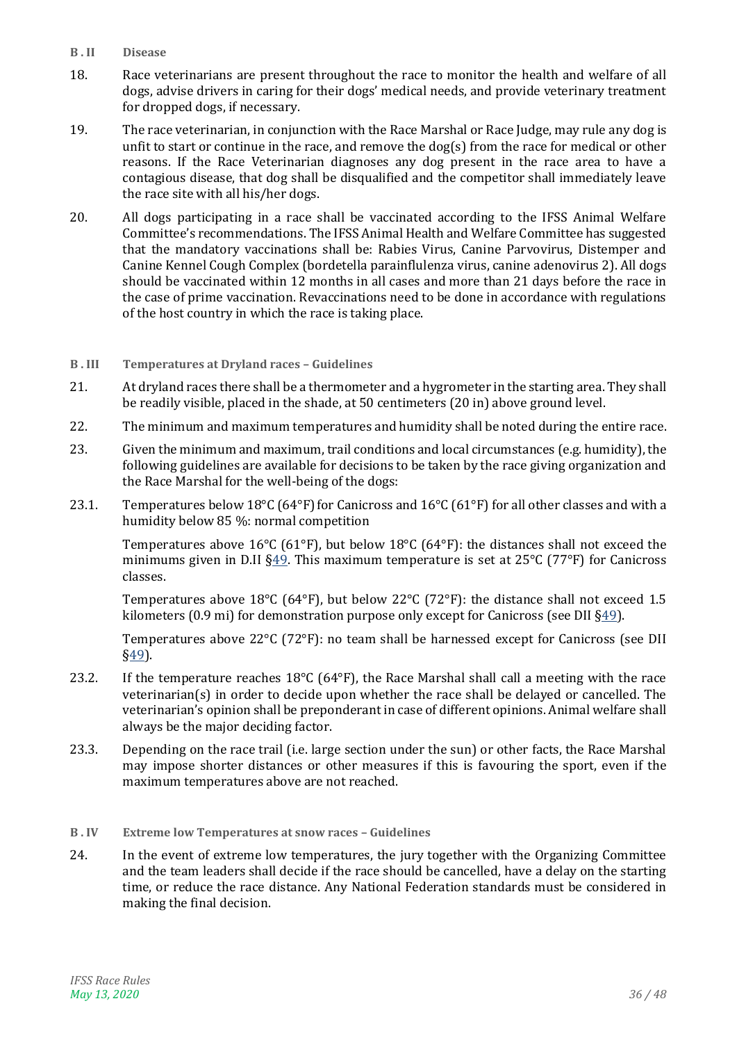- <span id="page-35-0"></span>**B . II Disease**
- 18. Race veterinarians are present throughout the race to monitor the health and welfare of all dogs, advise drivers in caring for their dogs' medical needs, and provide veterinary treatment for dropped dogs, if necessary.
- 19. The race veterinarian, in conjunction with the Race Marshal or Race Judge, may rule any dog is unfit to start or continue in the race, and remove the dog(s) from the race for medical or other reasons. If the Race Veterinarian diagnoses any dog present in the race area to have a contagious disease, that dog shall be disqualified and the competitor shall immediately leave the race site with all his/her dogs.
- 20. All dogs participating in a race shall be vaccinated according to the IFSS Animal Welfare Committee's recommendations. The IFSS Animal Health and Welfare Committee has suggested that the mandatory vaccinations shall be: Rabies Virus, Canine Parvovirus, Distemper and Canine Kennel Cough Complex (bordetella parainflulenza virus, canine adenovirus 2). All dogs should be vaccinated within 12 months in all cases and more than 21 days before the race in the case of prime vaccination. Revaccinations need to be done in accordance with regulations of the host country in which the race is taking place.
- <span id="page-35-1"></span>**B . III Temperatures at Dryland races – Guidelines**
- 21. At dryland races there shall be a thermometer and a hygrometer in the starting area. They shall be readily visible, placed in the shade, at 50 centimeters (20 in) above ground level.
- 22. The minimum and maximum temperatures and humidity shall be noted during the entire race.
- 23. Given the minimum and maximum, trail conditions and local circumstances (e.g. humidity), the following guidelines are available for decisions to be taken by the race giving organization and the Race Marshal for the well-being of the dogs:
- 23.1. Temperatures below 18°C (64°F) for Canicross and 16°C (61°F) for all other classes and with a humidity below 85 %: normal competition

Temperatures above 16<sup>o</sup>C (61<sup>o</sup>F), but below 18<sup>o</sup>C (64<sup>o</sup>F): the distances shall not exceed the minimums given in D.II  $\S49$ . This maximum temperature is set at 25°C (77°F) for Canicross classes.

Temperatures above 18°C (64°F), but below 22°C (72°F): the distance shall not exceed 1.5 kilometers (0.9 mi) for demonstration purpose only except for Canicross (see DII  $\S49$ ).

Temperatures above 22°C (72°F): no team shall be harnessed except for Canicross (see DII [§49\)](#page-38-0).

- 23.2. If the temperature reaches  $18^{\circ}$ C (64 $^{\circ}$ F), the Race Marshal shall call a meeting with the race veterinarian(s) in order to decide upon whether the race shall be delayed or cancelled. The veterinarian's opinion shall be preponderant in case of different opinions. Animal welfare shall always be the major deciding factor.
- 23.3. Depending on the race trail (i.e. large section under the sun) or other facts, the Race Marshal may impose shorter distances or other measures if this is favouring the sport, even if the maximum temperatures above are not reached.
- <span id="page-35-2"></span>**B . IV Extreme low Temperatures at snow races – Guidelines**
- 24. In the event of extreme low temperatures, the jury together with the Organizing Committee and the team leaders shall decide if the race should be cancelled, have a delay on the starting time, or reduce the race distance. Any National Federation standards must be considered in making the final decision.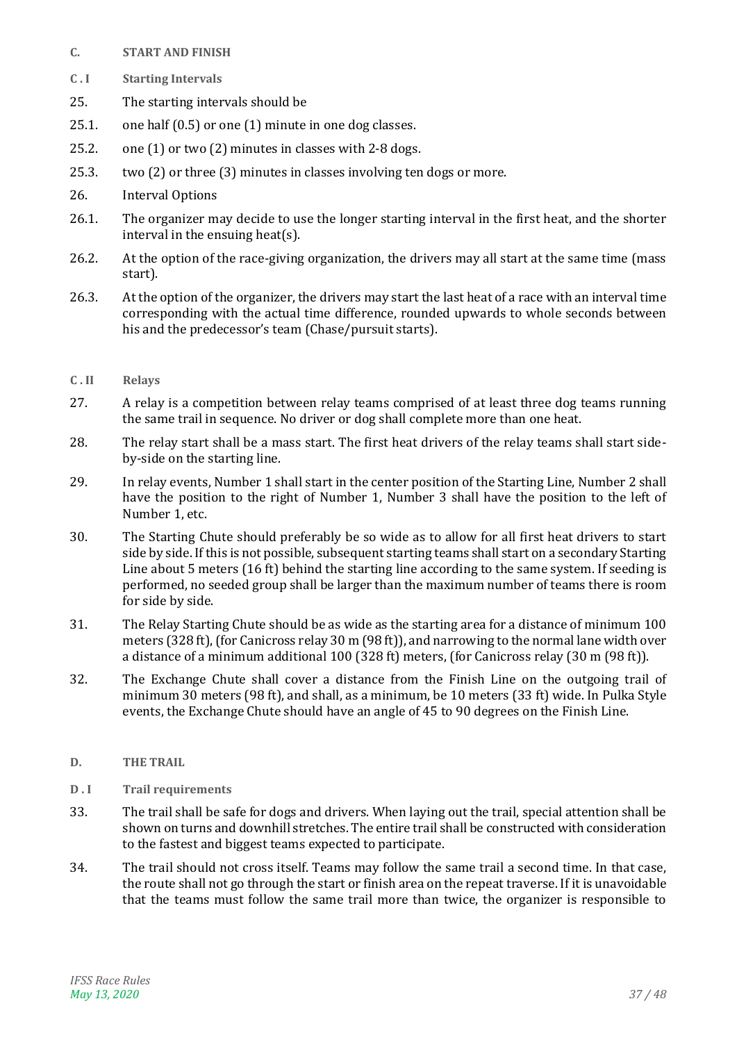- <span id="page-36-0"></span>**C. START AND FINISH**
- **C . I Starting Intervals**
- 25. The starting intervals should be
- 25.1. one half (0.5) or one (1) minute in one dog classes.
- 25.2. one (1) or two (2) minutes in classes with 2-8 dogs.
- 25.3. two (2) or three (3) minutes in classes involving ten dogs or more.
- 26. Interval Options
- 26.1. The organizer may decide to use the longer starting interval in the first heat, and the shorter interval in the ensuing heat(s).
- 26.2. At the option of the race-giving organization, the drivers may all start at the same time (mass start).
- 26.3. At the option of the organizer, the drivers may start the last heat of a race with an interval time corresponding with the actual time difference, rounded upwards to whole seconds between his and the predecessor's team (Chase/pursuit starts).
- **C . II Relays**
- 27. A relay is a competition between relay teams comprised of at least three dog teams running the same trail in sequence. No driver or dog shall complete more than one heat.
- 28. The relay start shall be a mass start. The first heat drivers of the relay teams shall start sideby-side on the starting line.
- 29. In relay events, Number 1 shall start in the center position of the Starting Line, Number 2 shall have the position to the right of Number 1, Number 3 shall have the position to the left of Number 1, etc.
- 30. The Starting Chute should preferably be so wide as to allow for all first heat drivers to start side by side. If this is not possible, subsequent starting teams shall start on a secondary Starting Line about 5 meters (16 ft) behind the starting line according to the same system. If seeding is performed, no seeded group shall be larger than the maximum number of teams there is room for side by side.
- 31. The Relay Starting Chute should be as wide as the starting area for a distance of minimum 100 meters (328 ft), (for Canicross relay 30 m (98 ft)), and narrowing to the normal lane width over a distance of a minimum additional 100 (328 ft) meters, (for Canicross relay (30 m (98 ft)).
- 32. The Exchange Chute shall cover a distance from the Finish Line on the outgoing trail of minimum 30 meters (98 ft), and shall, as a minimum, be 10 meters (33 ft) wide. In Pulka Style events, the Exchange Chute should have an angle of 45 to 90 degrees on the Finish Line.
- <span id="page-36-1"></span>**D. THE TRAIL**
- **D . I Trail requirements**
- 33. The trail shall be safe for dogs and drivers. When laying out the trail, special attention shall be shown on turns and downhill stretches. The entire trail shall be constructed with consideration to the fastest and biggest teams expected to participate.
- 34. The trail should not cross itself. Teams may follow the same trail a second time. In that case, the route shall not go through the start or finish area on the repeat traverse. If it is unavoidable that the teams must follow the same trail more than twice, the organizer is responsible to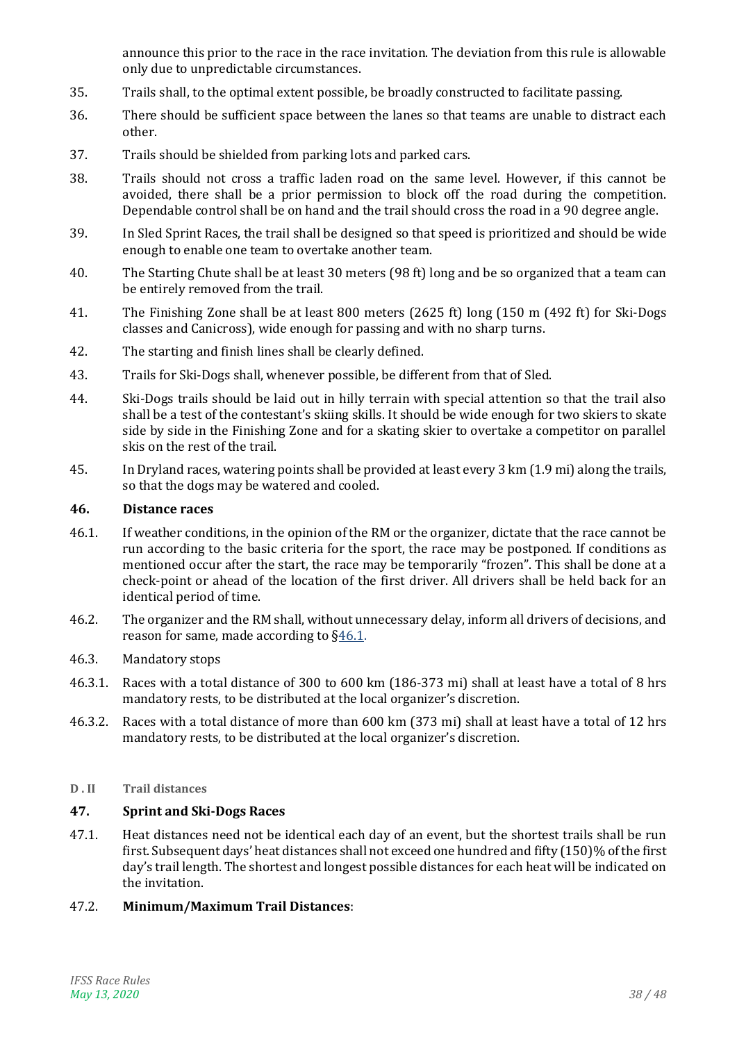announce this prior to the race in the race invitation. The deviation from this rule is allowable only due to unpredictable circumstances.

- 35. Trails shall, to the optimal extent possible, be broadly constructed to facilitate passing.
- 36. There should be sufficient space between the lanes so that teams are unable to distract each other.
- 37. Trails should be shielded from parking lots and parked cars.
- 38. Trails should not cross a traffic laden road on the same level. However, if this cannot be avoided, there shall be a prior permission to block off the road during the competition. Dependable control shall be on hand and the trail should cross the road in a 90 degree angle.
- 39. In Sled Sprint Races, the trail shall be designed so that speed is prioritized and should be wide enough to enable one team to overtake another team.
- 40. The Starting Chute shall be at least 30 meters (98 ft) long and be so organized that a team can be entirely removed from the trail.
- 41. The Finishing Zone shall be at least 800 meters (2625 ft) long (150 m (492 ft) for Ski-Dogs classes and Canicross), wide enough for passing and with no sharp turns.
- 42. The starting and finish lines shall be clearly defined.
- 43. Trails for Ski-Dogs shall, whenever possible, be different from that of Sled.
- 44. Ski-Dogs trails should be laid out in hilly terrain with special attention so that the trail also shall be a test of the contestant's skiing skills. It should be wide enough for two skiers to skate side by side in the Finishing Zone and for a skating skier to overtake a competitor on parallel skis on the rest of the trail.
- 45. In Dryland races, watering points shall be provided at least every 3 km (1.9 mi) along the trails, so that the dogs may be watered and cooled.

#### **46. Distance races**

- <span id="page-37-1"></span>46.1. If weather conditions, in the opinion of the RM or the organizer, dictate that the race cannot be run according to the basic criteria for the sport, the race may be postponed. If conditions as mentioned occur after the start, the race may be temporarily "frozen". This shall be done at a check-point or ahead of the location of the first driver. All drivers shall be held back for an identical period of time.
- 46.2. The organizer and the RM shall, without unnecessary delay, inform all drivers of decisions, and reason for same, made according to [§46.1.](#page-37-1)
- 46.3. Mandatory stops
- 46.3.1. Races with a total distance of 300 to 600 km (186-373 mi) shall at least have a total of 8 hrs mandatory rests, to be distributed at the local organizer's discretion.
- 46.3.2. Races with a total distance of more than 600 km (373 mi) shall at least have a total of 12 hrs mandatory rests, to be distributed at the local organizer's discretion.

#### <span id="page-37-0"></span>**D . II Trail distances**

#### **47. Sprint and Ski-Dogs Races**

47.1. Heat distances need not be identical each day of an event, but the shortest trails shall be run first. Subsequent days' heat distances shall not exceed one hundred and fifty (150)% of the first day's trail length. The shortest and longest possible distances for each heat will be indicated on the invitation.

#### 47.2. **Minimum/Maximum Trail Distances**: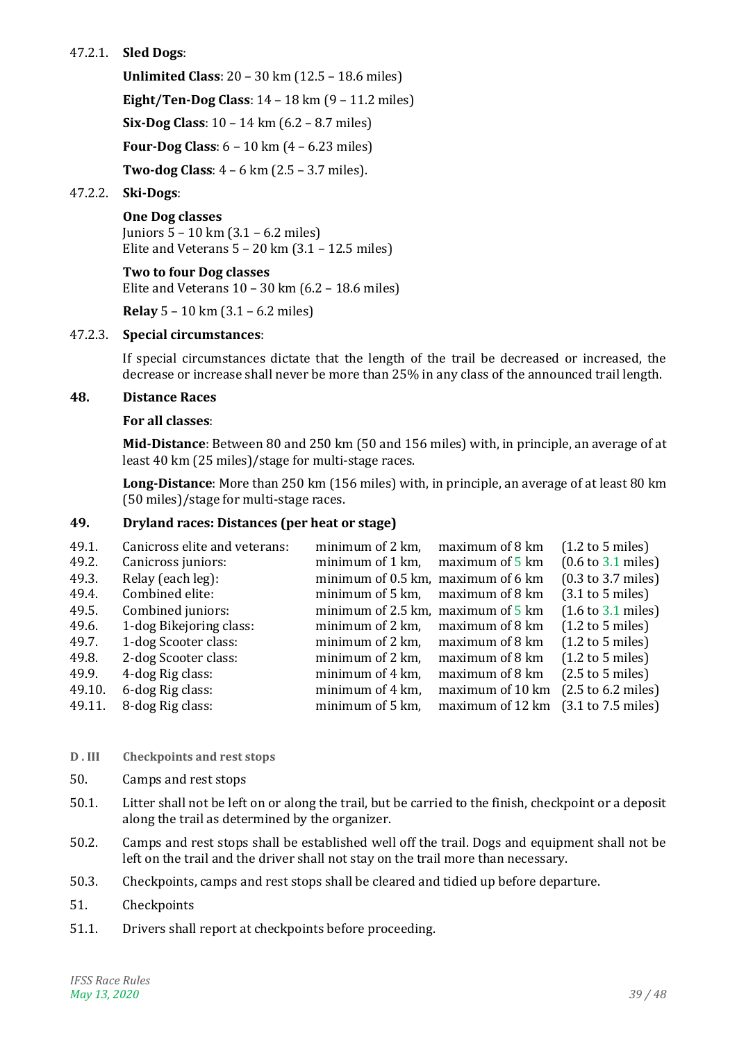# 47.2.1. **Sled Dogs**:

**Unlimited Class**: 20 – 30 km (12.5 – 18.6 miles) **Eight/Ten-Dog Class**: 14 – 18 km (9 – 11.2 miles) **Six-Dog Class**: 10 – 14 km (6.2 – 8.7 miles) **Four-Dog Class**: 6 – 10 km (4 – 6.23 miles) **Two-dog Class**: 4 – 6 km (2.5 – 3.7 miles).

#### 47.2.2. **Ski-Dogs**:

#### **One Dog classes**

Juniors 5 – 10 km (3.1 – 6.2 miles) Elite and Veterans  $5 - 20$  km  $(3.1 - 12.5$  miles)

#### **Two to four Dog classes**

Elite and Veterans  $10 - 30$  km  $(6.2 - 18.6$  miles)

**Relay** 5 – 10 km (3.1 – 6.2 miles)

#### 47.2.3. **Special circumstances**:

If special circumstances dictate that the length of the trail be decreased or increased, the decrease or increase shall never be more than 25% in any class of the announced trail length.

#### **48. Distance Races**

#### **For all classes**:

**Mid-Distance**: Between 80 and 250 km (50 and 156 miles) with, in principle, an average of at least 40 km (25 miles)/stage for multi-stage races.

**Long-Distance**: More than 250 km (156 miles) with, in principle, an average of at least 80 km (50 miles)/stage for multi-stage races.

### <span id="page-38-0"></span>**49. Dryland races: Distances (per heat or stage)**

| 49.1.  | Canicross elite and veterans: | minimum of 2 km,                               | maximum of 8 km  | $(1.2 \text{ to } 5 \text{ miles})$   |
|--------|-------------------------------|------------------------------------------------|------------------|---------------------------------------|
| 49.2.  | Canicross juniors:            | minimum of 1 km,                               | maximum of 5 km  | $(0.6 \text{ to } 3.1 \text{ miles})$ |
| 49.3.  | Relay (each leg):             | minimum of 0.5 km, maximum of 6 km             |                  | $(0.3$ to 3.7 miles)                  |
| 49.4.  | Combined elite:               | minimum of 5 km,                               | maximum of 8 km  | $(3.1 \text{ to } 5 \text{ miles})$   |
| 49.5.  | Combined juniors:             | minimum of 2.5 km, maximum of $\frac{1}{5}$ km |                  | $(1.6 \text{ to } 3.1 \text{ miles})$ |
| 49.6.  | 1-dog Bikejoring class:       | minimum of 2 km,                               | maximum of 8 km  | $(1.2 \text{ to } 5 \text{ miles})$   |
| 49.7.  | 1-dog Scooter class:          | minimum of 2 km,                               | maximum of 8 km  | $(1.2 \text{ to } 5 \text{ miles})$   |
| 49.8.  | 2-dog Scooter class:          | minimum of 2 km,                               | maximum of 8 km  | $(1.2 \text{ to } 5 \text{ miles})$   |
| 49.9.  | 4-dog Rig class:              | minimum of 4 km,                               | maximum of 8 km  | $(2.5 \text{ to } 5 \text{ miles})$   |
| 49.10. | 6-dog Rig class:              | minimum of 4 km,                               | maximum of 10 km | $(2.5 \text{ to } 6.2 \text{ miles})$ |
| 49.11. | 8-dog Rig class:              | minimum of 5 km,                               | maximum of 12 km | $(3.1 \text{ to } 7.5 \text{ miles})$ |

- **D . III Checkpoints and rest stops**
- 50. Camps and rest stops
- 50.1. Litter shall not be left on or along the trail, but be carried to the finish, checkpoint or a deposit along the trail as determined by the organizer.
- 50.2. Camps and rest stops shall be established well off the trail. Dogs and equipment shall not be left on the trail and the driver shall not stay on the trail more than necessary.
- 50.3. Checkpoints, camps and rest stops shall be cleared and tidied up before departure.
- 51. Checkpoints
- 51.1. Drivers shall report at checkpoints before proceeding.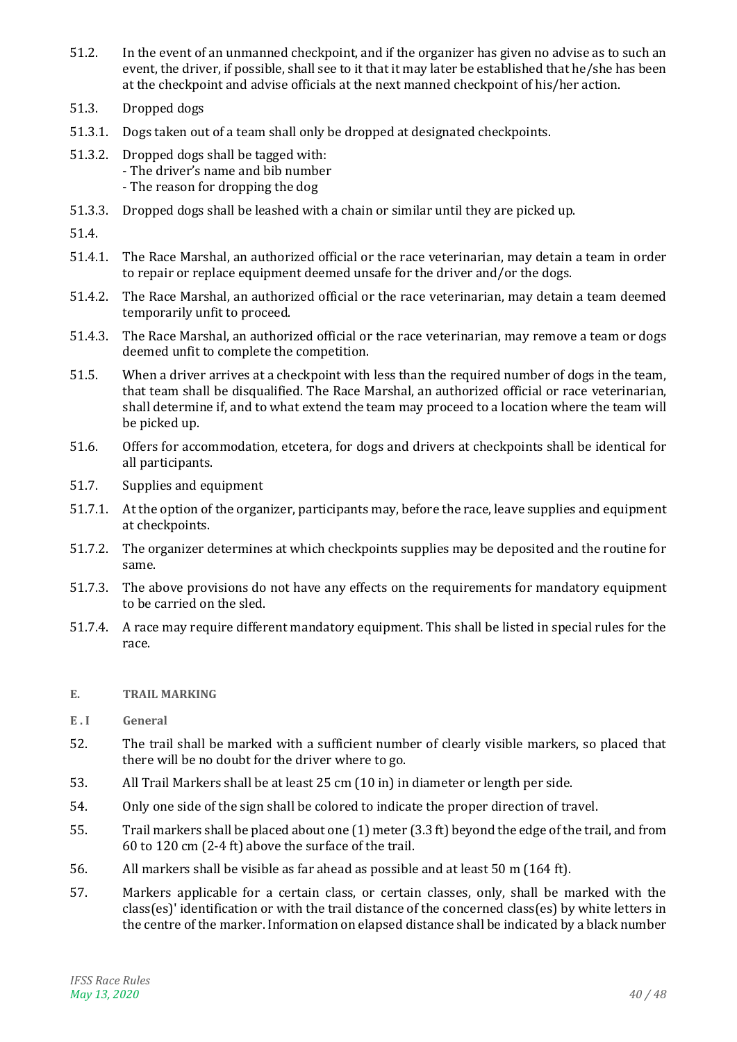- 51.2. In the event of an unmanned checkpoint, and if the organizer has given no advise as to such an event, the driver, if possible, shall see to it that it may later be established that he/she has been at the checkpoint and advise officials at the next manned checkpoint of his/her action.
- 51.3. Dropped dogs
- 51.3.1. Dogs taken out of a team shall only be dropped at designated checkpoints.
- 51.3.2. Dropped dogs shall be tagged with: - The driver's name and bib number - The reason for dropping the dog
- 51.3.3. Dropped dogs shall be leashed with a chain or similar until they are picked up.

51.4.

- 51.4.1. The Race Marshal, an authorized official or the race veterinarian, may detain a team in order to repair or replace equipment deemed unsafe for the driver and/or the dogs.
- 51.4.2. The Race Marshal, an authorized official or the race veterinarian, may detain a team deemed temporarily unfit to proceed.
- 51.4.3. The Race Marshal, an authorized official or the race veterinarian, may remove a team or dogs deemed unfit to complete the competition.
- 51.5. When a driver arrives at a checkpoint with less than the required number of dogs in the team, that team shall be disqualified. The Race Marshal, an authorized official or race veterinarian, shall determine if, and to what extend the team may proceed to a location where the team will be picked up.
- 51.6. Offers for accommodation, etcetera, for dogs and drivers at checkpoints shall be identical for all participants.
- 51.7. Supplies and equipment
- 51.7.1. At the option of the organizer, participants may, before the race, leave supplies and equipment at checkpoints.
- 51.7.2. The organizer determines at which checkpoints supplies may be deposited and the routine for same.
- 51.7.3. The above provisions do not have any effects on the requirements for mandatory equipment to be carried on the sled.
- 51.7.4. A race may require different mandatory equipment. This shall be listed in special rules for the race.

#### <span id="page-39-0"></span>**E. TRAIL MARKING**

- **E . I General**
- 52. The trail shall be marked with a sufficient number of clearly visible markers, so placed that there will be no doubt for the driver where to go.
- 53. All Trail Markers shall be at least 25 cm (10 in) in diameter or length per side.
- 54. Only one side of the sign shall be colored to indicate the proper direction of travel.
- 55. Trail markers shall be placed about one (1) meter (3.3 ft) beyond the edge of the trail, and from 60 to 120 cm (2-4 ft) above the surface of the trail.
- 56. All markers shall be visible as far ahead as possible and at least 50 m (164 ft).
- 57. Markers applicable for a certain class, or certain classes, only, shall be marked with the class(es)' identification or with the trail distance of the concerned class(es) by white letters in the centre of the marker. Information on elapsed distance shall be indicated by a black number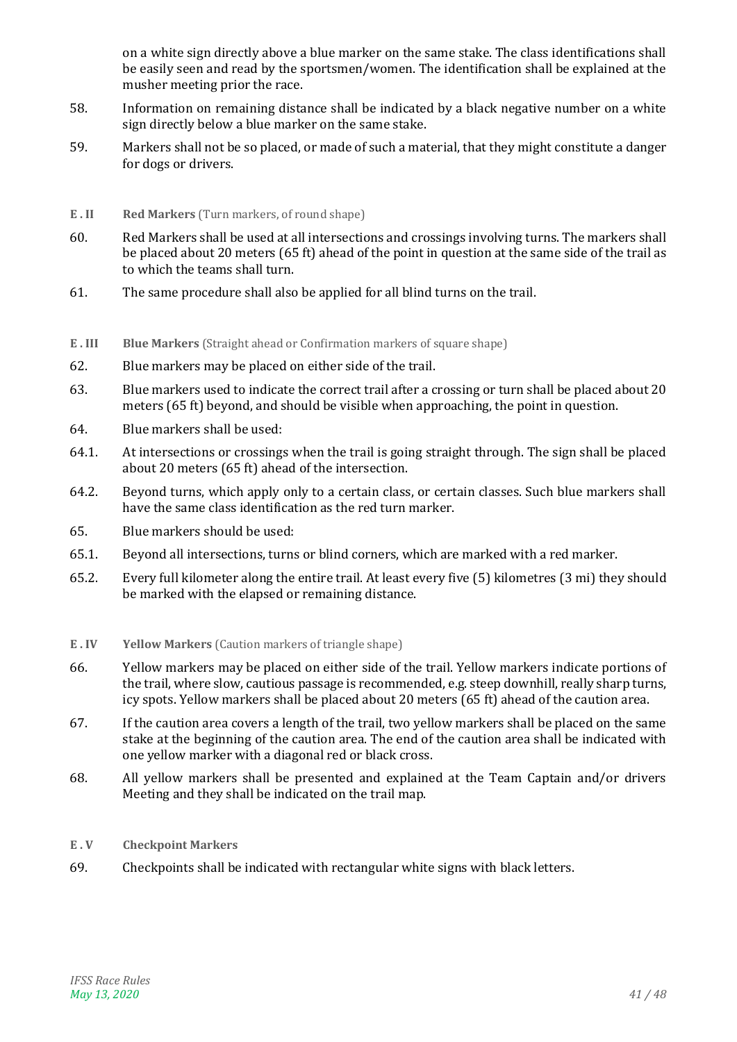on a white sign directly above a blue marker on the same stake. The class identifications shall be easily seen and read by the sportsmen/women. The identification shall be explained at the musher meeting prior the race.

- 58. Information on remaining distance shall be indicated by a black negative number on a white sign directly below a blue marker on the same stake.
- 59. Markers shall not be so placed, or made of such a material, that they might constitute a danger for dogs or drivers.
- **E . II Red Markers** (Turn markers, of round shape)
- <span id="page-40-0"></span>60. Red Markers shall be used at all intersections and crossings involving turns. The markers shall be placed about 20 meters (65 ft) ahead of the point in question at the same side of the trail as to which the teams shall turn.
- 61. The same procedure shall also be applied for all blind turns on the trail.
- **E . III Blue Markers** (Straight ahead or Confirmation markers of square shape)
- 62. Blue markers may be placed on either side of the trail.
- 63. Blue markers used to indicate the correct trail after a crossing or turn shall be placed about 20 meters (65 ft) beyond, and should be visible when approaching, the point in question.
- 64. Blue markers shall be used:
- 64.1. At intersections or crossings when the trail is going straight through. The sign shall be placed about 20 meters (65 ft) ahead of the intersection.
- 64.2. Beyond turns, which apply only to a certain class, or certain classes. Such blue markers shall have the same class identification as the red turn marker.
- 65. Blue markers should be used:
- 65.1. Beyond all intersections, turns or blind corners, which are marked with a red marker.
- 65.2. Every full kilometer along the entire trail. At least every five (5) kilometres (3 mi) they should be marked with the elapsed or remaining distance.
- **E . IV Yellow Markers** (Caution markers of triangle shape)
- 66. Yellow markers may be placed on either side of the trail. Yellow markers indicate portions of the trail, where slow, cautious passage is recommended, e.g. steep downhill, really sharp turns, icy spots. Yellow markers shall be placed about 20 meters (65 ft) ahead of the caution area.
- 67. If the caution area covers a length of the trail, two yellow markers shall be placed on the same stake at the beginning of the caution area. The end of the caution area shall be indicated with one yellow marker with a diagonal red or black cross.
- 68. All yellow markers shall be presented and explained at the Team Captain and/or drivers Meeting and they shall be indicated on the trail map.
- **E . V Checkpoint Markers**
- 69. Checkpoints shall be indicated with rectangular white signs with black letters.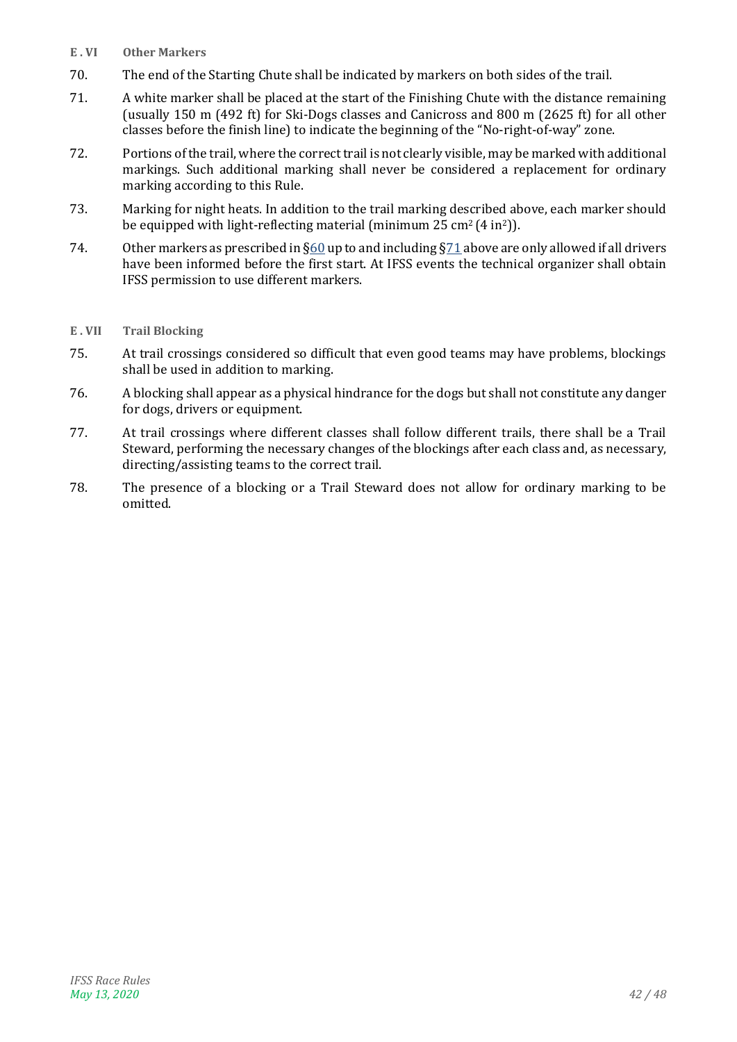- **E . VI Other Markers**
- 70. The end of the Starting Chute shall be indicated by markers on both sides of the trail.
- <span id="page-41-0"></span>71. A white marker shall be placed at the start of the Finishing Chute with the distance remaining (usually 150 m (492 ft) for Ski-Dogs classes and Canicross and 800 m (2625 ft) for all other classes before the finish line) to indicate the beginning of the "No-right-of-way" zone.
- 72. Portions of the trail, where the correct trail is not clearly visible, may be marked with additional markings. Such additional marking shall never be considered a replacement for ordinary marking according to this Rule.
- 73. Marking for night heats. In addition to the trail marking described above, each marker should be equipped with light-reflecting material (minimum  $25 \text{ cm}^2 (4 \text{ in}^2)$ ).
- 74. Other markers as prescribed in [§60](#page-40-0) up to and including [§71](#page-41-0) above are only allowed if all drivers have been informed before the first start. At IFSS events the technical organizer shall obtain IFSS permission to use different markers.

#### **E . VII Trail Blocking**

- 75. At trail crossings considered so difficult that even good teams may have problems, blockings shall be used in addition to marking.
- 76. A blocking shall appear as a physical hindrance for the dogs but shall not constitute any danger for dogs, drivers or equipment.
- 77. At trail crossings where different classes shall follow different trails, there shall be a Trail Steward, performing the necessary changes of the blockings after each class and, as necessary, directing/assisting teams to the correct trail.
- 78. The presence of a blocking or a Trail Steward does not allow for ordinary marking to be omitted.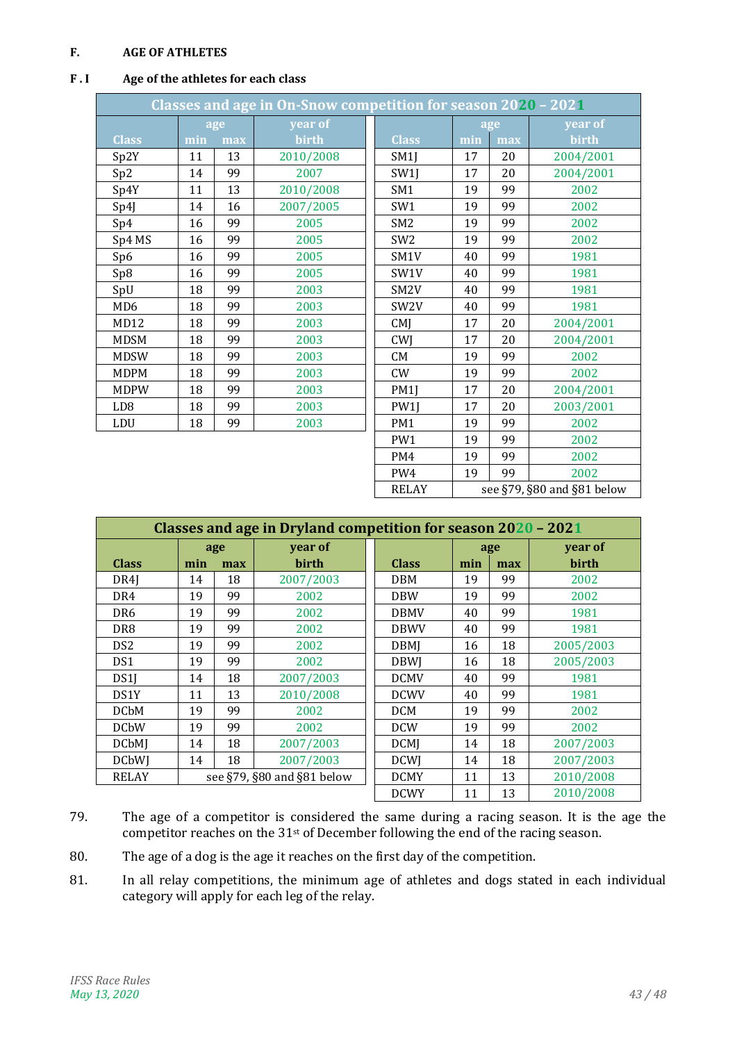#### <span id="page-42-0"></span>**F. AGE OF ATHLETES**

#### <span id="page-42-1"></span>**F . I Age of the athletes for each class**

| Classes and age in On-Snow competition for season 2020 - 2021 |     |     |           |                   |     |     |                            |  |  |
|---------------------------------------------------------------|-----|-----|-----------|-------------------|-----|-----|----------------------------|--|--|
|                                                               |     | age | year of   |                   |     | age | year of                    |  |  |
| <b>Class</b>                                                  | min | max | birth     | <b>Class</b>      | min | max | birth                      |  |  |
| Sp2Y                                                          | 11  | 13  | 2010/2008 | SM1J              | 17  | 20  | 2004/2001                  |  |  |
| Sp2                                                           | 14  | 99  | 2007      | SW1J              | 17  | 20  | 2004/2001                  |  |  |
| Sp4Y                                                          | 11  | 13  | 2010/2008 | SM <sub>1</sub>   | 19  | 99  | 2002                       |  |  |
| Sp4J                                                          | 14  | 16  | 2007/2005 | SW <sub>1</sub>   | 19  | 99  | 2002                       |  |  |
| Sp4                                                           | 16  | 99  | 2005      | SM <sub>2</sub>   | 19  | 99  | 2002                       |  |  |
| Sp4 MS                                                        | 16  | 99  | 2005      | SW <sub>2</sub>   | 19  | 99  | 2002                       |  |  |
| Sp6                                                           | 16  | 99  | 2005      | SM <sub>1</sub> V | 40  | 99  | 1981                       |  |  |
| Sp8                                                           | 16  | 99  | 2005      | SW1V              | 40  | 99  | 1981                       |  |  |
| SpU                                                           | 18  | 99  | 2003      | SM <sub>2</sub> V | 40  | 99  | 1981                       |  |  |
| MD <sub>6</sub>                                               | 18  | 99  | 2003      | SW <sub>2</sub> V | 40  | 99  | 1981                       |  |  |
| MD12                                                          | 18  | 99  | 2003      | CMI               | 17  | 20  | 2004/2001                  |  |  |
| <b>MDSM</b>                                                   | 18  | 99  | 2003      | CWJ               | 17  | 20  | 2004/2001                  |  |  |
| <b>MDSW</b>                                                   | 18  | 99  | 2003      | <b>CM</b>         | 19  | 99  | 2002                       |  |  |
| <b>MDPM</b>                                                   | 18  | 99  | 2003      | CW                | 19  | 99  | 2002                       |  |  |
| <b>MDPW</b>                                                   | 18  | 99  | 2003      | PM1J              | 17  | 20  | 2004/2001                  |  |  |
| LD <sub>8</sub>                                               | 18  | 99  | 2003      | PW1J              | 17  | 20  | 2003/2001                  |  |  |
| LDU                                                           | 18  | 99  | 2003      | PM <sub>1</sub>   | 19  | 99  | 2002                       |  |  |
|                                                               |     |     |           | PW1               | 19  | 99  | 2002                       |  |  |
|                                                               |     |     |           | PM4               | 19  | 99  | 2002                       |  |  |
|                                                               |     |     |           | PW4               | 19  | 99  | 2002                       |  |  |
|                                                               |     |     |           | <b>RELAY</b>      |     |     | see §79, §80 and §81 below |  |  |

| Classes and age in Dryland competition for season 2020 - 2021 |     |     |             |              |     |           |           |  |  |  |
|---------------------------------------------------------------|-----|-----|-------------|--------------|-----|-----------|-----------|--|--|--|
|                                                               |     | age | year of     |              |     | age       | year of   |  |  |  |
| <b>Class</b>                                                  | min | max | birth       | <b>Class</b> | min | max       | birth     |  |  |  |
| DR4I                                                          | 14  | 18  | 2007/2003   | <b>DBM</b>   | 19  | 99        | 2002      |  |  |  |
| DR4                                                           | 19  | 99  | 2002        | <b>DBW</b>   | 19  | 99        | 2002      |  |  |  |
| DR6                                                           | 19  | 99  | 2002        | <b>DBMV</b>  | 40  | 99        | 1981      |  |  |  |
| DR8                                                           | 19  | 99  | 2002        | <b>DBWV</b>  | 40  | 99        | 1981      |  |  |  |
| DS <sub>2</sub>                                               | 19  | 99  | 2002        | <b>DBMI</b>  | 16  | 18        | 2005/2003 |  |  |  |
| DS1                                                           | 19  | 99  | 2002        | <b>DBWI</b>  | 16  | 18        | 2005/2003 |  |  |  |
| DS1J                                                          | 14  | 18  | 2007/2003   | <b>DCMV</b>  | 40  | 99        | 1981      |  |  |  |
| DS1Y                                                          | 11  | 13  | 2010/2008   | <b>DCWV</b>  | 40  | 99        | 1981      |  |  |  |
| <b>DCbM</b>                                                   | 19  | 99  | 2002        | <b>DCM</b>   | 19  | 99        | 2002      |  |  |  |
| <b>DCbW</b>                                                   | 19  | 99  | 2002        | <b>DCW</b>   | 19  | 99        | 2002      |  |  |  |
| <b>DCbMJ</b>                                                  | 14  | 18  | 2007/2003   | <b>DCMJ</b>  | 14  | 18        | 2007/2003 |  |  |  |
| <b>DCbWJ</b>                                                  | 14  | 18  | 2007/2003   | <b>DCWI</b>  | 14  | 18        | 2007/2003 |  |  |  |
| see §79, §80 and §81 below<br><b>RELAY</b>                    |     |     | <b>DCMY</b> | 11           | 13  | 2010/2008 |           |  |  |  |
|                                                               |     |     |             | <b>DCWY</b>  | 11  | 13        | 2010/2008 |  |  |  |

- 79. The age of a competitor is considered the same during a racing season. It is the age the competitor reaches on the 31st of December following the end of the racing season.
- 80. The age of a dog is the age it reaches on the first day of the competition.
- 81. In all relay competitions, the minimum age of athletes and dogs stated in each individual category will apply for each leg of the relay.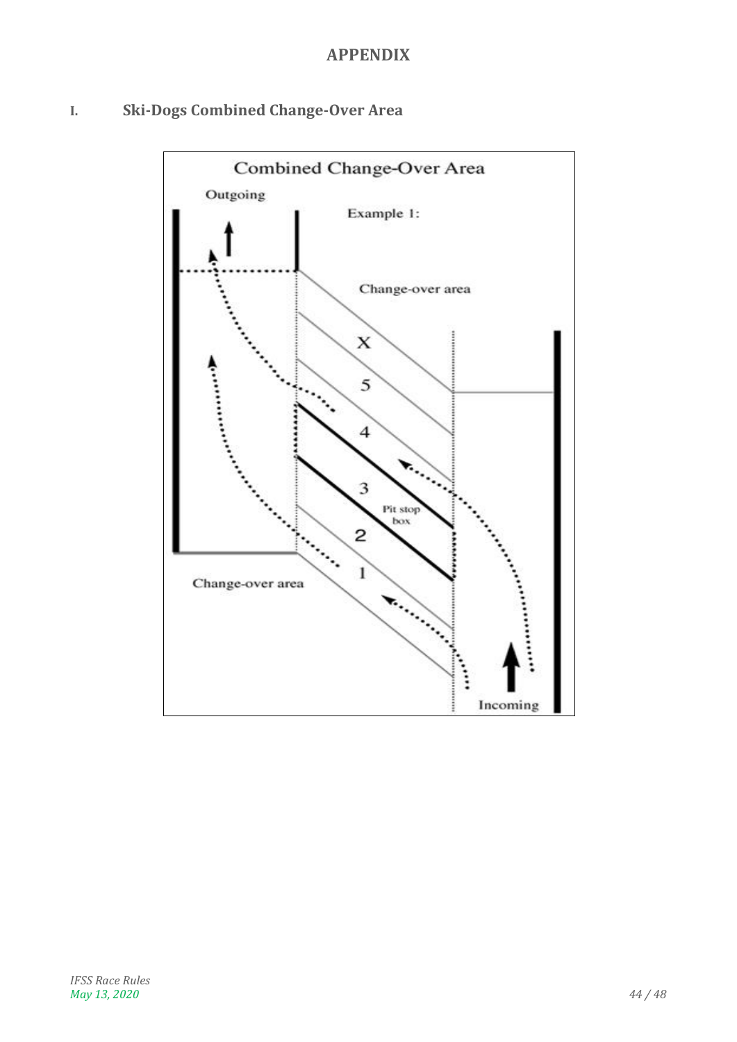# **APPENDIX**

# <span id="page-43-1"></span><span id="page-43-0"></span>**I. Ski-Dogs Combined Change-Over Area**

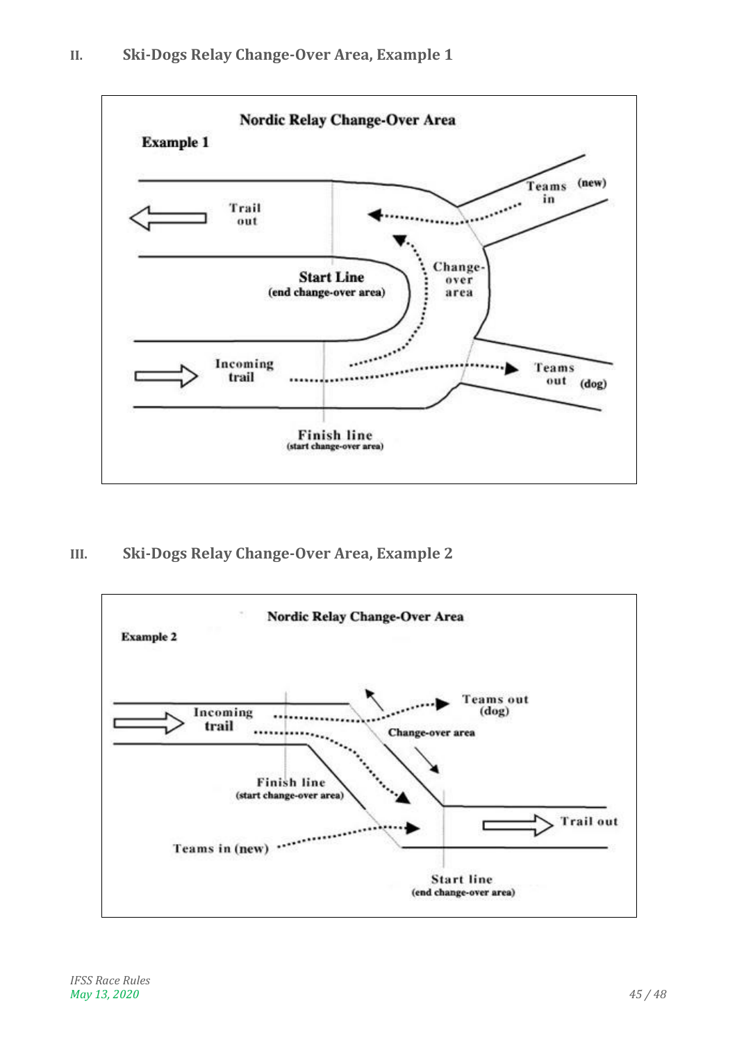<span id="page-44-0"></span>

<span id="page-44-1"></span>**III. Ski-Dogs Relay Change-Over Area, Example 2**

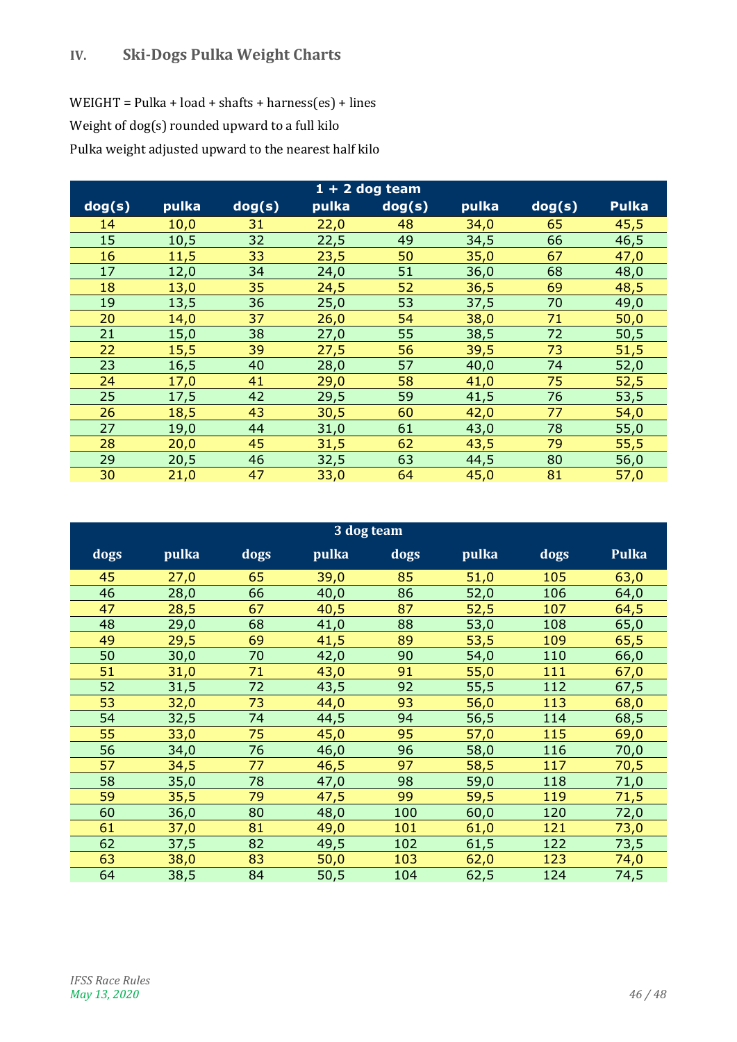<span id="page-45-0"></span>WEIGHT = Pulka + load + shafts + harness(es) + lines Weight of dog(s) rounded upward to a full kilo Pulka weight adjusted upward to the nearest half kilo

|        |       |        |       | $1 + 2$ dog team |       |        |              |
|--------|-------|--------|-------|------------------|-------|--------|--------------|
| dog(s) | pulka | dog(s) | pulka | dog(s)           | pulka | dog(s) | <b>Pulka</b> |
| 14     | 10,0  | 31     | 22,0  | 48               | 34,0  | 65     | 45,5         |
| 15     | 10,5  | 32     | 22,5  | 49               | 34,5  | 66     | 46,5         |
| 16     | 11,5  | 33     | 23,5  | 50               | 35,0  | 67     | 47,0         |
| 17     | 12,0  | 34     | 24,0  | 51               | 36,0  | 68     | 48,0         |
| 18     | 13,0  | 35     | 24,5  | 52               | 36,5  | 69     | 48,5         |
| 19     | 13,5  | 36     | 25,0  | 53               | 37,5  | 70     | 49,0         |
| 20     | 14,0  | 37     | 26,0  | 54               | 38,0  | 71     | 50,0         |
| 21     | 15,0  | 38     | 27,0  | 55               | 38,5  | 72     | 50,5         |
| 22     | 15,5  | 39     | 27,5  | 56               | 39,5  | 73     | 51,5         |
| 23     | 16,5  | 40     | 28,0  | 57               | 40,0  | 74     | 52,0         |
| 24     | 17,0  | 41     | 29,0  | 58               | 41,0  | 75     | 52,5         |
| 25     | 17,5  | 42     | 29,5  | 59               | 41,5  | 76     | 53,5         |
| 26     | 18,5  | 43     | 30,5  | 60               | 42,0  | 77     | 54,0         |
| 27     | 19,0  | 44     | 31,0  | 61               | 43,0  | 78     | 55,0         |
| 28     | 20,0  | 45     | 31,5  | 62               | 43,5  | 79     | 55,5         |
| 29     | 20,5  | 46     | 32,5  | 63               | 44,5  | 80     | 56,0         |
| 30     | 21,0  | 47     | 33,0  | 64               | 45,0  | 81     | 57,0         |

| 3 dog team |       |      |       |      |       |      |              |  |  |  |  |
|------------|-------|------|-------|------|-------|------|--------------|--|--|--|--|
| dogs       | pulka | dogs | pulka | dogs | pulka | dogs | <b>Pulka</b> |  |  |  |  |
| 45         | 27,0  | 65   | 39,0  | 85   | 51,0  | 105  | 63,0         |  |  |  |  |
| 46         | 28,0  | 66   | 40,0  | 86   | 52,0  | 106  | 64,0         |  |  |  |  |
| 47         | 28,5  | 67   | 40,5  | 87   | 52,5  | 107  | 64,5         |  |  |  |  |
| 48         | 29,0  | 68   | 41,0  | 88   | 53,0  | 108  | 65,0         |  |  |  |  |
| 49         | 29,5  | 69   | 41,5  | 89   | 53,5  | 109  | 65,5         |  |  |  |  |
| 50         | 30,0  | 70   | 42,0  | 90   | 54,0  | 110  | 66,0         |  |  |  |  |
| 51         | 31,0  | 71   | 43,0  | 91   | 55,0  | 111  | 67,0         |  |  |  |  |
| 52         | 31,5  | 72   | 43,5  | 92   | 55,5  | 112  | 67,5         |  |  |  |  |
| 53         | 32,0  | 73   | 44,0  | 93   | 56,0  | 113  | 68,0         |  |  |  |  |
| 54         | 32,5  | 74   | 44,5  | 94   | 56,5  | 114  | 68,5         |  |  |  |  |
| 55         | 33,0  | 75   | 45,0  | 95   | 57,0  | 115  | 69,0         |  |  |  |  |
| 56         | 34,0  | 76   | 46,0  | 96   | 58,0  | 116  | 70,0         |  |  |  |  |
| 57         | 34,5  | 77   | 46,5  | 97   | 58,5  | 117  | 70,5         |  |  |  |  |
| 58         | 35,0  | 78   | 47,0  | 98   | 59,0  | 118  | 71,0         |  |  |  |  |
| 59         | 35,5  | 79   | 47,5  | 99   | 59,5  | 119  | 71,5         |  |  |  |  |
| 60         | 36,0  | 80   | 48,0  | 100  | 60,0  | 120  | 72,0         |  |  |  |  |
| 61         | 37,0  | 81   | 49,0  | 101  | 61,0  | 121  | 73,0         |  |  |  |  |
| 62         | 37,5  | 82   | 49,5  | 102  | 61,5  | 122  | 73,5         |  |  |  |  |
| 63         | 38,0  | 83   | 50,0  | 103  | 62,0  | 123  | 74,0         |  |  |  |  |
| 64         | 38,5  | 84   | 50,5  | 104  | 62,5  | 124  | 74,5         |  |  |  |  |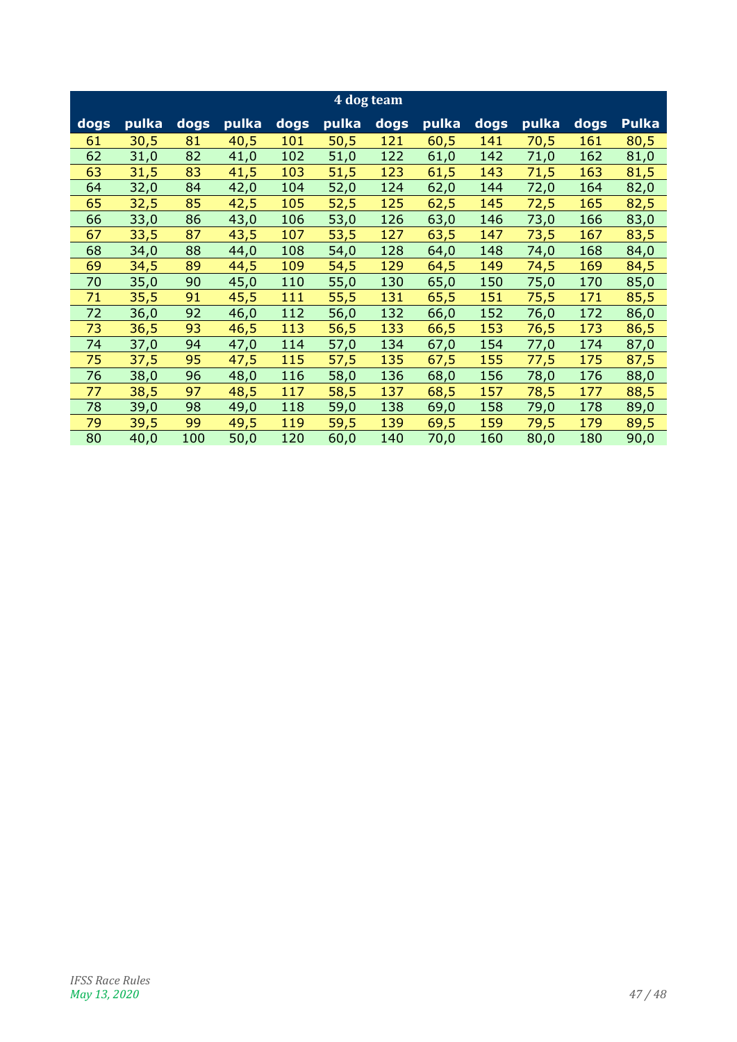| 4 dog team |       |        |       |      |       |      |       |      |       |      |              |
|------------|-------|--------|-------|------|-------|------|-------|------|-------|------|--------------|
| dogs       | pulka | $dogs$ | pulka | dogs | pulka | dogs | pulka | dogs | pulka | dogs | <b>Pulka</b> |
| 61         | 30,5  | 81     | 40,5  | 101  | 50,5  | 121  | 60,5  | 141  | 70,5  | 161  | 80,5         |
| 62         | 31,0  | 82     | 41,0  | 102  | 51,0  | 122  | 61,0  | 142  | 71,0  | 162  | 81,0         |
| 63         | 31,5  | 83     | 41,5  | 103  | 51,5  | 123  | 61,5  | 143  | 71,5  | 163  | 81,5         |
| 64         | 32,0  | 84     | 42,0  | 104  | 52,0  | 124  | 62,0  | 144  | 72,0  | 164  | 82,0         |
| 65         | 32,5  | 85     | 42,5  | 105  | 52,5  | 125  | 62,5  | 145  | 72,5  | 165  | 82,5         |
| 66         | 33,0  | 86     | 43,0  | 106  | 53,0  | 126  | 63,0  | 146  | 73,0  | 166  | 83,0         |
| 67         | 33,5  | 87     | 43,5  | 107  | 53,5  | 127  | 63,5  | 147  | 73,5  | 167  | 83,5         |
| 68         | 34,0  | 88     | 44,0  | 108  | 54,0  | 128  | 64,0  | 148  | 74,0  | 168  | 84,0         |
| 69         | 34,5  | 89     | 44,5  | 109  | 54,5  | 129  | 64,5  | 149  | 74,5  | 169  | 84,5         |
| 70         | 35,0  | 90     | 45,0  | 110  | 55,0  | 130  | 65,0  | 150  | 75,0  | 170  | 85,0         |
| 71         | 35,5  | 91     | 45,5  | 111  | 55,5  | 131  | 65,5  | 151  | 75,5  | 171  | 85,5         |
| 72         | 36,0  | 92     | 46,0  | 112  | 56,0  | 132  | 66,0  | 152  | 76,0  | 172  | 86,0         |
| 73         | 36,5  | 93     | 46,5  | 113  | 56,5  | 133  | 66,5  | 153  | 76,5  | 173  | 86,5         |
| 74         | 37,0  | 94     | 47,0  | 114  | 57,0  | 134  | 67,0  | 154  | 77,0  | 174  | 87,0         |
| 75         | 37,5  | 95     | 47,5  | 115  | 57,5  | 135  | 67,5  | 155  | 77,5  | 175  | 87,5         |
| 76         | 38,0  | 96     | 48,0  | 116  | 58,0  | 136  | 68,0  | 156  | 78,0  | 176  | 88,0         |
| 77         | 38,5  | 97     | 48,5  | 117  | 58,5  | 137  | 68,5  | 157  | 78,5  | 177  | 88,5         |
| 78         | 39,0  | 98     | 49,0  | 118  | 59,0  | 138  | 69,0  | 158  | 79,0  | 178  | 89,0         |
| 79         | 39,5  | 99     | 49,5  | 119  | 59,5  | 139  | 69,5  | 159  | 79,5  | 179  | 89,5         |
| 80         | 40,0  | 100    | 50,0  | 120  | 60,0  | 140  | 70,0  | 160  | 80,0  | 180  | 90,0         |